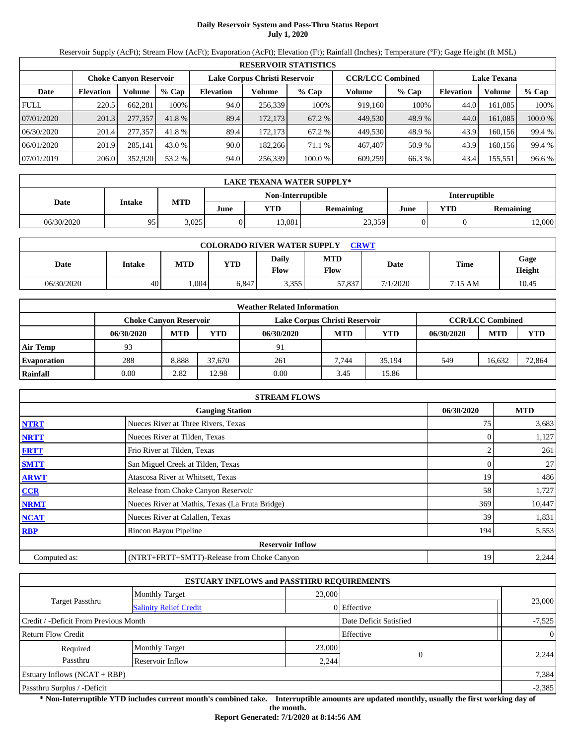# **Daily Reservoir System and Pass-Thru Status Report July 1, 2020**

Reservoir Supply (AcFt); Stream Flow (AcFt); Evaporation (AcFt); Elevation (Ft); Rainfall (Inches); Temperature (°F); Gage Height (ft MSL)

|             | <b>RESERVOIR STATISTICS</b>                                    |         |         |                  |         |                         |         |        |                  |                    |         |  |  |
|-------------|----------------------------------------------------------------|---------|---------|------------------|---------|-------------------------|---------|--------|------------------|--------------------|---------|--|--|
|             | Lake Corpus Christi Reservoir<br><b>Choke Canvon Reservoir</b> |         |         |                  |         | <b>CCR/LCC Combined</b> |         |        |                  | <b>Lake Texana</b> |         |  |  |
| Date        | <b>Elevation</b>                                               | Volume  | $%$ Cap | <b>Elevation</b> | Volume  | $%$ Cap                 | Volume  | % Cap  | <b>Elevation</b> | Volume             | $%$ Cap |  |  |
| <b>FULL</b> | 220.5                                                          | 662.281 | 100%    | 94.0             | 256,339 | 100%                    | 919.160 | 100%   | 44.0             | 161.085            | 100%    |  |  |
| 07/01/2020  | 201.3                                                          | 277,357 | 41.8 %  | 89.4             | 172,173 | 67.2 %                  | 449,530 | 48.9 % | 44.0             | 161,085            | 100.0 % |  |  |
| 06/30/2020  | 201.4                                                          | 277,357 | 41.8 %  | 89.4             | 172,173 | 67.2 %                  | 449.530 | 48.9 % | 43.9             | 160.156            | 99.4 %  |  |  |
| 06/01/2020  | 201.9                                                          | 285.141 | 43.0 %  | 90.0             | 182.266 | 71.1 %                  | 467,407 | 50.9 % | 43.9             | 160.156            | 99.4 %  |  |  |
| 07/01/2019  | 206.0                                                          | 352,920 | 53.2 %  | 94.0             | 256,339 | 100.0 %                 | 609,259 | 66.3 % | 43.4             | 155,551            | 96.6%   |  |  |

|            | <b>LAKE TEXANA WATER SUPPLY*</b> |            |      |        |                  |      |     |                      |  |  |  |
|------------|----------------------------------|------------|------|--------|------------------|------|-----|----------------------|--|--|--|
|            | Non-Interruptible                |            |      |        |                  |      |     | <b>Interruptible</b> |  |  |  |
| Date       | Intake                           | <b>MTD</b> | June | YTD    | <b>Remaining</b> | June | YTD | <b>Remaining</b>     |  |  |  |
| 06/30/2020 | 95                               | 3,025      |      | 13.081 | 23,359           |      |     | 12,000               |  |  |  |

| <b>COLORADO RIVER WATER SUPPLY</b><br>CRWT |        |            |       |               |                    |             |             |                |  |  |
|--------------------------------------------|--------|------------|-------|---------------|--------------------|-------------|-------------|----------------|--|--|
| Date                                       | Intake | <b>MTD</b> | YTD   | Daily<br>Flow | <b>MTD</b><br>Flow | <b>Date</b> | <b>Time</b> | Gage<br>Height |  |  |
| 06/30/2020                                 | 40     | .004       | 5.847 | 3,355         | 57,837             | 7/1/2020    | 7:15 AM     | 10.45          |  |  |

| <b>Weather Related Information</b> |                               |            |        |                               |                         |        |            |            |            |  |
|------------------------------------|-------------------------------|------------|--------|-------------------------------|-------------------------|--------|------------|------------|------------|--|
|                                    | <b>Choke Canvon Reservoir</b> |            |        | Lake Corpus Christi Reservoir | <b>CCR/LCC Combined</b> |        |            |            |            |  |
|                                    | 06/30/2020                    | <b>MTD</b> | YTD    | 06/30/2020                    | <b>MTD</b>              | YTD    | 06/30/2020 | <b>MTD</b> | <b>YTD</b> |  |
| <b>Air Temp</b>                    | 93                            |            |        | 91                            |                         |        |            |            |            |  |
| <b>Evaporation</b>                 | 288                           | 8.888      | 37,670 | 261                           | 7.744                   | 35.194 | 549        | 16.632     | 72,864     |  |
| Rainfall                           | 0.00                          | 2.82       | 12.98  | 0.00                          | 3.45                    | 15.86  |            |            |            |  |

| <b>STREAM FLOWS</b> |                                                 |            |        |  |  |  |  |  |  |
|---------------------|-------------------------------------------------|------------|--------|--|--|--|--|--|--|
|                     | 06/30/2020                                      | <b>MTD</b> |        |  |  |  |  |  |  |
| <b>NTRT</b>         | Nueces River at Three Rivers, Texas             | 75         | 3,683  |  |  |  |  |  |  |
| <b>NRTT</b>         | Nueces River at Tilden, Texas                   |            | 1,127  |  |  |  |  |  |  |
| <b>FRTT</b>         | Frio River at Tilden, Texas                     |            | 261    |  |  |  |  |  |  |
| <b>SMTT</b>         | San Miguel Creek at Tilden, Texas               | 0          | 27     |  |  |  |  |  |  |
| <b>ARWT</b>         | Atascosa River at Whitsett, Texas               | 19         | 486    |  |  |  |  |  |  |
| <b>CCR</b>          | Release from Choke Canyon Reservoir             | 58         | 1,727  |  |  |  |  |  |  |
| <b>NRMT</b>         | Nueces River at Mathis, Texas (La Fruta Bridge) | 369        | 10,447 |  |  |  |  |  |  |
| <b>NCAT</b>         | Nueces River at Calallen, Texas                 | 39         | 1,831  |  |  |  |  |  |  |
| <b>RBP</b>          | Rincon Bayou Pipeline                           | 194        | 5,553  |  |  |  |  |  |  |
|                     | <b>Reservoir Inflow</b>                         |            |        |  |  |  |  |  |  |
| Computed as:        | (NTRT+FRTT+SMTT)-Release from Choke Canyon      | 19         | 2,244  |  |  |  |  |  |  |

|                                       |                               | <b>ESTUARY INFLOWS and PASSTHRU REQUIREMENTS</b> |             |                |
|---------------------------------------|-------------------------------|--------------------------------------------------|-------------|----------------|
|                                       | <b>Monthly Target</b>         | 23,000                                           |             |                |
| <b>Target Passthru</b>                | <b>Salinity Relief Credit</b> |                                                  | 0 Effective | 23,000         |
| Credit / -Deficit From Previous Month | Date Deficit Satisfied        | $-7,525$                                         |             |                |
| <b>Return Flow Credit</b>             |                               |                                                  | Effective   | $\overline{0}$ |
| Required                              | Monthly Target                | 23,000                                           |             |                |
| Passthru                              | Reservoir Inflow              | 2,244                                            |             | 2,244          |
| Estuary Inflows $(NCAT + RBP)$        |                               |                                                  |             | 7,384          |
| Passthru Surplus / -Deficit           |                               |                                                  |             | $-2,385$       |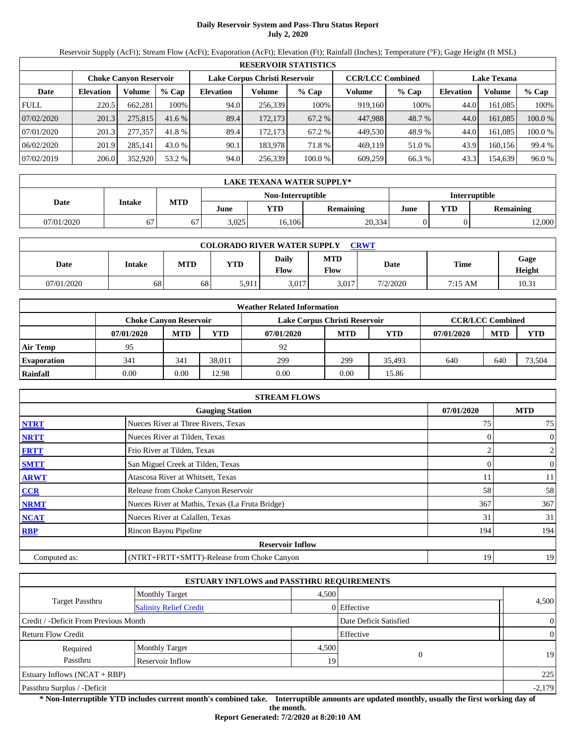# **Daily Reservoir System and Pass-Thru Status Report July 2, 2020**

Reservoir Supply (AcFt); Stream Flow (AcFt); Evaporation (AcFt); Elevation (Ft); Rainfall (Inches); Temperature (°F); Gage Height (ft MSL)

|             | <b>RESERVOIR STATISTICS</b> |                        |         |                               |         |         |                         |         |                    |         |         |  |  |
|-------------|-----------------------------|------------------------|---------|-------------------------------|---------|---------|-------------------------|---------|--------------------|---------|---------|--|--|
|             |                             | Choke Canvon Reservoir |         | Lake Corpus Christi Reservoir |         |         | <b>CCR/LCC Combined</b> |         | <b>Lake Texana</b> |         |         |  |  |
| Date        | <b>Elevation</b>            | Volume                 | $%$ Cap | <b>Elevation</b>              | Volume  | $%$ Cap | Volume                  | $%$ Cap | <b>Elevation</b>   | Volume  | $%$ Cap |  |  |
| <b>FULL</b> | 220.5                       | 662.281                | 100%    | 94.0                          | 256,339 | 100%    | 919.160                 | 100%    | 44.0               | 161.085 | 100%    |  |  |
| 07/02/2020  | 201.3                       | 275,815                | 41.6%   | 89.4                          | 172,173 | 67.2 %  | 447.988                 | 48.7 %  | 44.0               | 161,085 | 100.0 % |  |  |
| 07/01/2020  | 201.3                       | 277,357                | 41.8 %  | 89.4                          | 172.173 | 67.2 %  | 449.530                 | 48.9 %  | 44.0               | 161.085 | 100.0 % |  |  |
| 06/02/2020  | 201.9                       | 285.141                | 43.0 %  | 90.1                          | 183,978 | 71.8 %  | 469.119                 | 51.0 %  | 43.9               | 160.156 | 99.4 %  |  |  |
| 07/02/2019  | 206.0                       | 352,920                | 53.2 %  | 94.0                          | 256,339 | 100.0 % | 609,259                 | 66.3 %  | 43.3               | 154,639 | 96.0%   |  |  |

| LAKE TEXANA WATER SUPPLY* |                   |                      |       |        |           |      |     |                  |  |  |
|---------------------------|-------------------|----------------------|-------|--------|-----------|------|-----|------------------|--|--|
|                           | Non-Interruptible | <b>Interruptible</b> |       |        |           |      |     |                  |  |  |
| Date                      | <b>Intake</b>     | <b>MTD</b>           | June  | YTD    | Remaining | June | YTD | <b>Remaining</b> |  |  |
| 07/01/2020                | 67                | 67                   | 3,025 | 16,106 | 20,334    |      |     | 12,000           |  |  |

| <b>COLORADO RIVER WATER SUPPLY</b><br><b>CRWT</b> |        |            |            |               |                           |          |             |                |  |  |
|---------------------------------------------------|--------|------------|------------|---------------|---------------------------|----------|-------------|----------------|--|--|
| Date                                              | Intake | <b>MTD</b> | <b>YTD</b> | Daily<br>Flow | <b>MTD</b><br><b>Flow</b> | Date     | <b>Time</b> | Gage<br>Height |  |  |
| 07/01/2020                                        | 68     | 68         | 5,911      | 3,017         | 3.017                     | 7/2/2020 | 7:15 AM     | 10.31          |  |  |

| <b>Weather Related Information</b> |            |                                                                                           |            |            |            |        |            |            |            |  |
|------------------------------------|------------|-------------------------------------------------------------------------------------------|------------|------------|------------|--------|------------|------------|------------|--|
|                                    |            | <b>CCR/LCC Combined</b><br>Lake Corpus Christi Reservoir<br><b>Choke Canyon Reservoir</b> |            |            |            |        |            |            |            |  |
|                                    | 07/01/2020 | <b>MTD</b>                                                                                | <b>YTD</b> | 07/01/2020 | <b>MTD</b> | YTD    | 07/01/2020 | <b>MTD</b> | <b>YTD</b> |  |
| <b>Air Temp</b>                    | 95         |                                                                                           |            | 92         |            |        |            |            |            |  |
| <b>Evaporation</b>                 | 341        | 341                                                                                       | 38.011     | 299        | 299        | 35.493 | 640        | 640        | 73,504     |  |
| Rainfall                           | 0.00       | 0.00                                                                                      | 12.98      | 0.00       | 0.00       | 15.86  |            |            |            |  |

| <b>STREAM FLOWS</b>                  |                                                  |                |                |  |  |  |  |  |  |
|--------------------------------------|--------------------------------------------------|----------------|----------------|--|--|--|--|--|--|
| <b>Gauging Station</b><br>07/01/2020 |                                                  |                |                |  |  |  |  |  |  |
| <b>NTRT</b>                          | Nueces River at Three Rivers, Texas              | 75             | 75             |  |  |  |  |  |  |
| <b>NRTT</b>                          | Nueces River at Tilden, Texas                    | $^{(1)}$       | $\overline{0}$ |  |  |  |  |  |  |
| <b>FRTT</b>                          | Frio River at Tilden, Texas                      |                | $\overline{2}$ |  |  |  |  |  |  |
| <b>SMTT</b>                          | San Miguel Creek at Tilden, Texas                | $\overline{0}$ | $\overline{0}$ |  |  |  |  |  |  |
| <b>ARWT</b>                          | Atascosa River at Whitsett, Texas                | 11             | 11             |  |  |  |  |  |  |
| <b>CCR</b>                           | Release from Choke Canyon Reservoir              | 58             | 58             |  |  |  |  |  |  |
| <b>NRMT</b>                          | Nueces River at Mathis, Texas (La Fruta Bridge)  | 367            | 367            |  |  |  |  |  |  |
| <b>NCAT</b>                          | Nueces River at Calallen, Texas                  | 31             | 31             |  |  |  |  |  |  |
| <b>RBP</b>                           | Rincon Bayou Pipeline                            | 194            | 194            |  |  |  |  |  |  |
|                                      | <b>Reservoir Inflow</b>                          |                |                |  |  |  |  |  |  |
| Computed as:                         | (NTRT+FRTT+SMTT)-Release from Choke Canyon<br>19 |                |                |  |  |  |  |  |  |

| <b>ESTUARY INFLOWS and PASSTHRU REQUIREMENTS</b> |                               |       |                        |                |  |  |  |  |  |
|--------------------------------------------------|-------------------------------|-------|------------------------|----------------|--|--|--|--|--|
|                                                  | <b>Monthly Target</b>         | 4,500 |                        |                |  |  |  |  |  |
| Target Passthru                                  | <b>Salinity Relief Credit</b> |       | 0 Effective            | 4,500          |  |  |  |  |  |
| Credit / -Deficit From Previous Month            |                               |       | Date Deficit Satisfied | $\overline{0}$ |  |  |  |  |  |
| <b>Return Flow Credit</b>                        |                               |       | Effective              | $\overline{0}$ |  |  |  |  |  |
| Required                                         | <b>Monthly Target</b>         | 4,500 |                        |                |  |  |  |  |  |
| Passthru                                         | Reservoir Inflow              | 19    | $\Omega$               | 19             |  |  |  |  |  |
| Estuary Inflows $(NCAT + RBP)$                   |                               |       |                        | 225            |  |  |  |  |  |
| Passthru Surplus / -Deficit                      |                               |       |                        | $-2,179$       |  |  |  |  |  |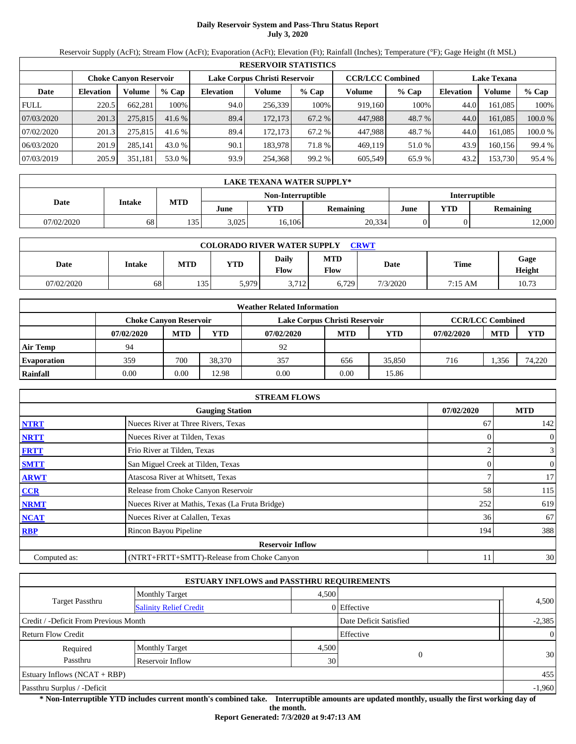# **Daily Reservoir System and Pass-Thru Status Report July 3, 2020**

Reservoir Supply (AcFt); Stream Flow (AcFt); Evaporation (AcFt); Elevation (Ft); Rainfall (Inches); Temperature (°F); Gage Height (ft MSL)

|             | <b>RESERVOIR STATISTICS</b> |                               |         |                               |         |         |                         |         |                    |         |         |  |  |
|-------------|-----------------------------|-------------------------------|---------|-------------------------------|---------|---------|-------------------------|---------|--------------------|---------|---------|--|--|
|             |                             | <b>Choke Canyon Reservoir</b> |         | Lake Corpus Christi Reservoir |         |         | <b>CCR/LCC Combined</b> |         | <b>Lake Texana</b> |         |         |  |  |
| Date        | <b>Elevation</b>            | Volume                        | $%$ Cap | <b>Elevation</b>              | Volume  | $%$ Cap | Volume                  | $%$ Cap | <b>Elevation</b>   | Volume  | % Cap   |  |  |
| <b>FULL</b> | 220.5                       | 662.281                       | 100%    | 94.0                          | 256,339 | 100%    | 919,160                 | 100%    | 44.0               | 161.085 | 100%    |  |  |
| 07/03/2020  | 201.3                       | 275,815                       | 41.6%   | 89.4                          | 172.173 | 67.2 %  | 447,988                 | 48.7 %  | 44.0               | 161.085 | 100.0 % |  |  |
| 07/02/2020  | 201.3                       | 275,815                       | 41.6%   | 89.4                          | 172.173 | 67.2 %  | 447.988                 | 48.7 %  | 44.0               | 161.085 | 100.0%  |  |  |
| 06/03/2020  | 201.9                       | 285.141                       | 43.0 %  | 90.1                          | 183.978 | 71.8%   | 469,119                 | 51.0 %  | 43.9               | 160.156 | 99.4 %  |  |  |
| 07/03/2019  | 205.9                       | 351,181                       | 53.0 %  | 93.9                          | 254,368 | 99.2 %  | 605,549                 | 65.9%   | 43.2               | 153,730 | 95.4 %  |  |  |

|            | <b>LAKE TEXANA WATER SUPPLY*</b> |            |       |                   |                      |      |     |                  |  |  |  |  |
|------------|----------------------------------|------------|-------|-------------------|----------------------|------|-----|------------------|--|--|--|--|
|            |                                  |            |       | Non-Interruptible | <b>Interruptible</b> |      |     |                  |  |  |  |  |
| Date       | Intake                           | <b>MTD</b> | June  | YTD               | <b>Remaining</b>     | June | YTD | <b>Remaining</b> |  |  |  |  |
| 07/02/2020 | 68                               | 135        | 3,025 | 16,106            | 20,334               |      |     | 12,000           |  |  |  |  |

| <b>COLORADO RIVER WATER SUPPLY</b><br><b>CRWT</b> |        |              |       |               |                           |          |         |                |  |  |
|---------------------------------------------------|--------|--------------|-------|---------------|---------------------------|----------|---------|----------------|--|--|
| Date                                              | Intake | MTD          | YTD   | Daily<br>Flow | <b>MTD</b><br><b>Flow</b> | Date     | Time    | Gage<br>Height |  |  |
| 07/02/2020                                        | 68     | 125<br>ر ز د | 5,979 | 3,712         | 6,729                     | 7/3/2020 | 7:15 AM | 10.73          |  |  |

|                    | <b>Weather Related Information</b>                                                        |            |            |            |            |        |            |            |            |  |  |  |
|--------------------|-------------------------------------------------------------------------------------------|------------|------------|------------|------------|--------|------------|------------|------------|--|--|--|
|                    | <b>CCR/LCC Combined</b><br>Lake Corpus Christi Reservoir<br><b>Choke Canyon Reservoir</b> |            |            |            |            |        |            |            |            |  |  |  |
|                    | 07/02/2020                                                                                | <b>MTD</b> | <b>YTD</b> | 07/02/2020 | <b>MTD</b> | YTD    | 07/02/2020 | <b>MTD</b> | <b>YTD</b> |  |  |  |
| <b>Air Temp</b>    | 94                                                                                        |            |            | 92         |            |        |            |            |            |  |  |  |
| <b>Evaporation</b> | 359                                                                                       | 700        | 38.370     | 357        | 656        | 35,850 | 716        | .356       | 74,220     |  |  |  |
| Rainfall           | 0.00                                                                                      | 0.00       | 12.98      | 0.00       | 0.00       | 15.86  |            |            |            |  |  |  |

|              | <b>STREAM FLOWS</b>                              |                |                |  |  |  |  |  |  |  |
|--------------|--------------------------------------------------|----------------|----------------|--|--|--|--|--|--|--|
|              | 07/02/2020                                       | <b>MTD</b>     |                |  |  |  |  |  |  |  |
| <b>NTRT</b>  | Nueces River at Three Rivers, Texas              | 67             | 142            |  |  |  |  |  |  |  |
| <b>NRTT</b>  | Nueces River at Tilden, Texas                    | $\Omega$       | $\overline{0}$ |  |  |  |  |  |  |  |
| <b>FRTT</b>  | Frio River at Tilden, Texas                      |                | $\overline{3}$ |  |  |  |  |  |  |  |
| <b>SMTT</b>  | San Miguel Creek at Tilden, Texas                | $\overline{0}$ | $\overline{0}$ |  |  |  |  |  |  |  |
| <b>ARWT</b>  | Atascosa River at Whitsett, Texas                |                | 17             |  |  |  |  |  |  |  |
| <b>CCR</b>   | Release from Choke Canyon Reservoir              | 58             | 115            |  |  |  |  |  |  |  |
| <b>NRMT</b>  | Nueces River at Mathis, Texas (La Fruta Bridge)  | 252            | 619            |  |  |  |  |  |  |  |
| <b>NCAT</b>  | Nueces River at Calallen, Texas                  | 36             | 67             |  |  |  |  |  |  |  |
| <b>RBP</b>   | Rincon Bayou Pipeline                            | 194            | 388            |  |  |  |  |  |  |  |
|              | <b>Reservoir Inflow</b>                          |                |                |  |  |  |  |  |  |  |
| Computed as: | (NTRT+FRTT+SMTT)-Release from Choke Canyon<br>11 |                |                |  |  |  |  |  |  |  |

| <b>ESTUARY INFLOWS and PASSTHRU REQUIREMENTS</b> |                               |       |                        |                |  |  |  |  |  |
|--------------------------------------------------|-------------------------------|-------|------------------------|----------------|--|--|--|--|--|
|                                                  | <b>Monthly Target</b>         | 4,500 |                        |                |  |  |  |  |  |
| Target Passthru                                  | <b>Salinity Relief Credit</b> |       | 0 Effective            | 4,500          |  |  |  |  |  |
| Credit / -Deficit From Previous Month            |                               |       | Date Deficit Satisfied | $-2,385$       |  |  |  |  |  |
| <b>Return Flow Credit</b>                        |                               |       | Effective              | $\overline{0}$ |  |  |  |  |  |
| Required                                         | <b>Monthly Target</b>         | 4,500 |                        |                |  |  |  |  |  |
| Passthru                                         | Reservoir Inflow              | 30    | $\Omega$               | 30             |  |  |  |  |  |
| Estuary Inflows $(NCAT + RBP)$                   |                               |       |                        | 455            |  |  |  |  |  |
| Passthru Surplus / -Deficit                      |                               |       |                        | $-1,960$       |  |  |  |  |  |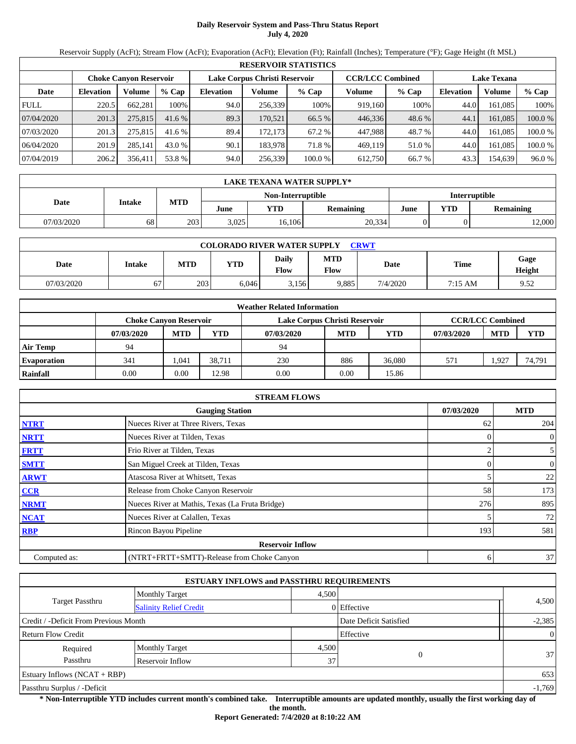# **Daily Reservoir System and Pass-Thru Status Report July 4, 2020**

Reservoir Supply (AcFt); Stream Flow (AcFt); Evaporation (AcFt); Elevation (Ft); Rainfall (Inches); Temperature (°F); Gage Height (ft MSL)

|             | <b>RESERVOIR STATISTICS</b> |                        |         |                               |         |         |                         |         |                    |         |         |  |  |
|-------------|-----------------------------|------------------------|---------|-------------------------------|---------|---------|-------------------------|---------|--------------------|---------|---------|--|--|
|             |                             | Choke Canvon Reservoir |         | Lake Corpus Christi Reservoir |         |         | <b>CCR/LCC Combined</b> |         | <b>Lake Texana</b> |         |         |  |  |
| Date        | <b>Elevation</b>            | Volume                 | $%$ Cap | <b>Elevation</b>              | Volume  | $%$ Cap | Volume                  | $%$ Cap | <b>Elevation</b>   | Volume  | $%$ Cap |  |  |
| <b>FULL</b> | 220.5                       | 662.281                | 100%    | 94.0                          | 256,339 | 100%    | 919.160                 | 100%    | 44.0               | 161.085 | 100%    |  |  |
| 07/04/2020  | 201.3                       | 275,815                | 41.6%   | 89.3                          | 170,521 | 66.5 %  | 446,336                 | 48.6 %  | 44.1               | 161,085 | 100.0 % |  |  |
| 07/03/2020  | 201.3                       | 275,815                | 41.6 %  | 89.4                          | 172.173 | 67.2 %  | 447.988                 | 48.7 %  | 44.0               | 161.085 | 100.0 % |  |  |
| 06/04/2020  | 201.9                       | 285.141                | 43.0 %  | 90.1                          | 183,978 | 71.8 %  | 469.119                 | 51.0 %  | 44.0               | 161.085 | 100.0%  |  |  |
| 07/04/2019  | 206.2                       | 356.411                | 53.8 %  | 94.0                          | 256,339 | 100.0 % | 612,750                 | 66.7 %  | 43.3               | 154,639 | 96.0%   |  |  |

|            | <b>LAKE TEXANA WATER SUPPLY*</b> |            |       |                   |           |                      |     |                  |  |  |  |
|------------|----------------------------------|------------|-------|-------------------|-----------|----------------------|-----|------------------|--|--|--|
|            |                                  |            |       | Non-Interruptible |           | <b>Interruptible</b> |     |                  |  |  |  |
| Date       | Intake                           | <b>MTD</b> | June  | YTD               | Remaining | June                 | YTD | <b>Remaining</b> |  |  |  |
| 07/03/2020 | 68                               | 203        | 3,025 | 16,106            | 20,334    |                      |     | 12,000           |  |  |  |

| <b>COLORADO RIVER WATER SUPPLY</b><br><b>CRWT</b> |        |            |       |               |                           |          |                   |                |  |  |
|---------------------------------------------------|--------|------------|-------|---------------|---------------------------|----------|-------------------|----------------|--|--|
| Date                                              | Intake | <b>MTD</b> | YTD   | Daily<br>Flow | <b>MTD</b><br><b>Flow</b> | Date     | <b>Time</b>       | Gage<br>Height |  |  |
| 07/03/2020                                        | 67     | 203        | 6.046 | 3,156         | 9,885                     | 7/4/2020 | $7:15 \text{ AM}$ | 9.52           |  |  |

| <b>Weather Related Information</b> |                                                                                           |            |            |            |            |        |            |            |            |  |  |
|------------------------------------|-------------------------------------------------------------------------------------------|------------|------------|------------|------------|--------|------------|------------|------------|--|--|
|                                    | <b>CCR/LCC Combined</b><br>Lake Corpus Christi Reservoir<br><b>Choke Canyon Reservoir</b> |            |            |            |            |        |            |            |            |  |  |
|                                    | 07/03/2020                                                                                | <b>MTD</b> | <b>YTD</b> | 07/03/2020 | <b>MTD</b> | YTD    | 07/03/2020 | <b>MTD</b> | <b>YTD</b> |  |  |
| <b>Air Temp</b>                    | 94                                                                                        |            |            | 94         |            |        |            |            |            |  |  |
| <b>Evaporation</b>                 | 341                                                                                       | 1.041      | 38.711     | 230        | 886        | 36,080 | 571        | .927       | 74,791     |  |  |
| Rainfall                           | 0.00                                                                                      | 0.00       | 12.98      | 0.00       | 0.00       | 15.86  |            |            |            |  |  |

|              | <b>STREAM FLOWS</b>                             |            |                  |  |  |  |  |  |  |  |
|--------------|-------------------------------------------------|------------|------------------|--|--|--|--|--|--|--|
|              | 07/03/2020                                      | <b>MTD</b> |                  |  |  |  |  |  |  |  |
| <b>NTRT</b>  | Nueces River at Three Rivers, Texas             | 62         | 204              |  |  |  |  |  |  |  |
| <b>NRTT</b>  | Nueces River at Tilden, Texas                   |            | $\boldsymbol{0}$ |  |  |  |  |  |  |  |
| <b>FRTT</b>  | Frio River at Tilden, Texas                     |            | $\mathfrak{S}$   |  |  |  |  |  |  |  |
| <b>SMTT</b>  | San Miguel Creek at Tilden, Texas               |            | $\boldsymbol{0}$ |  |  |  |  |  |  |  |
| <b>ARWT</b>  | Atascosa River at Whitsett, Texas               |            | 22               |  |  |  |  |  |  |  |
| <b>CCR</b>   | Release from Choke Canyon Reservoir             | 58         | 173              |  |  |  |  |  |  |  |
| <b>NRMT</b>  | Nueces River at Mathis, Texas (La Fruta Bridge) | 276        | 895              |  |  |  |  |  |  |  |
| <b>NCAT</b>  | Nueces River at Calallen, Texas                 |            | 72               |  |  |  |  |  |  |  |
| <b>RBP</b>   | Rincon Bayou Pipeline                           | 193        | 581              |  |  |  |  |  |  |  |
|              | <b>Reservoir Inflow</b>                         |            |                  |  |  |  |  |  |  |  |
| Computed as: | (NTRT+FRTT+SMTT)-Release from Choke Canyon      | 6          | 37               |  |  |  |  |  |  |  |

| <b>ESTUARY INFLOWS and PASSTHRU REQUIREMENTS</b> |                               |       |                        |                 |  |  |  |  |  |
|--------------------------------------------------|-------------------------------|-------|------------------------|-----------------|--|--|--|--|--|
|                                                  | <b>Monthly Target</b>         |       | 4,500                  |                 |  |  |  |  |  |
| <b>Target Passthru</b>                           | <b>Salinity Relief Credit</b> |       | 0 Effective            | 4,500           |  |  |  |  |  |
| Credit / -Deficit From Previous Month            |                               |       | Date Deficit Satisfied | $-2,385$        |  |  |  |  |  |
| Effective<br><b>Return Flow Credit</b>           |                               |       |                        | $\Omega$        |  |  |  |  |  |
| Required                                         | <b>Monthly Target</b>         | 4,500 |                        |                 |  |  |  |  |  |
| Passthru                                         | Reservoir Inflow              |       | $\Omega$               | 37 <sub>l</sub> |  |  |  |  |  |
| Estuary Inflows $(NCAT + RBP)$                   |                               |       |                        |                 |  |  |  |  |  |
| Passthru Surplus / -Deficit                      |                               |       |                        |                 |  |  |  |  |  |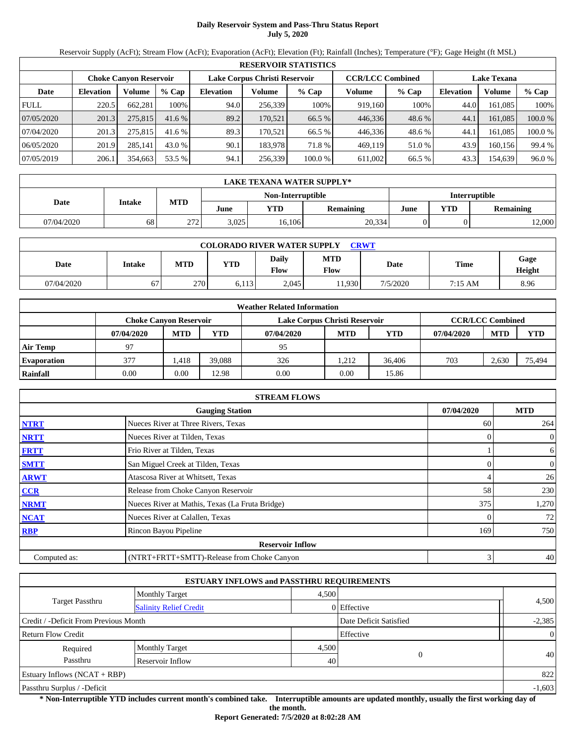# **Daily Reservoir System and Pass-Thru Status Report July 5, 2020**

Reservoir Supply (AcFt); Stream Flow (AcFt); Evaporation (AcFt); Elevation (Ft); Rainfall (Inches); Temperature (°F); Gage Height (ft MSL)

| <b>RESERVOIR STATISTICS</b> |                  |                        |         |                               |         |         |                         |         |                    |         |         |  |
|-----------------------------|------------------|------------------------|---------|-------------------------------|---------|---------|-------------------------|---------|--------------------|---------|---------|--|
|                             |                  | Choke Canvon Reservoir |         | Lake Corpus Christi Reservoir |         |         | <b>CCR/LCC Combined</b> |         | <b>Lake Texana</b> |         |         |  |
| Date                        | <b>Elevation</b> | Volume                 | $%$ Cap | <b>Elevation</b>              | Volume  | $%$ Cap | Volume                  | $%$ Cap | <b>Elevation</b>   | Volume  | $%$ Cap |  |
| <b>FULL</b>                 | 220.5            | 662.281                | 100%    | 94.0                          | 256,339 | 100%    | 919.160                 | 100%    | 44.0               | 161.085 | 100%    |  |
| 07/05/2020                  | 201.3            | 275,815                | 41.6%   | 89.2                          | 170,521 | 66.5 %  | 446,336                 | 48.6 %  | 44.1               | 161,085 | 100.0 % |  |
| 07/04/2020                  | 201.3            | 275,815                | 41.6 %  | 89.3                          | 170.521 | 66.5 %  | 446.336                 | 48.6 %  | 44.                | 161.085 | 100.0 % |  |
| 06/05/2020                  | 201.9            | 285.141                | 43.0 %  | 90.1                          | 183,978 | 71.8 %  | 469.119                 | 51.0 %  | 43.9               | 160.156 | 99.4 %  |  |
| 07/05/2019                  | 206.1            | 354,663                | 53.5 %  | 94.1                          | 256,339 | 100.0 % | 611,002                 | 66.5 %  | 43.3               | 154,639 | 96.0%   |  |

| LAKE TEXANA WATER SUPPLY* |               |            |       |                   |                      |      |     |                  |  |  |
|---------------------------|---------------|------------|-------|-------------------|----------------------|------|-----|------------------|--|--|
|                           |               |            |       | Non-Interruptible | <b>Interruptible</b> |      |     |                  |  |  |
| Date                      | <b>Intake</b> | <b>MTD</b> | June  | YTD               | Remaining            | June | YTD | <b>Remaining</b> |  |  |
| 07/04/2020                | 68            | 272<br>212 | 3.025 | 16,106            | 20,334               |      |     | 12,000           |  |  |

| <b>COLORADO RIVER WATER SUPPLY</b><br><b>CRWT</b> |        |     |            |               |                    |          |             |                       |  |  |  |
|---------------------------------------------------|--------|-----|------------|---------------|--------------------|----------|-------------|-----------------------|--|--|--|
| Date                                              | Intake | MTD | <b>YTD</b> | Daily<br>Flow | <b>MTD</b><br>Flow | Date     | <b>Time</b> | Gage<br><b>Height</b> |  |  |  |
| 07/04/2020                                        | 67     | 270 | 6.113      | 2.045         | 1.930              | 7/5/2020 | 7:15 AM     | 8.96                  |  |  |  |

| <b>Weather Related Information</b> |                               |            |            |                               |                         |            |            |            |            |  |  |
|------------------------------------|-------------------------------|------------|------------|-------------------------------|-------------------------|------------|------------|------------|------------|--|--|
|                                    | <b>Choke Canyon Reservoir</b> |            |            | Lake Corpus Christi Reservoir | <b>CCR/LCC Combined</b> |            |            |            |            |  |  |
|                                    | 07/04/2020                    | <b>MTD</b> | <b>YTD</b> | 07/04/2020                    | <b>MTD</b>              | <b>YTD</b> | 07/04/2020 | <b>MTD</b> | <b>YTD</b> |  |  |
| <b>Air Temp</b>                    | 97                            |            |            | 95                            |                         |            |            |            |            |  |  |
| <b>Evaporation</b>                 | 377                           | . 418      | 39.088     | 326                           | 1.212                   | 36,406     | 703        | 2.630      | 75,494     |  |  |
| Rainfall                           | 0.00                          | $0.00\,$   | 12.98      | 0.00                          | 0.00                    | 15.86      |            |            |            |  |  |

|              | <b>STREAM FLOWS</b>                             |            |     |                  |  |  |  |  |  |
|--------------|-------------------------------------------------|------------|-----|------------------|--|--|--|--|--|
|              | <b>Gauging Station</b>                          | 07/04/2020 |     | <b>MTD</b>       |  |  |  |  |  |
| <b>NTRT</b>  | Nueces River at Three Rivers, Texas             |            | 60  | 264              |  |  |  |  |  |
| <b>NRTT</b>  | Nueces River at Tilden, Texas                   |            |     | $\boldsymbol{0}$ |  |  |  |  |  |
| <b>FRTT</b>  | Frio River at Tilden, Texas                     |            |     | 6                |  |  |  |  |  |
| <b>SMTT</b>  | San Miguel Creek at Tilden, Texas               |            | 0   | $\boldsymbol{0}$ |  |  |  |  |  |
| <b>ARWT</b>  | Atascosa River at Whitsett, Texas               |            |     | 26               |  |  |  |  |  |
| <b>CCR</b>   | Release from Choke Canyon Reservoir             |            | 58  | 230              |  |  |  |  |  |
| <b>NRMT</b>  | Nueces River at Mathis, Texas (La Fruta Bridge) |            | 375 | 1,270            |  |  |  |  |  |
| <b>NCAT</b>  | Nueces River at Calallen, Texas                 |            |     | 72               |  |  |  |  |  |
| <b>RBP</b>   | Rincon Bayou Pipeline                           |            | 169 | 750              |  |  |  |  |  |
|              | <b>Reservoir Inflow</b>                         |            |     |                  |  |  |  |  |  |
| Computed as: | (NTRT+FRTT+SMTT)-Release from Choke Canyon      |            | 3   | 40               |  |  |  |  |  |

|                                       | <b>ESTUARY INFLOWS and PASSTHRU REQUIREMENTS</b> |       |                        |          |  |  |
|---------------------------------------|--------------------------------------------------|-------|------------------------|----------|--|--|
|                                       | <b>Monthly Target</b>                            | 4,500 |                        |          |  |  |
| <b>Target Passthru</b>                | <b>Salinity Relief Credit</b>                    |       | 0 Effective            | 4,500    |  |  |
| Credit / -Deficit From Previous Month |                                                  |       | Date Deficit Satisfied | $-2,385$ |  |  |
| <b>Return Flow Credit</b>             |                                                  |       | Effective              | $\Omega$ |  |  |
| Required                              | <b>Monthly Target</b>                            | 4,500 |                        |          |  |  |
| Passthru                              | Reservoir Inflow                                 | 40    | $\theta$               | 40       |  |  |
| Estuary Inflows $(NCAT + RBP)$        |                                                  |       |                        | 822      |  |  |
| Passthru Surplus / -Deficit           |                                                  |       |                        |          |  |  |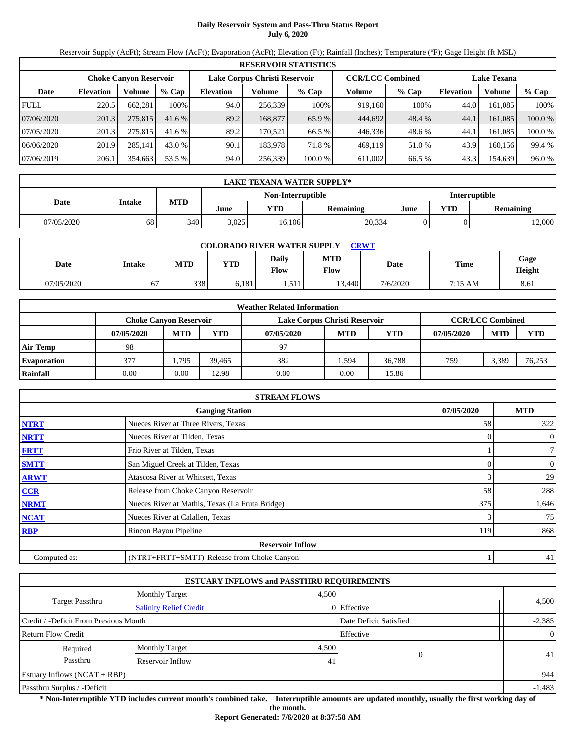# **Daily Reservoir System and Pass-Thru Status Report July 6, 2020**

Reservoir Supply (AcFt); Stream Flow (AcFt); Evaporation (AcFt); Elevation (Ft); Rainfall (Inches); Temperature (°F); Gage Height (ft MSL)

|             | <b>RESERVOIR STATISTICS</b> |                        |         |                               |         |         |                         |         |                    |         |         |  |  |
|-------------|-----------------------------|------------------------|---------|-------------------------------|---------|---------|-------------------------|---------|--------------------|---------|---------|--|--|
|             |                             | Choke Canvon Reservoir |         | Lake Corpus Christi Reservoir |         |         | <b>CCR/LCC Combined</b> |         | <b>Lake Texana</b> |         |         |  |  |
| Date        | <b>Elevation</b>            | Volume                 | $%$ Cap | <b>Elevation</b>              | Volume  | $%$ Cap | Volume                  | $%$ Cap | <b>Elevation</b>   | Volume  | $%$ Cap |  |  |
| <b>FULL</b> | 220.5                       | 662,281                | 100%    | 94.0                          | 256,339 | 100%    | 919.160                 | 100%    | 44.0               | 161.085 | 100%    |  |  |
| 07/06/2020  | 201.3                       | 275,815                | 41.6%   | 89.2                          | 168,877 | 65.9 %  | 444,692                 | 48.4 %  | 44.1               | 161,085 | 100.0 % |  |  |
| 07/05/2020  | 201.3                       | 275,815                | 41.6 %  | 89.2                          | 170.521 | 66.5 %  | 446,336                 | 48.6 %  | 44.                | 161.085 | 100.0 % |  |  |
| 06/06/2020  | 201.9                       | 285.141                | 43.0 %  | 90.1                          | 183,978 | 71.8%   | 469.119                 | 51.0 %  | 43.9               | 160.156 | 99.4 %  |  |  |
| 07/06/2019  | 206.1                       | 354,663                | 53.5 %  | 94.0                          | 256,339 | 100.0 % | 611,002                 | 66.5 %  | 43.3               | 154,639 | 96.0%   |  |  |

|            | <b>LAKE TEXANA WATER SUPPLY*</b> |            |       |                   |                  |                      |     |                  |  |  |  |
|------------|----------------------------------|------------|-------|-------------------|------------------|----------------------|-----|------------------|--|--|--|
|            |                                  |            |       | Non-Interruptible |                  | <b>Interruptible</b> |     |                  |  |  |  |
| Date       | Intake                           | <b>MTD</b> | June  | YTD               | <b>Remaining</b> | June                 | YTD | <b>Remaining</b> |  |  |  |
| 07/05/2020 | 68                               | 340        | 3,025 | 16,106            | 20,334           |                      |     | 12,000           |  |  |  |

| <b>COLORADO RIVER WATER SUPPLY</b><br><b>CRWT</b> |        |      |            |               |             |          |             |                       |  |  |  |
|---------------------------------------------------|--------|------|------------|---------------|-------------|----------|-------------|-----------------------|--|--|--|
| Date                                              | Intake | MTD  | <b>YTD</b> | Daily<br>Flow | MTD<br>Flow | Date     | <b>Time</b> | Gage<br><b>Height</b> |  |  |  |
| 07/05/2020                                        | 67     | 3381 | 6.181      | 1.511         | 13.440      | 7/6/2020 | 7:15 AM     | 8.61                  |  |  |  |

| <b>Weather Related Information</b> |                               |            |            |            |                                                          |        |            |            |            |  |  |
|------------------------------------|-------------------------------|------------|------------|------------|----------------------------------------------------------|--------|------------|------------|------------|--|--|
|                                    | <b>Choke Canyon Reservoir</b> |            |            |            | <b>CCR/LCC Combined</b><br>Lake Corpus Christi Reservoir |        |            |            |            |  |  |
|                                    | 07/05/2020                    | <b>MTD</b> | <b>YTD</b> | 07/05/2020 | <b>MTD</b>                                               | YTD    | 07/05/2020 | <b>MTD</b> | <b>YTD</b> |  |  |
| <b>Air Temp</b>                    | 98                            |            |            | 97         |                                                          |        |            |            |            |  |  |
| <b>Evaporation</b>                 | 377                           | 1.795      | 39.465     | 382        | .594                                                     | 36.788 | 759        | 3.389      | 76,253     |  |  |
| Rainfall                           | 0.00                          | 0.00       | 12.98      | 0.00       | 0.00                                                     | 15.86  |            |            |            |  |  |

|              | <b>STREAM FLOWS</b>                             |            |                |  |  |  |  |  |  |
|--------------|-------------------------------------------------|------------|----------------|--|--|--|--|--|--|
|              | 07/05/2020                                      | <b>MTD</b> |                |  |  |  |  |  |  |
| <b>NTRT</b>  | Nueces River at Three Rivers, Texas             | 58         | 322            |  |  |  |  |  |  |
| <b>NRTT</b>  | Nueces River at Tilden, Texas                   |            | $\overline{0}$ |  |  |  |  |  |  |
| <b>FRTT</b>  | Frio River at Tilden, Texas                     |            | 7 <sup>1</sup> |  |  |  |  |  |  |
| <b>SMTT</b>  | San Miguel Creek at Tilden, Texas               |            | $\overline{0}$ |  |  |  |  |  |  |
| <b>ARWT</b>  | Atascosa River at Whitsett, Texas               |            | 29             |  |  |  |  |  |  |
| <b>CCR</b>   | Release from Choke Canyon Reservoir             | 58         | 288            |  |  |  |  |  |  |
| <b>NRMT</b>  | Nueces River at Mathis, Texas (La Fruta Bridge) | 375        | 1,646          |  |  |  |  |  |  |
| <b>NCAT</b>  | Nueces River at Calallen, Texas                 |            | 75             |  |  |  |  |  |  |
| <b>RBP</b>   | Rincon Bayou Pipeline                           | 119        | 868            |  |  |  |  |  |  |
|              | <b>Reservoir Inflow</b>                         |            |                |  |  |  |  |  |  |
| Computed as: | (NTRT+FRTT+SMTT)-Release from Choke Canyon      |            | 41             |  |  |  |  |  |  |

|                                       |                               | <b>ESTUARY INFLOWS and PASSTHRU REQUIREMENTS</b> |                        |                |
|---------------------------------------|-------------------------------|--------------------------------------------------|------------------------|----------------|
|                                       | <b>Monthly Target</b>         | 4,500                                            |                        |                |
| Target Passthru                       | <b>Salinity Relief Credit</b> |                                                  | $0$ Effective          | 4,500          |
| Credit / -Deficit From Previous Month |                               |                                                  | Date Deficit Satisfied | $-2,385$       |
| <b>Return Flow Credit</b>             |                               |                                                  | Effective              | $\overline{0}$ |
| Required                              | <b>Monthly Target</b>         | 4,500                                            |                        |                |
| Passthru                              | Reservoir Inflow              | 41                                               | $\Omega$               | 41             |
| Estuary Inflows $(NCAT + RBP)$        |                               |                                                  |                        | 944            |
| Passthru Surplus / -Deficit           |                               |                                                  |                        | $-1,483$       |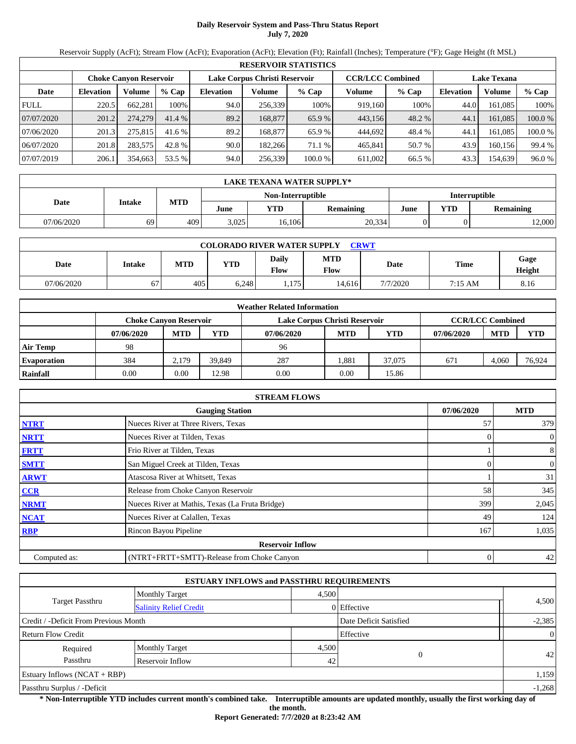# **Daily Reservoir System and Pass-Thru Status Report July 7, 2020**

Reservoir Supply (AcFt); Stream Flow (AcFt); Evaporation (AcFt); Elevation (Ft); Rainfall (Inches); Temperature (°F); Gage Height (ft MSL)

|             | <b>RESERVOIR STATISTICS</b> |                        |         |                               |                                               |         |         |         |                  |         |         |  |  |
|-------------|-----------------------------|------------------------|---------|-------------------------------|-----------------------------------------------|---------|---------|---------|------------------|---------|---------|--|--|
|             |                             | Choke Canvon Reservoir |         | Lake Corpus Christi Reservoir | <b>CCR/LCC Combined</b><br><b>Lake Texana</b> |         |         |         |                  |         |         |  |  |
| Date        | <b>Elevation</b>            | Volume                 | $%$ Cap | <b>Elevation</b>              | Volume                                        | $%$ Cap | Volume  | $%$ Cap | <b>Elevation</b> | Volume  | $%$ Cap |  |  |
| <b>FULL</b> | 220.5                       | 662,281                | 100%    | 94.0                          | 256,339                                       | 100%    | 919.160 | 100%    | 44.0             | 161.085 | 100%    |  |  |
| 07/07/2020  | 201.2                       | 274,279                | 41.4%   | 89.2                          | 168,877                                       | 65.9 %  | 443,156 | 48.2 %  | 44.1             | 161,085 | 100.0 % |  |  |
| 07/06/2020  | 201.3                       | 275,815                | 41.6 %  | 89.2                          | 168,877                                       | 65.9 %  | 444,692 | 48.4 %  | 44.              | 161.085 | 100.0 % |  |  |
| 06/07/2020  | 201.8                       | 283,575                | 42.8 %  | 90.0                          | 182,266                                       | 71.1 %  | 465,841 | 50.7 %  | 43.9             | 160.156 | 99.4 %  |  |  |
| 07/07/2019  | 206.1                       | 354,663                | 53.5 %  | 94.0                          | 256,339                                       | 100.0 % | 611,002 | 66.5 %  | 43.3             | 154,639 | 96.0%   |  |  |

|            | <b>LAKE TEXANA WATER SUPPLY*</b> |            |       |                   |                  |                      |     |           |  |  |  |  |
|------------|----------------------------------|------------|-------|-------------------|------------------|----------------------|-----|-----------|--|--|--|--|
|            |                                  |            |       | Non-Interruptible |                  | <b>Interruptible</b> |     |           |  |  |  |  |
| Date       | Intake                           | <b>MTD</b> | June  | YTD               | <b>Remaining</b> | June                 | YTD | Remaining |  |  |  |  |
| 07/06/2020 | 69                               | 409        | 3,025 | 16,106            | 20,334           |                      |     | 12,000    |  |  |  |  |

| <b>COLORADO RIVER WATER SUPPLY</b><br><b>CRWT</b> |        |     |       |               |                           |          |         |                |  |  |  |
|---------------------------------------------------|--------|-----|-------|---------------|---------------------------|----------|---------|----------------|--|--|--|
| Date                                              | Intake | MTD | YTD   | Daily<br>Flow | <b>MTD</b><br><b>Flow</b> | Date     | Time    | Gage<br>Height |  |  |  |
| 07/06/2020                                        | 67     | 405 | 6.248 | ., 175        | 14,616                    | 7/7/2020 | 7:15 AM | 8.16           |  |  |  |

| <b>Weather Related Information</b> |            |                                                                |            |            |            |            |            |            |                         |  |  |
|------------------------------------|------------|----------------------------------------------------------------|------------|------------|------------|------------|------------|------------|-------------------------|--|--|
|                                    |            | Lake Corpus Christi Reservoir<br><b>Choke Canyon Reservoir</b> |            |            |            |            |            |            | <b>CCR/LCC Combined</b> |  |  |
|                                    | 07/06/2020 | <b>MTD</b>                                                     | <b>YTD</b> | 07/06/2020 | <b>MTD</b> | <b>YTD</b> | 07/06/2020 | <b>MTD</b> | <b>YTD</b>              |  |  |
| <b>Air Temp</b>                    | 98         |                                                                |            | 96         |            |            |            |            |                         |  |  |
| <b>Evaporation</b>                 | 384        | 2.179                                                          | 39.849     | 287        | .881       | 37,075     | 671        | 4.060      | 76,924                  |  |  |
| Rainfall                           | 0.00       | $0.00\,$                                                       | 12.98      | 0.00       | 0.00       | 15.86      |            |            |                         |  |  |

|                                                    | <b>STREAM FLOWS</b>                             |              |                |  |  |  |  |  |  |  |
|----------------------------------------------------|-------------------------------------------------|--------------|----------------|--|--|--|--|--|--|--|
| <b>MTD</b><br>07/06/2020<br><b>Gauging Station</b> |                                                 |              |                |  |  |  |  |  |  |  |
| <b>NTRT</b>                                        | Nueces River at Three Rivers, Texas             | 57           | 379            |  |  |  |  |  |  |  |
| <b>NRTT</b>                                        | Nueces River at Tilden, Texas                   |              | $\overline{0}$ |  |  |  |  |  |  |  |
| <b>FRTT</b>                                        | Frio River at Tilden, Texas                     |              | 8              |  |  |  |  |  |  |  |
| <b>SMTT</b>                                        | San Miguel Creek at Tilden, Texas               | $\Omega$     | $\mathbf{0}$   |  |  |  |  |  |  |  |
| <b>ARWT</b>                                        | Atascosa River at Whitsett, Texas               |              | 31             |  |  |  |  |  |  |  |
| <b>CCR</b>                                         | Release from Choke Canyon Reservoir             | 58           | 345            |  |  |  |  |  |  |  |
| <b>NRMT</b>                                        | Nueces River at Mathis, Texas (La Fruta Bridge) | 399          | 2,045          |  |  |  |  |  |  |  |
| <b>NCAT</b>                                        | Nueces River at Calallen, Texas                 | 49           | 124            |  |  |  |  |  |  |  |
| <b>RBP</b>                                         | Rincon Bayou Pipeline                           | 167          | 1,035          |  |  |  |  |  |  |  |
|                                                    | <b>Reservoir Inflow</b>                         |              |                |  |  |  |  |  |  |  |
| Computed as:                                       | (NTRT+FRTT+SMTT)-Release from Choke Canyon      | $\mathbf{0}$ | 42             |  |  |  |  |  |  |  |

| <b>ESTUARY INFLOWS and PASSTHRU REQUIREMENTS</b> |                               |       |                        |                 |  |  |  |  |  |
|--------------------------------------------------|-------------------------------|-------|------------------------|-----------------|--|--|--|--|--|
|                                                  | <b>Monthly Target</b>         | 4,500 |                        |                 |  |  |  |  |  |
| Target Passthru                                  | <b>Salinity Relief Credit</b> |       | 0 Effective            | 4,500           |  |  |  |  |  |
| Credit / -Deficit From Previous Month            |                               |       | Date Deficit Satisfied | $-2,385$        |  |  |  |  |  |
| <b>Return Flow Credit</b>                        |                               |       | Effective              | $\Omega$        |  |  |  |  |  |
| Required                                         | <b>Monthly Target</b>         | 4,500 |                        |                 |  |  |  |  |  |
| Passthru                                         | Reservoir Inflow              | 42    | $\Omega$               | 42 <sub>1</sub> |  |  |  |  |  |
| <b>Estuary Inflows (NCAT + RBP)</b>              |                               |       |                        | 1,159           |  |  |  |  |  |
| Passthru Surplus / -Deficit                      |                               |       |                        | $-1,268$        |  |  |  |  |  |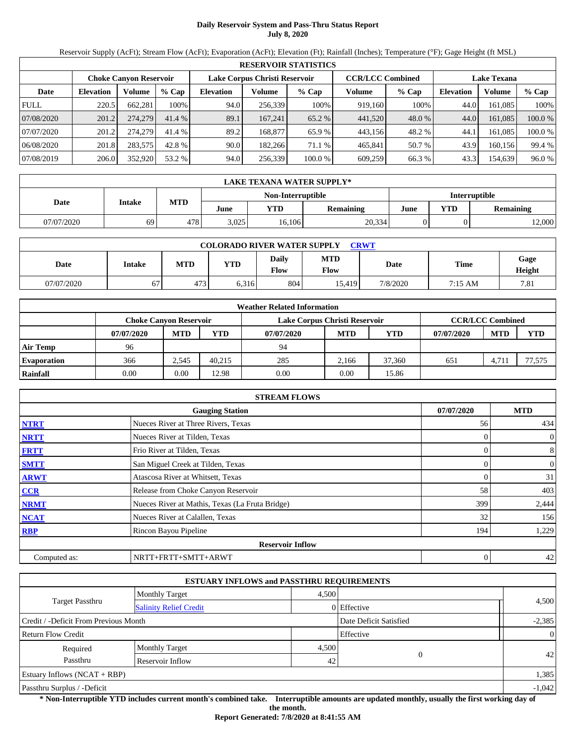# **Daily Reservoir System and Pass-Thru Status Report July 8, 2020**

Reservoir Supply (AcFt); Stream Flow (AcFt); Evaporation (AcFt); Elevation (Ft); Rainfall (Inches); Temperature (°F); Gage Height (ft MSL)

|             | <b>RESERVOIR STATISTICS</b> |                        |         |                               |                                               |         |         |         |                  |         |         |  |  |
|-------------|-----------------------------|------------------------|---------|-------------------------------|-----------------------------------------------|---------|---------|---------|------------------|---------|---------|--|--|
|             |                             | Choke Canvon Reservoir |         | Lake Corpus Christi Reservoir | <b>CCR/LCC Combined</b><br><b>Lake Texana</b> |         |         |         |                  |         |         |  |  |
| Date        | <b>Elevation</b>            | Volume                 | $%$ Cap | <b>Elevation</b>              | Volume                                        | $%$ Cap | Volume  | $%$ Cap | <b>Elevation</b> | Volume  | $%$ Cap |  |  |
| <b>FULL</b> | 220.5                       | 662,281                | 100%    | 94.0                          | 256,339                                       | 100%    | 919.160 | 100%    | 44.0             | 161.085 | 100%    |  |  |
| 07/08/2020  | 201.2                       | 274,279                | 41.4%   | 89.1                          | 167.241                                       | 65.2 %  | 441,520 | 48.0 %  | 44.0             | 161,085 | 100.0 % |  |  |
| 07/07/2020  | 201.2                       | 274,279                | 41.4 %  | 89.2                          | 168,877                                       | 65.9 %  | 443.156 | 48.2 %  | 44.              | 161.085 | 100.0 % |  |  |
| 06/08/2020  | 201.8                       | 283,575                | 42.8 %  | 90.0                          | 182,266                                       | 71.1 %  | 465,841 | 50.7 %  | 43.9             | 160.156 | 99.4 %  |  |  |
| 07/08/2019  | 206.0                       | 352,920                | 53.2 %  | 94.0                          | 256,339                                       | 100.0 % | 609,259 | 66.3 %  | 43.3             | 154,639 | 96.0%   |  |  |

| <b>LAKE TEXANA WATER SUPPLY*</b> |        |            |       |                   |           |                      |     |                  |  |  |
|----------------------------------|--------|------------|-------|-------------------|-----------|----------------------|-----|------------------|--|--|
|                                  |        |            |       | Non-Interruptible |           | <b>Interruptible</b> |     |                  |  |  |
| Date                             | Intake | <b>MTD</b> | June  | YTD               | Remaining | June                 | YTD | <b>Remaining</b> |  |  |
| 07/07/2020                       | 69     | 478        | 3,025 | 16,106            | 20,334    |                      |     | 12,000           |  |  |

| <b>COLORADO RIVER WATER SUPPLY</b><br><b>CRWT</b> |        |            |       |                      |                           |          |             |                |  |  |  |
|---------------------------------------------------|--------|------------|-------|----------------------|---------------------------|----------|-------------|----------------|--|--|--|
| Date                                              | Intake | <b>MTD</b> | YTD   | Daily<br><b>Flow</b> | <b>MTD</b><br><b>Flow</b> | Date     | <b>Time</b> | Gage<br>Height |  |  |  |
| 07/07/2020                                        |        | 473        | 0.316 | 804                  | 15.419                    | 7/8/2020 | 7:15 AM     | 7.81           |  |  |  |

| <b>Weather Related Information</b> |            |                               |            |                               |                         |        |            |            |            |  |  |
|------------------------------------|------------|-------------------------------|------------|-------------------------------|-------------------------|--------|------------|------------|------------|--|--|
|                                    |            | <b>Choke Canvon Reservoir</b> |            | Lake Corpus Christi Reservoir | <b>CCR/LCC Combined</b> |        |            |            |            |  |  |
|                                    | 07/07/2020 | <b>MTD</b>                    | <b>YTD</b> | 07/07/2020                    | <b>MTD</b>              | YTD    | 07/07/2020 | <b>MTD</b> | <b>YTD</b> |  |  |
| <b>Air Temp</b>                    | 96         |                               |            | 94                            |                         |        |            |            |            |  |  |
| <b>Evaporation</b>                 | 366        | 2,545                         | 40.215     | 285                           | 2.166                   | 37,360 | 651        | 4.711      | 77,575     |  |  |
| <b>Rainfall</b>                    | 0.00       | 0.00                          | 12.98      | 0.00                          | 0.00                    | 15.86  |            |            |            |  |  |

|                                                    | <b>STREAM FLOWS</b>                             |     |                  |  |  |  |  |  |  |  |
|----------------------------------------------------|-------------------------------------------------|-----|------------------|--|--|--|--|--|--|--|
| 07/07/2020<br><b>MTD</b><br><b>Gauging Station</b> |                                                 |     |                  |  |  |  |  |  |  |  |
| <b>NTRT</b>                                        | Nueces River at Three Rivers, Texas             | 56  | 434              |  |  |  |  |  |  |  |
| <b>NRTT</b>                                        | Nueces River at Tilden, Texas                   |     | $\boldsymbol{0}$ |  |  |  |  |  |  |  |
| <b>FRTT</b>                                        | Frio River at Tilden, Texas                     |     | 8                |  |  |  |  |  |  |  |
| <b>SMTT</b>                                        | San Miguel Creek at Tilden, Texas               |     | $\boldsymbol{0}$ |  |  |  |  |  |  |  |
| <b>ARWT</b>                                        | Atascosa River at Whitsett, Texas               |     | 31               |  |  |  |  |  |  |  |
| <b>CCR</b>                                         | Release from Choke Canyon Reservoir             | 58  | 403              |  |  |  |  |  |  |  |
| <b>NRMT</b>                                        | Nueces River at Mathis, Texas (La Fruta Bridge) | 399 | 2,444            |  |  |  |  |  |  |  |
| <b>NCAT</b>                                        | Nueces River at Calallen, Texas                 | 32  | 156              |  |  |  |  |  |  |  |
| <b>RBP</b>                                         | Rincon Bayou Pipeline                           | 194 | 1,229            |  |  |  |  |  |  |  |
|                                                    | <b>Reservoir Inflow</b>                         |     |                  |  |  |  |  |  |  |  |
| Computed as:                                       | NRTT+FRTT+SMTT+ARWT                             | 0   | 42               |  |  |  |  |  |  |  |

|                                       |                               | <b>ESTUARY INFLOWS and PASSTHRU REQUIREMENTS</b> |                        |          |  |  |
|---------------------------------------|-------------------------------|--------------------------------------------------|------------------------|----------|--|--|
|                                       | <b>Monthly Target</b>         | 4,500                                            |                        |          |  |  |
| <b>Target Passthru</b>                | <b>Salinity Relief Credit</b> |                                                  | I Effective            | 4,500    |  |  |
| Credit / -Deficit From Previous Month |                               |                                                  | Date Deficit Satisfied | $-2,385$ |  |  |
| <b>Return Flow Credit</b>             | Effective                     | $\overline{0}$                                   |                        |          |  |  |
| Required                              | <b>Monthly Target</b>         | 4,500                                            |                        |          |  |  |
| Passthru<br>Reservoir Inflow          |                               | 42                                               | $\Omega$               | 42       |  |  |
| Estuary Inflows $(NCAT + RBP)$        |                               |                                                  |                        |          |  |  |
| Passthru Surplus / -Deficit           |                               |                                                  |                        |          |  |  |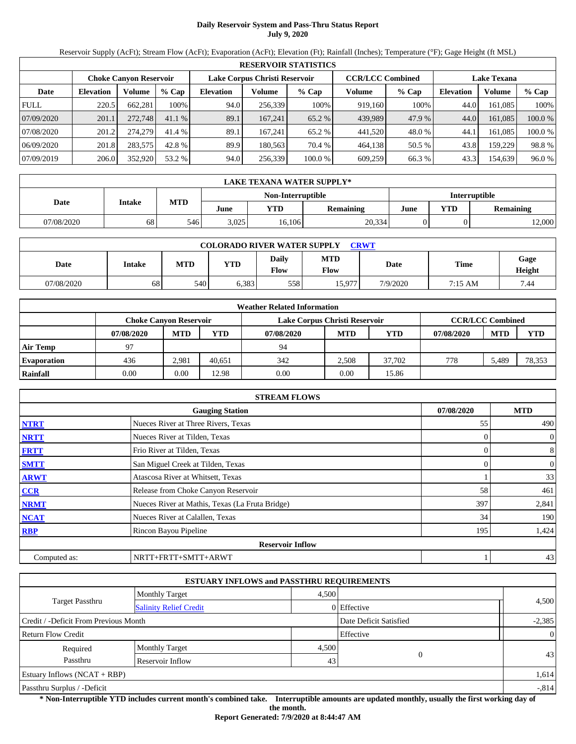# **Daily Reservoir System and Pass-Thru Status Report July 9, 2020**

Reservoir Supply (AcFt); Stream Flow (AcFt); Evaporation (AcFt); Elevation (Ft); Rainfall (Inches); Temperature (°F); Gage Height (ft MSL)

|             | <b>RESERVOIR STATISTICS</b> |                        |         |                  |                               |         |                         |         |                    |         |         |  |
|-------------|-----------------------------|------------------------|---------|------------------|-------------------------------|---------|-------------------------|---------|--------------------|---------|---------|--|
|             |                             | Choke Canvon Reservoir |         |                  | Lake Corpus Christi Reservoir |         | <b>CCR/LCC Combined</b> |         | <b>Lake Texana</b> |         |         |  |
| Date        | <b>Elevation</b>            | Volume                 | $%$ Cap | <b>Elevation</b> | Volume                        | $%$ Cap | Volume                  | $%$ Cap | <b>Elevation</b>   | Volume  | $%$ Cap |  |
| <b>FULL</b> | 220.5                       | 662,281                | 100%    | 94.0             | 256,339                       | 100%    | 919.160                 | 100%    | 44.0               | 161.085 | 100%    |  |
| 07/09/2020  | 201.1                       | 272,748                | 41.1%   | 89.1             | 167.241                       | 65.2 %  | 439.989                 | 47.9 %  | 44.0               | 161,085 | 100.0 % |  |
| 07/08/2020  | 201.2                       | 274,279                | 41.4 %  | 89.1             | 167.241                       | 65.2 %  | 441,520                 | 48.0 %  | 44.                | 161.085 | 100.0 % |  |
| 06/09/2020  | 201.8                       | 283,575                | 42.8 %  | 89.9             | 180.563                       | 70.4 %  | 464,138                 | 50.5 %  | 43.8               | 159.229 | 98.8 %  |  |
| 07/09/2019  | 206.0                       | 352,920                | 53.2 %  | 94.0             | 256,339                       | 100.0 % | 609,259                 | 66.3 %  | 43.3               | 154,639 | 96.0%   |  |

|            | <b>LAKE TEXANA WATER SUPPLY*</b> |            |       |                   |                  |                      |     |                  |  |  |
|------------|----------------------------------|------------|-------|-------------------|------------------|----------------------|-----|------------------|--|--|
|            |                                  |            |       | Non-Interruptible |                  | <b>Interruptible</b> |     |                  |  |  |
| Date       | Intake                           | <b>MTD</b> | June  | YTD               | <b>Remaining</b> | June                 | YTD | <b>Remaining</b> |  |  |
| 07/08/2020 | 68                               | 546        | 3,025 | 16,106            | 20,334           |                      |     | 12,000           |  |  |

| <b>COLORADO RIVER WATER SUPPLY</b><br><b>CRWT</b> |        |            |       |               |                           |          |             |                |  |  |
|---------------------------------------------------|--------|------------|-------|---------------|---------------------------|----------|-------------|----------------|--|--|
| Date                                              | Intake | <b>MTD</b> | YTD   | Daily<br>Flow | <b>MTD</b><br><b>Flow</b> | Date     | <b>Time</b> | Gage<br>Height |  |  |
| 07/08/2020                                        | 68     | 540        | 0.383 | 558           | 15.977                    | 7/9/2020 | 7:15 AM     | 7.44           |  |  |

|                    | <b>Weather Related Information</b> |                                                                                           |            |            |            |            |            |            |            |  |  |
|--------------------|------------------------------------|-------------------------------------------------------------------------------------------|------------|------------|------------|------------|------------|------------|------------|--|--|
|                    |                                    | <b>CCR/LCC Combined</b><br>Lake Corpus Christi Reservoir<br><b>Choke Canyon Reservoir</b> |            |            |            |            |            |            |            |  |  |
|                    | 07/08/2020                         | <b>MTD</b>                                                                                | <b>YTD</b> | 07/08/2020 | <b>MTD</b> | <b>YTD</b> | 07/08/2020 | <b>MTD</b> | <b>YTD</b> |  |  |
| <b>Air Temp</b>    | 97                                 |                                                                                           |            | 94         |            |            |            |            |            |  |  |
| <b>Evaporation</b> | 436                                | 2.981                                                                                     | 40.651     | 342        | 2.508      | 37,702     | 778        | 5.489      | 78,353     |  |  |
| Rainfall           | 0.00                               | $0.00\,$                                                                                  | 12.98      | 0.00       | 0.00       | 15.86      |            |            |            |  |  |

|              | <b>STREAM FLOWS</b>                             |            |                |
|--------------|-------------------------------------------------|------------|----------------|
|              | <b>Gauging Station</b>                          | 07/08/2020 | <b>MTD</b>     |
| <b>NTRT</b>  | Nueces River at Three Rivers, Texas             | 55         | 490            |
| <b>NRTT</b>  | Nueces River at Tilden, Texas                   |            | $\overline{0}$ |
| <b>FRTT</b>  | Frio River at Tilden, Texas                     |            | 8              |
| <b>SMTT</b>  | San Miguel Creek at Tilden, Texas               |            | $\mathbf{0}$   |
| <b>ARWT</b>  | Atascosa River at Whitsett, Texas               |            | 33             |
| <b>CCR</b>   | Release from Choke Canyon Reservoir             | 58         | 461            |
| <b>NRMT</b>  | Nueces River at Mathis, Texas (La Fruta Bridge) | 397        | 2,841          |
| <b>NCAT</b>  | Nueces River at Calallen, Texas                 | 34         | 190            |
| <b>RBP</b>   | Rincon Bayou Pipeline                           | 195        | 1,424          |
|              | <b>Reservoir Inflow</b>                         |            |                |
| Computed as: | NRTT+FRTT+SMTT+ARWT                             |            | 43             |

|                                       | <b>ESTUARY INFLOWS and PASSTHRU REQUIREMENTS</b> |       |                        |                |  |  |
|---------------------------------------|--------------------------------------------------|-------|------------------------|----------------|--|--|
|                                       | 4.500<br><b>Monthly Target</b>                   |       |                        |                |  |  |
| Target Passthru                       | <b>Salinity Relief Credit</b>                    |       | 0 Effective            | 4,500          |  |  |
| Credit / -Deficit From Previous Month |                                                  |       | Date Deficit Satisfied | $-2,385$       |  |  |
| <b>Return Flow Credit</b>             |                                                  |       | Effective              | $\overline{0}$ |  |  |
| Required                              | <b>Monthly Target</b>                            | 4,500 |                        |                |  |  |
| Passthru                              | Reservoir Inflow                                 | 43    | $\Omega$               | 43             |  |  |
| Estuary Inflows $(NCAT + RBP)$        |                                                  |       |                        | 1,614          |  |  |
| Passthru Surplus / -Deficit           |                                                  |       |                        |                |  |  |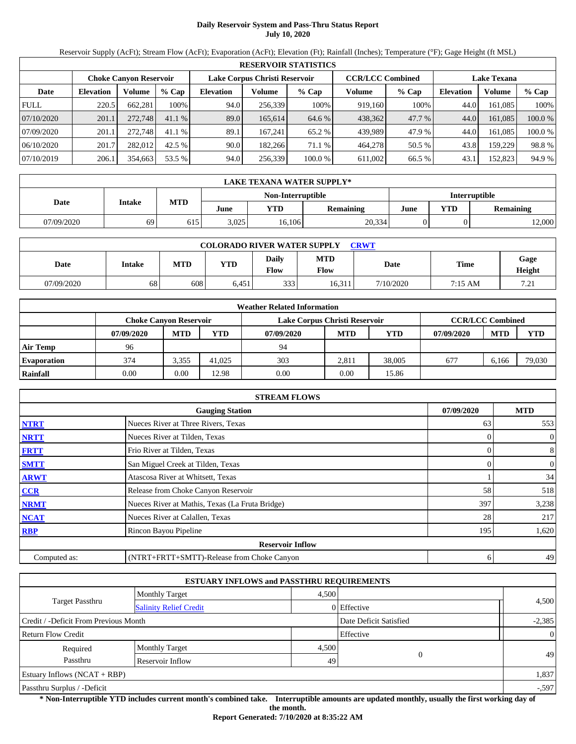# **Daily Reservoir System and Pass-Thru Status Report July 10, 2020**

Reservoir Supply (AcFt); Stream Flow (AcFt); Evaporation (AcFt); Elevation (Ft); Rainfall (Inches); Temperature (°F); Gage Height (ft MSL)

|             | <b>RESERVOIR STATISTICS</b> |                        |         |                  |                               |         |                         |         |                    |         |         |  |
|-------------|-----------------------------|------------------------|---------|------------------|-------------------------------|---------|-------------------------|---------|--------------------|---------|---------|--|
|             |                             | Choke Canvon Reservoir |         |                  | Lake Corpus Christi Reservoir |         | <b>CCR/LCC Combined</b> |         | <b>Lake Texana</b> |         |         |  |
| Date        | <b>Elevation</b>            | Volume                 | $%$ Cap | <b>Elevation</b> | Volume                        | $%$ Cap | Volume                  | $%$ Cap | <b>Elevation</b>   | Volume  | % Cap   |  |
| <b>FULL</b> | 220.5                       | 662,281                | 100%    | 94.0             | 256,339                       | 100%    | 919.160                 | 100%    | 44.0               | 161.085 | 100%    |  |
| 07/10/2020  | 201.1                       | 272,748                | 41.1%   | 89.0             | 165,614                       | 64.6 %  | 438,362                 | 47.7 %  | 44.0               | 161,085 | 100.0 % |  |
| 07/09/2020  | 201.1                       | 272,748                | 41.1%   | 89.1             | 167.241                       | 65.2 %  | 439.989                 | 47.9 %  | 44.0               | 161.085 | 100.0 % |  |
| 06/10/2020  | 201.7                       | 282,012                | 42.5 %  | 90.0             | 182,266                       | 71.1 %  | 464,278                 | 50.5 %  | 43.8               | 159.229 | 98.8 %  |  |
| 07/10/2019  | 206.1                       | 354,663                | 53.5 %  | 94.0             | 256,339                       | 100.0 % | 611,002                 | 66.5 %  | 43.1               | 152,823 | 94.9 %  |  |

|            | LAKE TEXANA WATER SUPPLY* |            |       |                   |           |                      |     |                  |  |  |
|------------|---------------------------|------------|-------|-------------------|-----------|----------------------|-----|------------------|--|--|
|            |                           |            |       | Non-Interruptible |           | <b>Interruptible</b> |     |                  |  |  |
| Date       | Intake                    | <b>MTD</b> | June  | YTD               | Remaining | June                 | YTD | <b>Remaining</b> |  |  |
| 07/09/2020 | 69                        | 615        | 3.025 | 16,106            | 20,334    |                      |     | 12,000           |  |  |

| <b>COLORADO RIVER WATER SUPPLY</b><br><b>CRWT</b> |        |     |            |                      |                    |           |           |                |  |  |
|---------------------------------------------------|--------|-----|------------|----------------------|--------------------|-----------|-----------|----------------|--|--|
| Date                                              | Intake | MTD | <b>YTD</b> | Daily<br><b>Flow</b> | <b>MTD</b><br>Flow | Date      | Time      | Gage<br>Height |  |  |
| 07/09/2020                                        | 68     | 608 | 6.451      | 333                  | 6.311              | 7/10/2020 | $7:15$ AM | 72<br>ل که ا   |  |  |

|                    | <b>Weather Related Information</b> |            |            |            |                                                          |        |            |            |            |  |  |
|--------------------|------------------------------------|------------|------------|------------|----------------------------------------------------------|--------|------------|------------|------------|--|--|
|                    | <b>Choke Canvon Reservoir</b>      |            |            |            | <b>CCR/LCC Combined</b><br>Lake Corpus Christi Reservoir |        |            |            |            |  |  |
|                    | 07/09/2020                         | <b>MTD</b> | <b>YTD</b> | 07/09/2020 | <b>MTD</b>                                               | YTD    | 07/09/2020 | <b>MTD</b> | <b>YTD</b> |  |  |
| <b>Air Temp</b>    | 96                                 |            |            | 94         |                                                          |        |            |            |            |  |  |
| <b>Evaporation</b> | 374                                | 3.355      | 41,025     | 303        | 2.811                                                    | 38,005 | 677        | 6.166      | 79,030     |  |  |
| Rainfall           | 0.00                               | 0.00       | 12.98      | 0.00       | 0.00                                                     | 15.86  |            |            |            |  |  |

|              | <b>STREAM FLOWS</b>                             |            |                  |
|--------------|-------------------------------------------------|------------|------------------|
|              | 07/09/2020                                      | <b>MTD</b> |                  |
| <b>NTRT</b>  | Nueces River at Three Rivers, Texas             | 63         | 553              |
| <b>NRTT</b>  | Nueces River at Tilden, Texas                   |            | $\boldsymbol{0}$ |
| <b>FRTT</b>  | Frio River at Tilden, Texas                     | 0          | 8                |
| <b>SMTT</b>  | San Miguel Creek at Tilden, Texas               | 0          | $\boldsymbol{0}$ |
| <b>ARWT</b>  | Atascosa River at Whitsett, Texas               |            | 34               |
| <b>CCR</b>   | Release from Choke Canyon Reservoir             | 58         | 518              |
| <b>NRMT</b>  | Nueces River at Mathis, Texas (La Fruta Bridge) | 397        | 3,238            |
| <b>NCAT</b>  | Nueces River at Calallen, Texas                 | 28         | 217              |
| <b>RBP</b>   | Rincon Bayou Pipeline                           | 195        | 1,620            |
|              | <b>Reservoir Inflow</b>                         |            |                  |
| Computed as: | (NTRT+FRTT+SMTT)-Release from Choke Canyon      | 6          | 49               |

|                                       | <b>ESTUARY INFLOWS and PASSTHRU REQUIREMENTS</b> |          |                        |          |  |  |
|---------------------------------------|--------------------------------------------------|----------|------------------------|----------|--|--|
|                                       | <b>Monthly Target</b>                            |          | 4,500                  |          |  |  |
| <b>Target Passthru</b>                | <b>Salinity Relief Credit</b>                    |          | 0 Effective            | 4,500    |  |  |
| Credit / -Deficit From Previous Month |                                                  |          | Date Deficit Satisfied | $-2,385$ |  |  |
| <b>Return Flow Credit</b>             | Effective                                        | $\Omega$ |                        |          |  |  |
| Required                              | <b>Monthly Target</b>                            | 4,500    |                        |          |  |  |
| Passthru                              | Reservoir Inflow                                 | 49       | $\theta$               | 49       |  |  |
| Estuary Inflows $(NCAT + RBP)$        |                                                  |          |                        | 1,837    |  |  |
| Passthru Surplus / -Deficit           |                                                  |          |                        |          |  |  |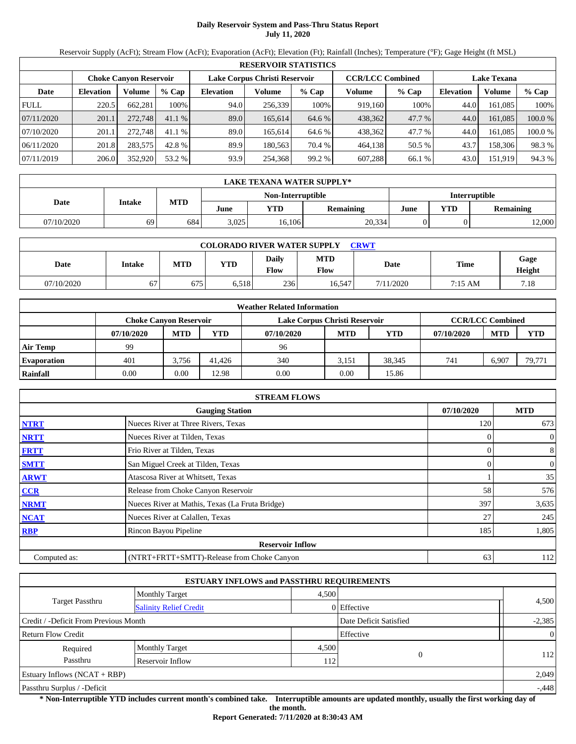# **Daily Reservoir System and Pass-Thru Status Report July 11, 2020**

Reservoir Supply (AcFt); Stream Flow (AcFt); Evaporation (AcFt); Elevation (Ft); Rainfall (Inches); Temperature (°F); Gage Height (ft MSL)

|             | <b>RESERVOIR STATISTICS</b> |                               |         |                               |         |         |                         |         |                    |         |         |  |  |
|-------------|-----------------------------|-------------------------------|---------|-------------------------------|---------|---------|-------------------------|---------|--------------------|---------|---------|--|--|
|             |                             | <b>Choke Canyon Reservoir</b> |         | Lake Corpus Christi Reservoir |         |         | <b>CCR/LCC Combined</b> |         | <b>Lake Texana</b> |         |         |  |  |
| Date        | <b>Elevation</b>            | Volume                        | $%$ Cap | <b>Elevation</b>              | Volume  | $%$ Cap | Volume                  | $%$ Cap | <b>Elevation</b>   | Volume  | $%$ Cap |  |  |
| <b>FULL</b> | 220.5                       | 662,281                       | 100%    | 94.0                          | 256,339 | 100%    | 919.160                 | 100%    | 44.0               | 161.085 | 100%    |  |  |
| 07/11/2020  | 201.1                       | 272,748                       | 41.1%   | 89.0                          | 165.614 | 64.6 %  | 438,362                 | 47.7 %  | 44.0               | 161,085 | 100.0 % |  |  |
| 07/10/2020  | 201.1                       | 272,748                       | 41.1%   | 89.0                          | 165.614 | 64.6 %  | 438,362                 | 47.7 %  | 44.0               | 161.085 | 100.0 % |  |  |
| 06/11/2020  | 201.8                       | 283,575                       | 42.8 %  | 89.9                          | 180.563 | 70.4 %  | 464,138                 | 50.5 %  | 43.7               | 158,306 | 98.3 %  |  |  |
| 07/11/2019  | 206.0                       | 352,920                       | 53.2 %  | 93.9                          | 254,368 | 99.2 %  | 607,288                 | 66.1 %  | 43.0               | 151,919 | 94.3 %  |  |  |

|            | <b>LAKE TEXANA WATER SUPPLY*</b> |            |       |                   |                  |                      |     |           |  |  |  |
|------------|----------------------------------|------------|-------|-------------------|------------------|----------------------|-----|-----------|--|--|--|
|            |                                  |            |       | Non-Interruptible |                  | <b>Interruptible</b> |     |           |  |  |  |
| Date       | Intake                           | <b>MTD</b> | June  | YTD               | <b>Remaining</b> | June                 | YTD | Remaining |  |  |  |
| 07/10/2020 | 69                               | 684        | 3,025 | 16,106            | 20,334           |                      |     | 12,000    |  |  |  |

| <b>COLORADO RIVER WATER SUPPLY</b><br><b>CRWT</b> |        |     |            |               |                    |           |           |                |  |  |
|---------------------------------------------------|--------|-----|------------|---------------|--------------------|-----------|-----------|----------------|--|--|
| Date                                              | Intake | MTD | <b>YTD</b> | Daily<br>Flow | <b>MTD</b><br>Flow | Date      | Time      | Gage<br>Height |  |  |
| 07/10/2020                                        | 67     | 675 | 6.518      | 236           | 16.547             | 7/11/2020 | $7:15$ AM | 7.18           |  |  |

| <b>Weather Related Information</b> |                               |            |            |                               |                         |            |            |            |            |  |  |
|------------------------------------|-------------------------------|------------|------------|-------------------------------|-------------------------|------------|------------|------------|------------|--|--|
|                                    | <b>Choke Canyon Reservoir</b> |            |            | Lake Corpus Christi Reservoir | <b>CCR/LCC Combined</b> |            |            |            |            |  |  |
|                                    | 07/10/2020                    | <b>MTD</b> | <b>YTD</b> | 07/10/2020                    | <b>MTD</b>              | <b>YTD</b> | 07/10/2020 | <b>MTD</b> | <b>YTD</b> |  |  |
| <b>Air Temp</b>                    | 99                            |            |            | 96                            |                         |            |            |            |            |  |  |
| <b>Evaporation</b>                 | 401                           | 3.756      | 41.426     | 340                           | 3.151                   | 38.345     | 741        | 6.907      | 79,771     |  |  |
| Rainfall                           | 0.00                          | $0.00\,$   | 12.98      | 0.00                          | 0.00                    | 15.86      |            |            |            |  |  |

|              | <b>STREAM FLOWS</b>                             |            |                  |  |  |  |  |  |  |
|--------------|-------------------------------------------------|------------|------------------|--|--|--|--|--|--|
|              | 07/10/2020                                      | <b>MTD</b> |                  |  |  |  |  |  |  |
| <b>NTRT</b>  | Nueces River at Three Rivers, Texas             | 120        | 673              |  |  |  |  |  |  |
| <b>NRTT</b>  | Nueces River at Tilden, Texas                   | 0          | $\boldsymbol{0}$ |  |  |  |  |  |  |
| <b>FRTT</b>  | Frio River at Tilden, Texas                     | 0          | 8                |  |  |  |  |  |  |
| <b>SMTT</b>  | San Miguel Creek at Tilden, Texas               | 0          | $\boldsymbol{0}$ |  |  |  |  |  |  |
| <b>ARWT</b>  | Atascosa River at Whitsett, Texas               |            | 35               |  |  |  |  |  |  |
| <b>CCR</b>   | Release from Choke Canyon Reservoir             | 58         | 576              |  |  |  |  |  |  |
| <b>NRMT</b>  | Nueces River at Mathis, Texas (La Fruta Bridge) | 397        | 3,635            |  |  |  |  |  |  |
| <b>NCAT</b>  | Nueces River at Calallen, Texas                 | 27         | 245              |  |  |  |  |  |  |
| <b>RBP</b>   | Rincon Bayou Pipeline                           | 185        | 1,805            |  |  |  |  |  |  |
|              | <b>Reservoir Inflow</b>                         |            |                  |  |  |  |  |  |  |
| Computed as: | (NTRT+FRTT+SMTT)-Release from Choke Canyon      | 63         | 112              |  |  |  |  |  |  |

| <b>ESTUARY INFLOWS and PASSTHRU REQUIREMENTS</b> |                               |       |                        |              |  |  |  |  |
|--------------------------------------------------|-------------------------------|-------|------------------------|--------------|--|--|--|--|
|                                                  | <b>Monthly Target</b>         | 4,500 |                        |              |  |  |  |  |
| <b>Target Passthru</b>                           | <b>Salinity Relief Credit</b> |       | $0$ Effective          | 4,500        |  |  |  |  |
| Credit / -Deficit From Previous Month            |                               |       | Date Deficit Satisfied | $-2,385$     |  |  |  |  |
| <b>Return Flow Credit</b>                        |                               |       | Effective              | $\mathbf{0}$ |  |  |  |  |
| Required                                         | <b>Monthly Target</b>         | 4,500 |                        |              |  |  |  |  |
| Passthru                                         | Reservoir Inflow              | 112   |                        | 112          |  |  |  |  |
| Estuary Inflows $(NCAT + RBP)$                   |                               |       |                        | 2,049        |  |  |  |  |
| Passthru Surplus / -Deficit                      |                               |       |                        | $-0.448$     |  |  |  |  |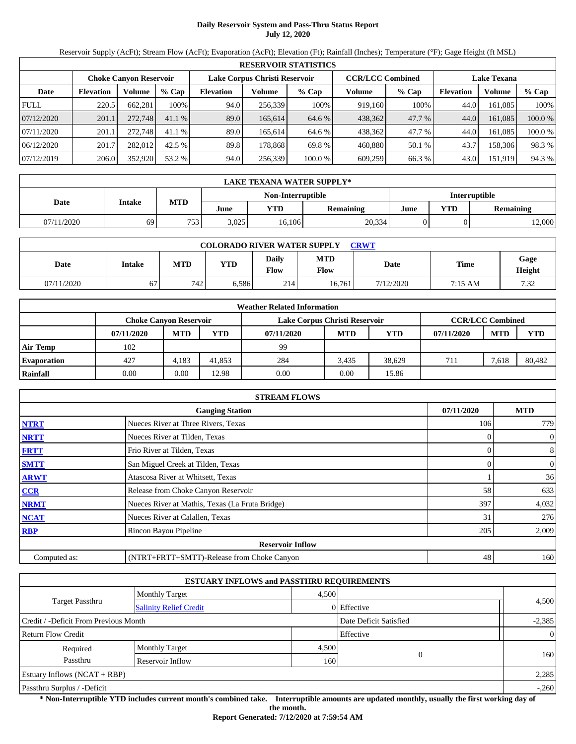# **Daily Reservoir System and Pass-Thru Status Report July 12, 2020**

Reservoir Supply (AcFt); Stream Flow (AcFt); Evaporation (AcFt); Elevation (Ft); Rainfall (Inches); Temperature (°F); Gage Height (ft MSL)

|             | <b>RESERVOIR STATISTICS</b> |                        |         |                  |                               |         |         |                         |                    |         |         |  |  |
|-------------|-----------------------------|------------------------|---------|------------------|-------------------------------|---------|---------|-------------------------|--------------------|---------|---------|--|--|
|             |                             | Choke Canvon Reservoir |         |                  | Lake Corpus Christi Reservoir |         |         | <b>CCR/LCC Combined</b> | <b>Lake Texana</b> |         |         |  |  |
| Date        | <b>Elevation</b>            | Volume                 | $%$ Cap | <b>Elevation</b> | Volume                        | $%$ Cap | Volume  | $%$ Cap                 | <b>Elevation</b>   | Volume  | $%$ Cap |  |  |
| <b>FULL</b> | 220.5                       | 662,281                | 100%    | 94.0             | 256,339                       | 100%    | 919.160 | 100%                    | 44.0               | 161.085 | 100%    |  |  |
| 07/12/2020  | 201.1                       | 272,748                | 41.1%   | 89.0             | 165.614                       | 64.6 %  | 438,362 | 47.7 %                  | 44.0               | 161,085 | 100.0 % |  |  |
| 07/11/2020  | 201.1                       | 272,748                | 41.1%   | 89.0             | 165.614                       | 64.6 %  | 438,362 | 47.7 %                  | 44.0               | 161.085 | 100.0 % |  |  |
| 06/12/2020  | 201.7                       | 282,012                | 42.5 %  | 89.8             | 178,868                       | 69.8 %  | 460,880 | 50.1 %                  | 43.7               | 158,306 | 98.3 %  |  |  |
| 07/12/2019  | 206.0                       | 352,920                | 53.2 %  | 94.0             | 256,339                       | 100.0 % | 609,259 | 66.3 %                  | 43.0               | 151,919 | 94.3 %  |  |  |

|            | <b>LAKE TEXANA WATER SUPPLY*</b> |            |       |                   |                  |                      |     |           |  |  |  |
|------------|----------------------------------|------------|-------|-------------------|------------------|----------------------|-----|-----------|--|--|--|
|            |                                  |            |       | Non-Interruptible |                  | <b>Interruptible</b> |     |           |  |  |  |
| Date       | <b>Intake</b>                    | <b>MTD</b> | June  | YTD               | <b>Remaining</b> | June                 | YTD | Remaining |  |  |  |
| 07/11/2020 | 69                               | 753        | 3,025 | 16,106            | 20,334           |                      |     | 12,000    |  |  |  |

| <b>COLORADO RIVER WATER SUPPLY</b><br><b>CRWT</b> |        |     |            |               |                           |           |         |                |  |  |
|---------------------------------------------------|--------|-----|------------|---------------|---------------------------|-----------|---------|----------------|--|--|
| Date                                              | Intake | MTD | <b>YTD</b> | Daily<br>Flow | <b>MTD</b><br><b>Flow</b> | Date      | Time    | Gage<br>Height |  |  |
| 07/11/2020                                        | 67     | 742 | 5.586      | 214           | 16.761                    | 7/12/2020 | 7:15 AM | 7.32           |  |  |

| <b>Weather Related Information</b> |                               |            |            |                               |                         |            |            |            |            |  |  |
|------------------------------------|-------------------------------|------------|------------|-------------------------------|-------------------------|------------|------------|------------|------------|--|--|
|                                    | <b>Choke Canyon Reservoir</b> |            |            | Lake Corpus Christi Reservoir | <b>CCR/LCC Combined</b> |            |            |            |            |  |  |
|                                    | 07/11/2020                    | <b>MTD</b> | <b>YTD</b> | 07/11/2020                    | <b>MTD</b>              | <b>YTD</b> | 07/11/2020 | <b>MTD</b> | <b>YTD</b> |  |  |
| <b>Air Temp</b>                    | 102                           |            |            | 99                            |                         |            |            |            |            |  |  |
| <b>Evaporation</b>                 | 427                           | 4.183      | 41,853     | 284                           | 3.435                   | 38.629     | 711        | 7.618      | 80.482     |  |  |
| Rainfall                           | 0.00                          | $0.00\,$   | 12.98      | 0.00                          | 0.00                    | 15.86      |            |            |            |  |  |

|              | <b>STREAM FLOWS</b>                             |            |                |  |  |  |  |  |  |  |
|--------------|-------------------------------------------------|------------|----------------|--|--|--|--|--|--|--|
|              | 07/11/2020                                      | <b>MTD</b> |                |  |  |  |  |  |  |  |
| <b>NTRT</b>  | Nueces River at Three Rivers, Texas             | 106        | 779            |  |  |  |  |  |  |  |
| <b>NRTT</b>  | Nueces River at Tilden, Texas                   |            | $\overline{0}$ |  |  |  |  |  |  |  |
| <b>FRTT</b>  | Frio River at Tilden, Texas                     |            | 8              |  |  |  |  |  |  |  |
| <b>SMTT</b>  | San Miguel Creek at Tilden, Texas               | $\Omega$   | $\mathbf{0}$   |  |  |  |  |  |  |  |
| <b>ARWT</b>  | Atascosa River at Whitsett, Texas               |            | 36             |  |  |  |  |  |  |  |
| <b>CCR</b>   | Release from Choke Canyon Reservoir             | 58         | 633            |  |  |  |  |  |  |  |
| <b>NRMT</b>  | Nueces River at Mathis, Texas (La Fruta Bridge) | 397        | 4,032          |  |  |  |  |  |  |  |
| <b>NCAT</b>  | Nueces River at Calallen, Texas                 | 31         | 276            |  |  |  |  |  |  |  |
| <b>RBP</b>   | Rincon Bayou Pipeline                           | 205        | 2,009          |  |  |  |  |  |  |  |
|              | <b>Reservoir Inflow</b>                         |            |                |  |  |  |  |  |  |  |
| Computed as: | (NTRT+FRTT+SMTT)-Release from Choke Canyon      | 48         | 160            |  |  |  |  |  |  |  |

|                                       |                               | <b>ESTUARY INFLOWS and PASSTHRU REQUIREMENTS</b> |                        |                |
|---------------------------------------|-------------------------------|--------------------------------------------------|------------------------|----------------|
|                                       | <b>Monthly Target</b>         | 4,500                                            |                        |                |
| Target Passthru                       | <b>Salinity Relief Credit</b> |                                                  | $0$ Effective          | 4,500          |
| Credit / -Deficit From Previous Month |                               |                                                  | Date Deficit Satisfied | $-2,385$       |
| <b>Return Flow Credit</b>             |                               |                                                  | Effective              | $\overline{0}$ |
| Required                              | <b>Monthly Target</b>         | 4,500                                            | $\Omega$               |                |
| Passthru                              | Reservoir Inflow              | 160                                              |                        | 160            |
| Estuary Inflows $(NCAT + RBP)$        |                               |                                                  |                        | 2,285          |
| Passthru Surplus / -Deficit           |                               |                                                  |                        | $-.260$        |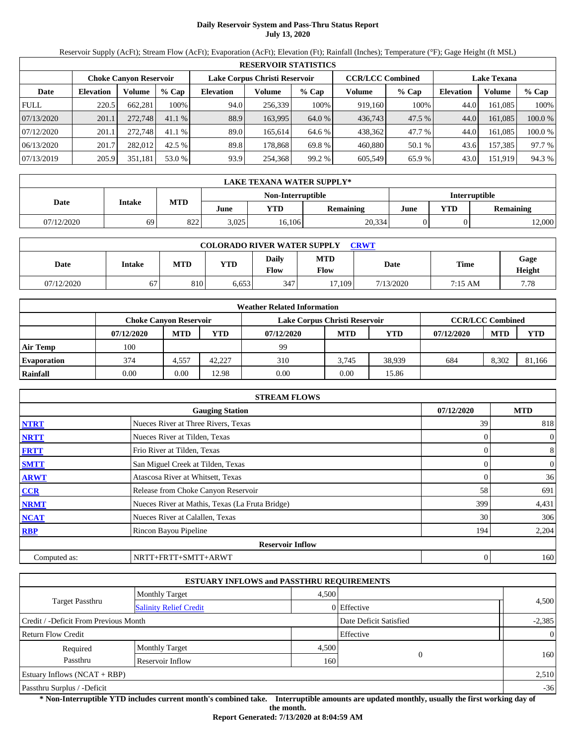# **Daily Reservoir System and Pass-Thru Status Report July 13, 2020**

Reservoir Supply (AcFt); Stream Flow (AcFt); Evaporation (AcFt); Elevation (Ft); Rainfall (Inches); Temperature (°F); Gage Height (ft MSL)

|             | <b>RESERVOIR STATISTICS</b> |                               |         |                               |         |         |                         |        |                    |         |         |  |  |
|-------------|-----------------------------|-------------------------------|---------|-------------------------------|---------|---------|-------------------------|--------|--------------------|---------|---------|--|--|
|             |                             | <b>Choke Canyon Reservoir</b> |         | Lake Corpus Christi Reservoir |         |         | <b>CCR/LCC Combined</b> |        | <b>Lake Texana</b> |         |         |  |  |
| Date        | <b>Elevation</b>            | Volume                        | $%$ Cap | <b>Elevation</b>              | Volume  | $%$ Cap | Volume                  | % Cap  | <b>Elevation</b>   | Volume  | % Cap   |  |  |
| <b>FULL</b> | 220.5                       | 662,281                       | 100%    | 94.0                          | 256,339 | 100%    | 919,160                 | 100%   | 44.0               | 161,085 | 100%    |  |  |
| 07/13/2020  | 201.1                       | 272,748                       | 41.1%   | 88.9                          | 163,995 | 64.0 %  | 436,743                 | 47.5 % | 44.0               | 161.085 | 100.0 % |  |  |
| 07/12/2020  | 201.1                       | 272,748                       | 41.1%   | 89.0                          | 165.614 | 64.6 %  | 438,362                 | 47.7 % | 44.0               | 161.085 | 100.0 % |  |  |
| 06/13/2020  | 201.7                       | 282,012                       | 42.5 %  | 89.8                          | 178.868 | 69.8 %  | 460,880                 | 50.1 % | 43.6               | 157,385 | 97.7 %  |  |  |
| 07/13/2019  | 205.9                       | 351,181                       | 53.0 %  | 93.9                          | 254,368 | 99.2 %  | 605,549                 | 65.9%  | 43.0               | 151,919 | 94.3 %  |  |  |

|            | LAKE TEXANA WATER SUPPLY*                 |            |       |        |                  |      |     |           |  |  |  |  |
|------------|-------------------------------------------|------------|-------|--------|------------------|------|-----|-----------|--|--|--|--|
|            | Non-Interruptible<br><b>Interruptible</b> |            |       |        |                  |      |     |           |  |  |  |  |
| Date       | <b>Intake</b>                             | <b>MTD</b> | June  | YTD    | <b>Remaining</b> | June | YTD | Remaining |  |  |  |  |
| 07/12/2020 | 69                                        | 822        | 3,025 | 16.106 | 20,334           |      |     | 12,000    |  |  |  |  |

| <b>COLORADO RIVER WATER SUPPLY</b><br><b>CRWT</b> |        |     |            |               |                    |           |           |                |  |  |
|---------------------------------------------------|--------|-----|------------|---------------|--------------------|-----------|-----------|----------------|--|--|
| Date                                              | Intake | MTD | <b>YTD</b> | Daily<br>Flow | <b>MTD</b><br>Flow | Date      | Time      | Gage<br>Height |  |  |
| 07/12/2020                                        | 67     | 810 | 6.653      | 347           | 17.109             | 7/13/2020 | $7:15$ AM | 7.78           |  |  |

| <b>Weather Related Information</b> |            |                                                                                           |            |            |            |            |            |            |            |  |  |
|------------------------------------|------------|-------------------------------------------------------------------------------------------|------------|------------|------------|------------|------------|------------|------------|--|--|
|                                    |            | <b>CCR/LCC Combined</b><br>Lake Corpus Christi Reservoir<br><b>Choke Canyon Reservoir</b> |            |            |            |            |            |            |            |  |  |
|                                    | 07/12/2020 | <b>MTD</b>                                                                                | <b>YTD</b> | 07/12/2020 | <b>MTD</b> | <b>YTD</b> | 07/12/2020 | <b>MTD</b> | <b>YTD</b> |  |  |
| <b>Air Temp</b>                    | 100        |                                                                                           |            | 99         |            |            |            |            |            |  |  |
| <b>Evaporation</b>                 | 374        | 4,557                                                                                     | 42.227     | 310        | 3.745      | 38.939     | 684        | 8.302      | 81,166     |  |  |
| Rainfall                           | 0.00       | $0.00\,$                                                                                  | 12.98      | 0.00       | 0.00       | 15.86      |            |            |            |  |  |

|              | <b>STREAM FLOWS</b>                             |            |                |
|--------------|-------------------------------------------------|------------|----------------|
|              | <b>Gauging Station</b>                          | 07/12/2020 | <b>MTD</b>     |
| <b>NTRT</b>  | Nueces River at Three Rivers, Texas             | 39         | 818            |
| <b>NRTT</b>  | Nueces River at Tilden, Texas                   |            | $\overline{0}$ |
| <b>FRTT</b>  | Frio River at Tilden, Texas                     |            | 8              |
| <b>SMTT</b>  | San Miguel Creek at Tilden, Texas               |            | $\mathbf{0}$   |
| <b>ARWT</b>  | Atascosa River at Whitsett, Texas               |            | 36             |
| <b>CCR</b>   | Release from Choke Canyon Reservoir             | 58         | 691            |
| <b>NRMT</b>  | Nueces River at Mathis, Texas (La Fruta Bridge) | 399        | 4,431          |
| <b>NCAT</b>  | Nueces River at Calallen, Texas                 | 30         | 306            |
| <b>RBP</b>   | Rincon Bayou Pipeline                           | 194        | 2,204          |
|              | <b>Reservoir Inflow</b>                         |            |                |
| Computed as: | NRTT+FRTT+SMTT+ARWT                             | 0          | 160            |

|                                       | <b>ESTUARY INFLOWS and PASSTHRU REQUIREMENTS</b> |       |                        |                |  |  |
|---------------------------------------|--------------------------------------------------|-------|------------------------|----------------|--|--|
|                                       | <b>Monthly Target</b>                            | 4.500 |                        |                |  |  |
| <b>Target Passthru</b>                | <b>Salinity Relief Credit</b>                    |       | 0 Effective            | 4,500          |  |  |
| Credit / -Deficit From Previous Month |                                                  |       | Date Deficit Satisfied | $-2,385$       |  |  |
| <b>Return Flow Credit</b>             |                                                  |       | Effective              | $\overline{0}$ |  |  |
| Required                              | <b>Monthly Target</b>                            | 4,500 |                        |                |  |  |
| Passthru                              | Reservoir Inflow                                 | 160   |                        | 160            |  |  |
| Estuary Inflows $(NCAT + RBP)$        |                                                  |       |                        | 2,510          |  |  |
| Passthru Surplus / -Deficit           |                                                  |       |                        |                |  |  |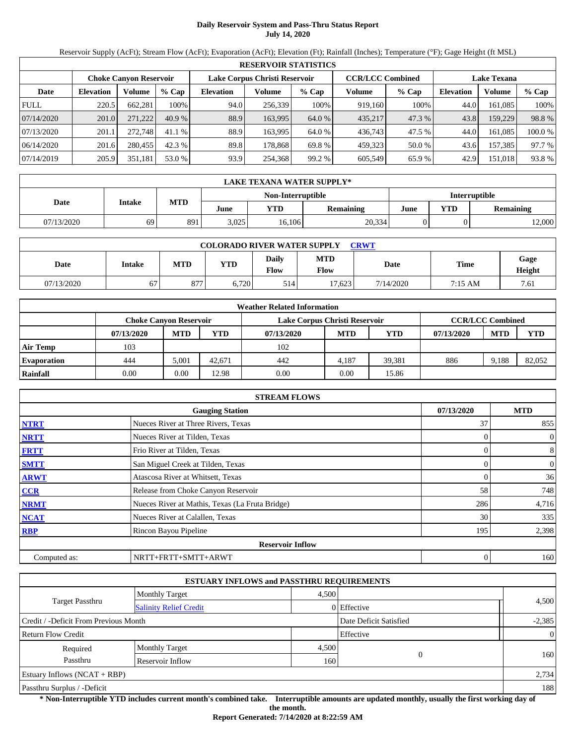# **Daily Reservoir System and Pass-Thru Status Report July 14, 2020**

Reservoir Supply (AcFt); Stream Flow (AcFt); Evaporation (AcFt); Elevation (Ft); Rainfall (Inches); Temperature (°F); Gage Height (ft MSL)

|             | <b>RESERVOIR STATISTICS</b> |                               |         |                               |         |         |                         |         |                    |         |        |  |  |
|-------------|-----------------------------|-------------------------------|---------|-------------------------------|---------|---------|-------------------------|---------|--------------------|---------|--------|--|--|
|             |                             | <b>Choke Canyon Reservoir</b> |         | Lake Corpus Christi Reservoir |         |         | <b>CCR/LCC Combined</b> |         | <b>Lake Texana</b> |         |        |  |  |
| Date        | <b>Elevation</b>            | Volume                        | $%$ Cap | <b>Elevation</b>              | Volume  | $%$ Cap | Volume                  | $%$ Cap | <b>Elevation</b>   | Volume  | % Cap  |  |  |
| <b>FULL</b> | 220.5                       | 662.281                       | 100%    | 94.0                          | 256,339 | 100%    | 919,160                 | 100%    | 44.0               | 161.085 | 100%   |  |  |
| 07/14/2020  | 201.0                       | 271.222                       | 40.9%   | 88.9                          | 163.995 | 64.0 %  | 435.217                 | 47.3 %  | 43.8               | 159.229 | 98.8%  |  |  |
| 07/13/2020  | 201.1                       | 272.748                       | 41.1%   | 88.9                          | 163.995 | 64.0 %  | 436.743                 | 47.5 %  | 44.0               | 161.085 | 100.0% |  |  |
| 06/14/2020  | 201.6                       | 280,455                       | 42.3 %  | 89.8                          | 178.868 | 69.8%   | 459.323                 | 50.0 %  | 43.6               | 157.385 | 97.7 % |  |  |
| 07/14/2019  | 205.9                       | 351,181                       | 53.0 %  | 93.9                          | 254,368 | 99.2 %  | 605,549                 | 65.9%   | 42.9               | 151,018 | 93.8 % |  |  |

|            | LAKE TEXANA WATER SUPPLY* |            |       |        |                  |      |     |                      |  |  |  |  |
|------------|---------------------------|------------|-------|--------|------------------|------|-----|----------------------|--|--|--|--|
|            | Non-Interruptible         |            |       |        |                  |      |     | <b>Interruptible</b> |  |  |  |  |
| Date       | <b>Intake</b>             | <b>MTD</b> | June  | YTD    | <b>Remaining</b> | June | YTD | Remaining            |  |  |  |  |
| 07/13/2020 | 69                        | 891        | 3,025 | 16.106 | 20,334           |      |     | 12,000               |  |  |  |  |

| <b>COLORADO RIVER WATER SUPPLY</b><br><b>CRWT</b> |        |     |            |               |                    |           |             |                |  |  |
|---------------------------------------------------|--------|-----|------------|---------------|--------------------|-----------|-------------|----------------|--|--|
| Date                                              | Intake | MTD | <b>YTD</b> | Daily<br>Flow | <b>MTD</b><br>Flow | Date      | <b>Time</b> | Gage<br>Height |  |  |
| 07/13/2020                                        | 67     | 877 | 6.720      | 514           | 17.623             | 7/14/2020 | 7:15 AM     | 7.61           |  |  |

| <b>Weather Related Information</b> |                                                                                           |            |            |            |            |            |            |            |            |  |  |
|------------------------------------|-------------------------------------------------------------------------------------------|------------|------------|------------|------------|------------|------------|------------|------------|--|--|
|                                    | <b>CCR/LCC Combined</b><br>Lake Corpus Christi Reservoir<br><b>Choke Canyon Reservoir</b> |            |            |            |            |            |            |            |            |  |  |
|                                    | 07/13/2020                                                                                | <b>MTD</b> | <b>YTD</b> | 07/13/2020 | <b>MTD</b> | <b>YTD</b> | 07/13/2020 | <b>MTD</b> | <b>YTD</b> |  |  |
| <b>Air Temp</b>                    | 103                                                                                       |            |            | 102        |            |            |            |            |            |  |  |
| <b>Evaporation</b>                 | 444                                                                                       | 5.001      | 42.671     | 442        | 4.187      | 39.381     | 886        | 9.188      | 82,052     |  |  |
| Rainfall                           | 0.00                                                                                      | $0.00\,$   | 12.98      | 0.00       | 0.00       | 15.86      |            |            |            |  |  |

|              | <b>STREAM FLOWS</b>                             |            |                |
|--------------|-------------------------------------------------|------------|----------------|
|              | <b>Gauging Station</b>                          | 07/13/2020 | <b>MTD</b>     |
| <b>NTRT</b>  | Nueces River at Three Rivers, Texas             | 37         | 855            |
| <b>NRTT</b>  | Nueces River at Tilden, Texas                   |            | $\overline{0}$ |
| <b>FRTT</b>  | Frio River at Tilden, Texas                     |            | 8              |
| <b>SMTT</b>  | San Miguel Creek at Tilden, Texas               |            | $\mathbf{0}$   |
| <b>ARWT</b>  | Atascosa River at Whitsett, Texas               |            | 36             |
| <b>CCR</b>   | Release from Choke Canyon Reservoir             | 58         | 748            |
| <b>NRMT</b>  | Nueces River at Mathis, Texas (La Fruta Bridge) | 286        | 4,716          |
| <b>NCAT</b>  | Nueces River at Calallen, Texas                 | 30         | 335            |
| <b>RBP</b>   | Rincon Bayou Pipeline                           | 195        | 2,398          |
|              | <b>Reservoir Inflow</b>                         |            |                |
| Computed as: | NRTT+FRTT+SMTT+ARWT                             | 0          | 160            |

|                                       | <b>ESTUARY INFLOWS and PASSTHRU REQUIREMENTS</b> |       |                        |                |
|---------------------------------------|--------------------------------------------------|-------|------------------------|----------------|
|                                       | <b>Monthly Target</b>                            | 4.500 |                        |                |
| Target Passthru                       | <b>Salinity Relief Credit</b>                    |       | 0 Effective            | 4,500          |
| Credit / -Deficit From Previous Month |                                                  |       | Date Deficit Satisfied | $-2,385$       |
| <b>Return Flow Credit</b>             |                                                  |       | Effective              | $\overline{0}$ |
| Required                              | <b>Monthly Target</b>                            | 4,500 |                        |                |
| Passthru                              | Reservoir Inflow                                 | 160   | $\Omega$               | 160            |
| Estuary Inflows $(NCAT + RBP)$        |                                                  |       |                        | 2,734          |
| Passthru Surplus / -Deficit           |                                                  |       |                        | 188            |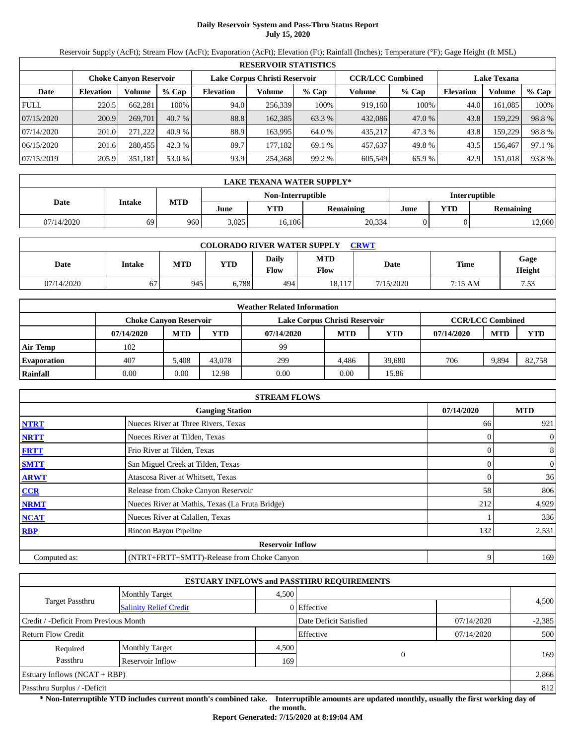# **Daily Reservoir System and Pass-Thru Status Report July 15, 2020**

Reservoir Supply (AcFt); Stream Flow (AcFt); Evaporation (AcFt); Elevation (Ft); Rainfall (Inches); Temperature (°F); Gage Height (ft MSL)

|             | <b>RESERVOIR STATISTICS</b>   |         |         |                  |                               |         |         |                         |                    |         |        |  |
|-------------|-------------------------------|---------|---------|------------------|-------------------------------|---------|---------|-------------------------|--------------------|---------|--------|--|
|             | <b>Choke Canvon Reservoir</b> |         |         |                  | Lake Corpus Christi Reservoir |         |         | <b>CCR/LCC Combined</b> | <b>Lake Texana</b> |         |        |  |
| Date        | <b>Elevation</b>              | Volume  | $%$ Cap | <b>Elevation</b> | Volume                        | $%$ Cap | Volume  | $%$ Cap                 | <b>Elevation</b>   | Volume  | % Cap  |  |
| <b>FULL</b> | 220.5                         | 662,281 | 100%    | 94.0             | 256,339                       | 100%    | 919,160 | 100%                    | 44.0               | 161.085 | 100%   |  |
| 07/15/2020  | 200.9                         | 269,701 | 40.7%   | 88.8             | 162,385                       | 63.3 %  | 432,086 | 47.0 %                  | 43.8               | 159,229 | 98.8%  |  |
| 07/14/2020  | 201.0                         | 271.222 | 40.9%   | 88.9             | 163.995                       | 64.0 %  | 435,217 | 47.3 %                  | 43.8               | 159,229 | 98.8%  |  |
| 06/15/2020  | 201.6                         | 280,455 | 42.3 %  | 89.7             | 177.182                       | 69.1 %  | 457,637 | 49.8%                   | 43.5               | 156.467 | 97.1 % |  |
| 07/15/2019  | 205.9                         | 351,181 | 53.0 %  | 93.9             | 254,368                       | 99.2 %  | 605,549 | 65.9%                   | 42.9               | 151,018 | 93.8%  |  |

|            | LAKE TEXANA WATER SUPPLY* |            |       |                   |                  |               |            |                  |  |  |
|------------|---------------------------|------------|-------|-------------------|------------------|---------------|------------|------------------|--|--|
|            | <b>Intake</b>             |            |       | Non-Interruptible |                  | Interruptible |            |                  |  |  |
| Date       |                           | <b>MTD</b> | June  | YTD               | <b>Remaining</b> | June          | <b>YTD</b> | <b>Remaining</b> |  |  |
| 07/14/2020 | 69                        | 960        | 3,025 | 16,106            | 20,334           |               |            | 12,000           |  |  |

| <b>COLORADO RIVER WATER SUPPLY</b><br><b>CRWT</b> |               |            |       |                             |                    |           |             |                |  |  |  |
|---------------------------------------------------|---------------|------------|-------|-----------------------------|--------------------|-----------|-------------|----------------|--|--|--|
| Date                                              | <b>Intake</b> | <b>MTD</b> | YTD   | <b>Daily</b><br><b>Flow</b> | <b>MTD</b><br>Flow | Date      | <b>Time</b> | Gage<br>Height |  |  |  |
| 07/14/2020                                        | 67            | 945        | 0.788 | 494                         | 18.117             | 7/15/2020 | 7:15 AM     | 7.53           |  |  |  |

|                    |                               |            |            | <b>Weather Related Information</b> |            |        |            |                         |            |
|--------------------|-------------------------------|------------|------------|------------------------------------|------------|--------|------------|-------------------------|------------|
|                    | <b>Choke Canvon Reservoir</b> |            |            | Lake Corpus Christi Reservoir      |            |        |            | <b>CCR/LCC Combined</b> |            |
|                    | 07/14/2020                    | <b>MTD</b> | <b>YTD</b> | 07/14/2020                         | <b>MTD</b> | YTD    | 07/14/2020 | <b>MTD</b>              | <b>YTD</b> |
| <b>Air Temp</b>    | 102                           |            |            | 99                                 |            |        |            |                         |            |
| <b>Evaporation</b> | 407                           | 5.408      | 43,078     | 299                                | 4.486      | 39,680 | 706        | 9.894                   | 82,758     |
| <b>Rainfall</b>    | 0.00                          | 0.00       | 12.98      | 0.00                               | 0.00       | 15.86  |            |                         |            |

|              | <b>STREAM FLOWS</b>                             |            |                  |
|--------------|-------------------------------------------------|------------|------------------|
|              | <b>Gauging Station</b>                          | 07/14/2020 | <b>MTD</b>       |
| <b>NTRT</b>  | Nueces River at Three Rivers, Texas             | 66         | 921              |
| <b>NRTT</b>  | Nueces River at Tilden, Texas                   |            | $\boldsymbol{0}$ |
| <b>FRTT</b>  | Frio River at Tilden, Texas                     | 0          | 8                |
| <b>SMTT</b>  | San Miguel Creek at Tilden, Texas               |            | $\boldsymbol{0}$ |
| <b>ARWT</b>  | Atascosa River at Whitsett, Texas               |            | 36               |
| <b>CCR</b>   | Release from Choke Canyon Reservoir             | 58         | 806              |
| <b>NRMT</b>  | Nueces River at Mathis, Texas (La Fruta Bridge) | 212        | 4,929            |
| <b>NCAT</b>  | Nueces River at Calallen, Texas                 |            | 336              |
| <b>RBP</b>   | Rincon Bayou Pipeline                           | 132        | 2,531            |
|              | <b>Reservoir Inflow</b>                         |            |                  |
| Computed as: | (NTRT+FRTT+SMTT)-Release from Choke Canyon      | 9          | 169              |

|                                                         |                       |       | <b>ESTUARY INFLOWS and PASSTHRU REQUIREMENTS</b> |            |          |
|---------------------------------------------------------|-----------------------|-------|--------------------------------------------------|------------|----------|
|                                                         | <b>Monthly Target</b> | 4,500 |                                                  |            | 4,500    |
| <b>Target Passthru</b><br><b>Salinity Relief Credit</b> |                       |       | 0 Effective                                      |            |          |
| Credit / -Deficit From Previous Month                   |                       |       | Date Deficit Satisfied                           | 07/14/2020 | $-2,385$ |
| <b>Return Flow Credit</b>                               |                       |       | Effective                                        | 07/14/2020 | 500      |
| Required                                                | <b>Monthly Target</b> | 4,500 |                                                  |            |          |
| Passthru                                                | Reservoir Inflow      | 169   | $\Omega$                                         |            | 169      |
| Estuary Inflows $(NCAT + RBP)$                          |                       |       |                                                  |            | 2,866    |
| Passthru Surplus / -Deficit                             |                       |       |                                                  |            | 812      |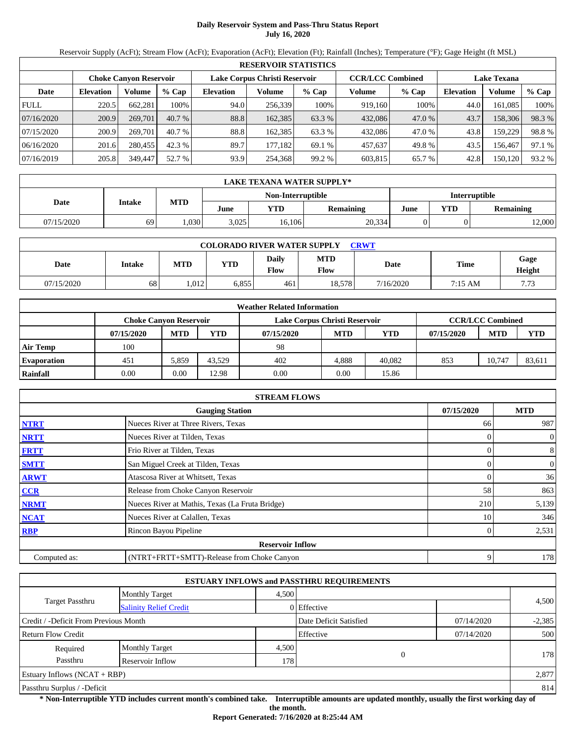# **Daily Reservoir System and Pass-Thru Status Report July 16, 2020**

Reservoir Supply (AcFt); Stream Flow (AcFt); Evaporation (AcFt); Elevation (Ft); Rainfall (Inches); Temperature (°F); Gage Height (ft MSL)

|             | <b>RESERVOIR STATISTICS</b>                             |         |         |                  |         |                         |         |         |                  |                    |        |  |
|-------------|---------------------------------------------------------|---------|---------|------------------|---------|-------------------------|---------|---------|------------------|--------------------|--------|--|
|             | Lake Corpus Christi Reservoir<br>Choke Canvon Reservoir |         |         |                  |         | <b>CCR/LCC Combined</b> |         |         |                  | <b>Lake Texana</b> |        |  |
| Date        | <b>Elevation</b>                                        | Volume  | $%$ Cap | <b>Elevation</b> | Volume  | $%$ Cap                 | Volume  | $%$ Cap | <b>Elevation</b> | Volume             | % Cap  |  |
| <b>FULL</b> | 220.5                                                   | 662,281 | 100%    | 94.0             | 256.339 | 100%                    | 919.160 | 100%    | 44.0             | 161.085            | 100%   |  |
| 07/16/2020  | 200.9                                                   | 269,701 | 40.7%   | 88.8             | 162,385 | 63.3 %                  | 432,086 | 47.0 %  | 43.7             | 158,306            | 98.3%  |  |
| 07/15/2020  | 200.9                                                   | 269,701 | 40.7%   | 88.8             | 162.385 | 63.3 %                  | 432.086 | 47.0 %  | 43.8             | 159.229            | 98.8%  |  |
| 06/16/2020  | 201.6                                                   | 280,455 | 42.3 %  | 89.7             | 177.182 | 69.1 %                  | 457,637 | 49.8%   | 43.5             | 156.467            | 97.1 % |  |
| 07/16/2019  | 205.8                                                   | 349,447 | 52.7 %  | 93.9             | 254,368 | 99.2 %                  | 603,815 | 65.7 %  | 42.8             | 150,120            | 93.2 % |  |

|            | LAKE TEXANA WATER SUPPLY* |            |       |                   |           |                      |     |           |  |  |
|------------|---------------------------|------------|-------|-------------------|-----------|----------------------|-----|-----------|--|--|
|            | <b>Intake</b>             | <b>MTD</b> |       | Non-Interruptible |           | <b>Interruptible</b> |     |           |  |  |
| Date       |                           |            | June  | YTD               | Remaining | June                 | YTD | Remaining |  |  |
| 07/15/2020 | 69                        | ,030       | 3.025 | 16.106            | 20,334    |                      |     | 12,000    |  |  |

| <b>COLORADO RIVER WATER SUPPLY</b><br><b>CRWT</b> |        |            |            |                      |                    |           |         |                |  |  |
|---------------------------------------------------|--------|------------|------------|----------------------|--------------------|-----------|---------|----------------|--|--|
| Date                                              | Intake | <b>MTD</b> | <b>VTD</b> | Daily<br><b>Flow</b> | <b>MTD</b><br>Flow | Date      | Time    | Gage<br>Height |  |  |
| 07/15/2020                                        | 68     | 1.012      | 6,855      | 461                  | 18,578             | 7/16/2020 | 7:15 AM | 7.73           |  |  |

|                    |                               |            |        | <b>Weather Related Information</b> |            |        |            |                         |            |
|--------------------|-------------------------------|------------|--------|------------------------------------|------------|--------|------------|-------------------------|------------|
|                    | <b>Choke Canvon Reservoir</b> |            |        | Lake Corpus Christi Reservoir      |            |        |            | <b>CCR/LCC Combined</b> |            |
|                    | 07/15/2020                    | <b>MTD</b> | YTD    | 07/15/2020                         | <b>MTD</b> | YTD    | 07/15/2020 | <b>MTD</b>              | <b>YTD</b> |
| <b>Air Temp</b>    | 100                           |            |        | 98                                 |            |        |            |                         |            |
| <b>Evaporation</b> | 451                           | 5.859      | 43.529 | 402                                | 4.888      | 40.082 | 853        | 10.747                  | 83,611     |
| Rainfall           | 0.00                          | 0.00       | 12.98  | 0.00                               | 0.00       | 15.86  |            |                         |            |

|              | <b>STREAM FLOWS</b>                             |            |                  |
|--------------|-------------------------------------------------|------------|------------------|
|              | <b>Gauging Station</b>                          | 07/15/2020 | <b>MTD</b>       |
| <b>NTRT</b>  | Nueces River at Three Rivers, Texas             | 66         | 987              |
| <b>NRTT</b>  | Nueces River at Tilden, Texas                   |            | $\overline{0}$   |
| <b>FRTT</b>  | Frio River at Tilden, Texas                     |            | 8                |
| <b>SMTT</b>  | San Miguel Creek at Tilden, Texas               |            | $\boldsymbol{0}$ |
| <b>ARWT</b>  | Atascosa River at Whitsett, Texas               |            | 36               |
| CCR          | Release from Choke Canyon Reservoir             | 58         | 863              |
| <b>NRMT</b>  | Nueces River at Mathis, Texas (La Fruta Bridge) | 210        | 5,139            |
| <b>NCAT</b>  | Nueces River at Calallen, Texas                 | 10         | 346              |
| <b>RBP</b>   | Rincon Bayou Pipeline                           |            | 2,531            |
|              | <b>Reservoir Inflow</b>                         |            |                  |
| Computed as: | (NTRT+FRTT+SMTT)-Release from Choke Canyon      | 9          | 178              |

|                                                  |                       |       | <b>ESTUARY INFLOWS and PASSTHRU REQUIREMENTS</b> |            |          |
|--------------------------------------------------|-----------------------|-------|--------------------------------------------------|------------|----------|
|                                                  | <b>Monthly Target</b> | 4,500 |                                                  |            |          |
| Target Passthru<br><b>Salinity Relief Credit</b> |                       |       | $0$ Effective                                    |            | 4,500    |
| Credit / -Deficit From Previous Month            |                       |       | Date Deficit Satisfied                           | 07/14/2020 | $-2,385$ |
| <b>Return Flow Credit</b>                        |                       |       | Effective                                        | 07/14/2020 | 500      |
| Required                                         | <b>Monthly Target</b> | 4,500 |                                                  |            |          |
| Passthru                                         | Reservoir Inflow      | 178   | $\Omega$                                         |            | 178      |
| Estuary Inflows $(NCAT + RBP)$                   |                       |       |                                                  |            | 2,877    |
| Passthru Surplus / -Deficit                      |                       |       |                                                  | 814        |          |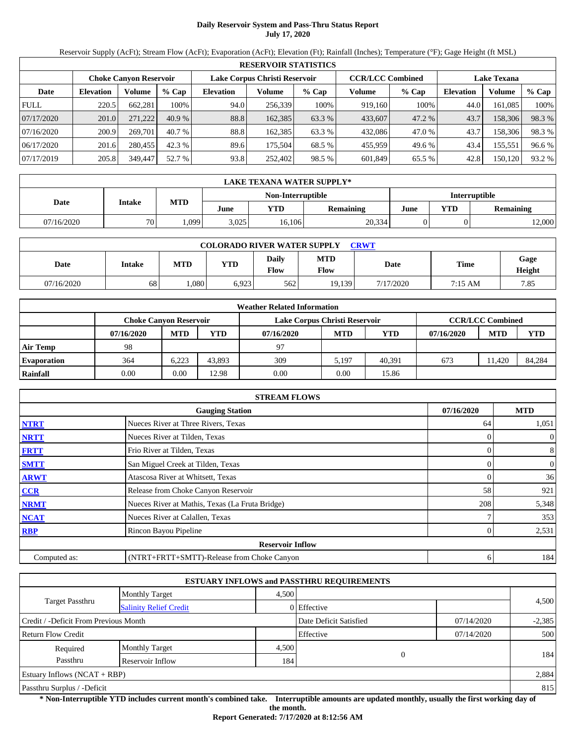# **Daily Reservoir System and Pass-Thru Status Report July 17, 2020**

Reservoir Supply (AcFt); Stream Flow (AcFt); Evaporation (AcFt); Elevation (Ft); Rainfall (Inches); Temperature (°F); Gage Height (ft MSL)

|             | <b>RESERVOIR STATISTICS</b> |                               |         |                  |                               |         |                         |         |                    |         |        |  |
|-------------|-----------------------------|-------------------------------|---------|------------------|-------------------------------|---------|-------------------------|---------|--------------------|---------|--------|--|
|             |                             | <b>Choke Canvon Reservoir</b> |         |                  | Lake Corpus Christi Reservoir |         | <b>CCR/LCC Combined</b> |         | <b>Lake Texana</b> |         |        |  |
| Date        | <b>Elevation</b>            | Volume                        | $%$ Cap | <b>Elevation</b> | Volume                        | $%$ Cap | Volume                  | $%$ Cap | <b>Elevation</b>   | Volume  | % Cap  |  |
| <b>FULL</b> | 220.5                       | 662,281                       | 100%    | 94.0             | 256.339                       | 100%    | 919.160                 | 100%    | 44.0               | 161.085 | 100%   |  |
| 07/17/2020  | 201.0                       | 271.222                       | 40.9%   | 88.8             | 162,385                       | 63.3 %  | 433,607                 | 47.2 %  | 43.7               | 158,306 | 98.3%  |  |
| 07/16/2020  | 200.9                       | 269,701                       | 40.7%   | 88.8             | 162.385                       | 63.3 %  | 432.086                 | 47.0 %  | 43.7               | 158,306 | 98.3 % |  |
| 06/17/2020  | 201.6                       | 280,455                       | 42.3 %  | 89.6             | 175.504                       | 68.5 %  | 455,959                 | 49.6 %  | 43.4               | 155,551 | 96.6 % |  |
| 07/17/2019  | 205.8                       | 349,447                       | 52.7 %  | 93.8             | 252,402                       | 98.5 %  | 601,849                 | 65.5 %  | 42.8               | 150,120 | 93.2 % |  |

|            | LAKE TEXANA WATER SUPPLY* |            |       |                   |           |                      |     |           |  |  |
|------------|---------------------------|------------|-------|-------------------|-----------|----------------------|-----|-----------|--|--|
|            | <b>Intake</b>             | <b>MTD</b> |       | Non-Interruptible |           | <b>Interruptible</b> |     |           |  |  |
| Date       |                           |            | June  | YTD               | Remaining | June                 | YTD | Remaining |  |  |
| 07/16/2020 | 70                        | ,099       | 3.025 | 16.106            | 20,334    |                      |     | 12,000    |  |  |

| <b>COLORADO RIVER WATER SUPPLY</b><br>CRWT |        |            |       |                               |                    |           |         |                |  |  |  |
|--------------------------------------------|--------|------------|-------|-------------------------------|--------------------|-----------|---------|----------------|--|--|--|
| Date                                       | Intake | <b>MTD</b> | VTD   | <b>Daily</b><br>$F_{\rm low}$ | <b>MTD</b><br>Flow | Date      | Time    | Gage<br>Height |  |  |  |
| 07/16/2020                                 | 68     | .080       | 6,923 | 562                           | 19.139             | 7/17/2020 | 7:15 AM | 7.85           |  |  |  |

|                    | <b>Weather Related Information</b> |                        |        |                               |            |            |            |                         |            |  |  |
|--------------------|------------------------------------|------------------------|--------|-------------------------------|------------|------------|------------|-------------------------|------------|--|--|
|                    |                                    | Choke Canvon Reservoir |        | Lake Corpus Christi Reservoir |            |            |            | <b>CCR/LCC Combined</b> |            |  |  |
|                    | 07/16/2020                         | <b>MTD</b>             | YTD    | 07/16/2020                    | <b>MTD</b> | <b>YTD</b> | 07/16/2020 | <b>MTD</b>              | <b>YTD</b> |  |  |
| <b>Air Temp</b>    | 98                                 |                        |        | 97                            |            |            |            |                         |            |  |  |
| <b>Evaporation</b> | 364                                | 6.223                  | 43.893 | 309                           | 5.197      | 40.391     | 673        | 11.420                  | 84,284     |  |  |
| Rainfall           | 0.00                               | 0.00                   | 12.98  | 0.00                          | 0.00       | 15.86      |            |                         |            |  |  |

|              | <b>STREAM FLOWS</b>                             |            |                  |
|--------------|-------------------------------------------------|------------|------------------|
|              | <b>Gauging Station</b>                          | 07/16/2020 | <b>MTD</b>       |
| <b>NTRT</b>  | Nueces River at Three Rivers, Texas             | 64         | 1,051            |
| <b>NRTT</b>  | Nueces River at Tilden, Texas                   |            | $\overline{0}$   |
| <b>FRTT</b>  | Frio River at Tilden, Texas                     |            | 8                |
| <b>SMTT</b>  | San Miguel Creek at Tilden, Texas               |            | $\boldsymbol{0}$ |
| <b>ARWT</b>  | Atascosa River at Whitsett, Texas               |            | 36               |
| CCR          | Release from Choke Canyon Reservoir             | 58         | 921              |
| <b>NRMT</b>  | Nueces River at Mathis, Texas (La Fruta Bridge) | 208        | 5,348            |
| <b>NCAT</b>  | Nueces River at Calallen, Texas                 |            | 353              |
| <b>RBP</b>   | Rincon Bayou Pipeline                           |            | 2,531            |
|              | <b>Reservoir Inflow</b>                         |            |                  |
| Computed as: | (NTRT+FRTT+SMTT)-Release from Choke Canyon      | 6          | 184              |

|                                                         |                       |                        | <b>ESTUARY INFLOWS and PASSTHRU REQUIREMENTS</b> |            |       |  |  |
|---------------------------------------------------------|-----------------------|------------------------|--------------------------------------------------|------------|-------|--|--|
|                                                         | <b>Monthly Target</b> | 4.500                  |                                                  |            |       |  |  |
| <b>Target Passthru</b><br><b>Salinity Relief Credit</b> |                       |                        | 0 Effective                                      |            | 4,500 |  |  |
| Credit / -Deficit From Previous Month                   |                       | Date Deficit Satisfied | 07/14/2020                                       | $-2,385$   |       |  |  |
| <b>Return Flow Credit</b>                               |                       |                        | Effective                                        | 07/14/2020 | 500   |  |  |
| Required                                                | <b>Monthly Target</b> | 4,500                  |                                                  |            |       |  |  |
| Passthru                                                | Reservoir Inflow      | 184                    | $\theta$                                         |            | 184   |  |  |
| <b>Estuary Inflows (NCAT + RBP)</b>                     |                       |                        |                                                  |            | 2,884 |  |  |
| Passthru Surplus / -Deficit                             |                       |                        |                                                  |            |       |  |  |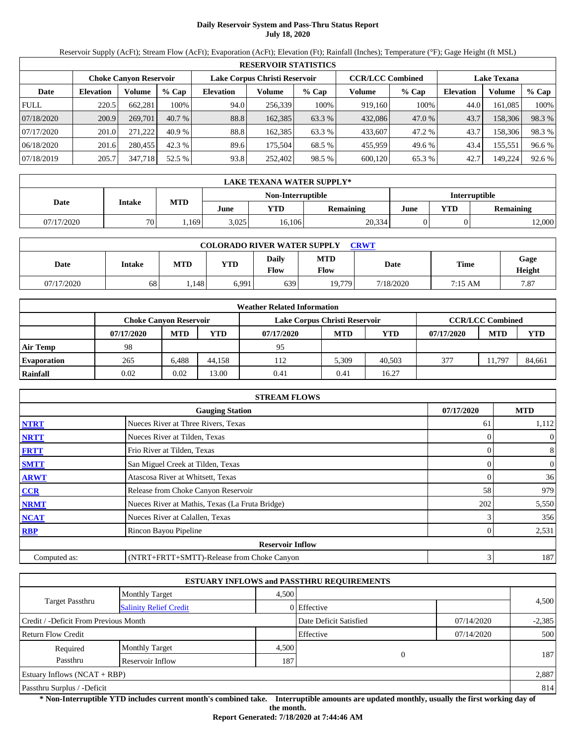# **Daily Reservoir System and Pass-Thru Status Report July 18, 2020**

Reservoir Supply (AcFt); Stream Flow (AcFt); Evaporation (AcFt); Elevation (Ft); Rainfall (Inches); Temperature (°F); Gage Height (ft MSL)

|             | <b>RESERVOIR STATISTICS</b> |                               |         |                               |         |         |                         |         |                    |         |        |  |
|-------------|-----------------------------|-------------------------------|---------|-------------------------------|---------|---------|-------------------------|---------|--------------------|---------|--------|--|
|             |                             | <b>Choke Canvon Reservoir</b> |         | Lake Corpus Christi Reservoir |         |         | <b>CCR/LCC Combined</b> |         | <b>Lake Texana</b> |         |        |  |
| Date        | <b>Elevation</b>            | Volume                        | $%$ Cap | <b>Elevation</b>              | Volume  | $%$ Cap | Volume                  | $%$ Cap | <b>Elevation</b>   | Volume  | % Cap  |  |
| <b>FULL</b> | 220.5                       | 662,281                       | 100%    | 94.0                          | 256,339 | 100%    | 919,160                 | 100%    | 44.0               | 161.085 | 100%   |  |
| 07/18/2020  | 200.9                       | 269,701                       | 40.7%   | 88.8                          | 162,385 | 63.3 %  | 432,086                 | 47.0 %  | 43.7               | 158,306 | 98.3%  |  |
| 07/17/2020  | 201.0                       | 271.222                       | 40.9%   | 88.8                          | 162.385 | 63.3 %  | 433,607                 | 47.2 %  | 43.7               | 158,306 | 98.3 % |  |
| 06/18/2020  | 201.6                       | 280,455                       | 42.3 %  | 89.6                          | 175.504 | 68.5 %  | 455,959                 | 49.6 %  | 43.4               | 155,551 | 96.6 % |  |
| 07/18/2019  | 205.7                       | 347,718                       | 52.5 %  | 93.8                          | 252,402 | 98.5 %  | 600,120                 | 65.3%   | 42.7               | 149,224 | 92.6 % |  |

|            | LAKE TEXANA WATER SUPPLY* |            |       |                   |           |                      |     |           |  |  |
|------------|---------------------------|------------|-------|-------------------|-----------|----------------------|-----|-----------|--|--|
|            | <b>Intake</b>             | <b>MTD</b> |       | Non-Interruptible |           | <b>Interruptible</b> |     |           |  |  |
| Date       |                           |            | June  | YTD               | Remaining | June                 | YTD | Remaining |  |  |
| 07/17/2020 | 70                        | ,169       | 3.025 | 16.106            | 20,334    |                      |     | 12,000    |  |  |

| <b>COLORADO RIVER WATER SUPPLY</b><br><b>CRWT</b> |        |            |       |                      |                    |           |         |                |  |  |  |
|---------------------------------------------------|--------|------------|-------|----------------------|--------------------|-----------|---------|----------------|--|--|--|
| Date                                              | Intake | <b>MTD</b> | VTD   | Daily<br><b>Flow</b> | <b>MTD</b><br>Flow | Date      | Time    | Gage<br>Height |  |  |  |
| 07/17/2020                                        | 68     | . 148      | 6,991 | 639                  | 19.779             | 7/18/2020 | 7:15 AM | 7.87           |  |  |  |

|                    | <b>Weather Related Information</b> |            |        |                               |            |            |            |                         |            |  |  |  |
|--------------------|------------------------------------|------------|--------|-------------------------------|------------|------------|------------|-------------------------|------------|--|--|--|
|                    | <b>Choke Canvon Reservoir</b>      |            |        | Lake Corpus Christi Reservoir |            |            |            | <b>CCR/LCC Combined</b> |            |  |  |  |
|                    | 07/17/2020                         | <b>MTD</b> | YTD    | 07/17/2020                    | <b>MTD</b> | <b>YTD</b> | 07/17/2020 | <b>MTD</b>              | <b>YTD</b> |  |  |  |
| <b>Air Temp</b>    | 98                                 |            |        | 95                            |            |            |            |                         |            |  |  |  |
| <b>Evaporation</b> | 265                                | 6.488      | 44.158 | 112                           | 5.309      | 40.503     | 377        | 11.797                  | 84,661     |  |  |  |
| <b>Rainfall</b>    | 0.02                               | 0.02       | 13.00  | 0.41                          | 0.41       | 16.27      |            |                         |            |  |  |  |

|              | <b>STREAM FLOWS</b>                             |            |                  |
|--------------|-------------------------------------------------|------------|------------------|
|              | <b>Gauging Station</b>                          | 07/17/2020 | <b>MTD</b>       |
| <b>NTRT</b>  | Nueces River at Three Rivers, Texas             | 61         | 1,112            |
| <b>NRTT</b>  | Nueces River at Tilden, Texas                   |            | $\boldsymbol{0}$ |
| <b>FRTT</b>  | Frio River at Tilden, Texas                     | 0          | 8                |
| <b>SMTT</b>  | San Miguel Creek at Tilden, Texas               | 0          | $\boldsymbol{0}$ |
| <b>ARWT</b>  | Atascosa River at Whitsett, Texas               |            | 36               |
| <b>CCR</b>   | Release from Choke Canyon Reservoir             | 58         | 979              |
| <b>NRMT</b>  | Nueces River at Mathis, Texas (La Fruta Bridge) | 202        | 5,550            |
| <b>NCAT</b>  | Nueces River at Calallen, Texas                 |            | 356              |
| <b>RBP</b>   | Rincon Bayou Pipeline                           |            | 2,531            |
|              | <b>Reservoir Inflow</b>                         |            |                  |
| Computed as: | (NTRT+FRTT+SMTT)-Release from Choke Canyon      | 3          | 187              |

|                                       |                               |                        | <b>ESTUARY INFLOWS and PASSTHRU REQUIREMENTS</b> |            |       |  |
|---------------------------------------|-------------------------------|------------------------|--------------------------------------------------|------------|-------|--|
|                                       | <b>Monthly Target</b>         | 4.500                  |                                                  |            |       |  |
| <b>Target Passthru</b>                | <b>Salinity Relief Credit</b> |                        | 0 Effective                                      |            | 4,500 |  |
| Credit / -Deficit From Previous Month |                               | Date Deficit Satisfied | 07/14/2020                                       | $-2,385$   |       |  |
| <b>Return Flow Credit</b>             |                               |                        | Effective                                        | 07/14/2020 | 500   |  |
| Required                              | <b>Monthly Target</b>         | 4,500                  |                                                  |            | 187   |  |
| Passthru                              | Reservoir Inflow              | 187                    | $\theta$                                         |            |       |  |
| <b>Estuary Inflows (NCAT + RBP)</b>   |                               |                        |                                                  |            | 2,887 |  |
| Passthru Surplus / -Deficit           |                               |                        |                                                  |            |       |  |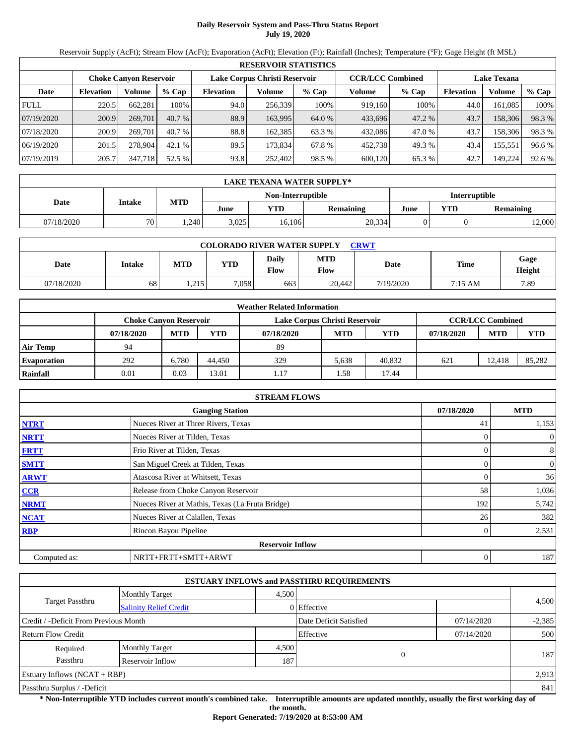# **Daily Reservoir System and Pass-Thru Status Report July 19, 2020**

Reservoir Supply (AcFt); Stream Flow (AcFt); Evaporation (AcFt); Elevation (Ft); Rainfall (Inches); Temperature (°F); Gage Height (ft MSL)

|             | <b>RESERVOIR STATISTICS</b> |                               |         |                               |         |         |                         |        |                    |         |        |  |  |
|-------------|-----------------------------|-------------------------------|---------|-------------------------------|---------|---------|-------------------------|--------|--------------------|---------|--------|--|--|
|             |                             | <b>Choke Canvon Reservoir</b> |         | Lake Corpus Christi Reservoir |         |         | <b>CCR/LCC Combined</b> |        | <b>Lake Texana</b> |         |        |  |  |
| Date        | <b>Elevation</b>            | Volume                        | $%$ Cap | <b>Elevation</b>              | Volume  | $%$ Cap | Volume                  | % Cap  | <b>Elevation</b>   | Volume  | % Cap  |  |  |
| <b>FULL</b> | 220.5                       | 662,281                       | 100%    | 94.0                          | 256,339 | 100%    | 919.160                 | 100%   | 44.0               | 161,085 | 100%   |  |  |
| 07/19/2020  | 200.9                       | 269,701                       | 40.7%   | 88.9                          | 163.995 | 64.0 %  | 433,696                 | 47.2 % | 43.7               | 158,306 | 98.3 % |  |  |
| 07/18/2020  | 200.9                       | 269,701                       | 40.7%   | 88.8                          | 162.385 | 63.3 %  | 432,086                 | 47.0 % | 43.7               | 158,306 | 98.3 % |  |  |
| 06/19/2020  | 201.5                       | 278,904                       | 42.1%   | 89.5                          | 173.834 | 67.8 %  | 452,738                 | 49.3 % | 43.4               | 155,551 | 96.6 % |  |  |
| 07/19/2019  | 205.7                       | 347,718                       | 52.5 %  | 93.8                          | 252,402 | 98.5 %  | 600,120                 | 65.3 % | 42.7               | 149,224 | 92.6 % |  |  |

|            | LAKE TEXANA WATER SUPPLY* |                   |                      |        |           |      |     |           |  |  |  |
|------------|---------------------------|-------------------|----------------------|--------|-----------|------|-----|-----------|--|--|--|
|            |                           | Non-Interruptible | <b>Interruptible</b> |        |           |      |     |           |  |  |  |
| Date       | <b>Intake</b>             | <b>MTD</b>        | June                 | YTD    | Remaining | June | YTD | Remaining |  |  |  |
| 07/18/2020 | 70                        | .240              | 3.025                | 16.106 | 20,334    |      |     | 12,000    |  |  |  |

| <b>COLORADO RIVER WATER SUPPLY</b><br>CRWT |        |            |       |                             |                    |           |         |                |  |  |  |
|--------------------------------------------|--------|------------|-------|-----------------------------|--------------------|-----------|---------|----------------|--|--|--|
| Date                                       | Intake | <b>MTD</b> | VTD   | <b>Daily</b><br><b>Flow</b> | <b>MTD</b><br>Flow | Date      | Time    | Gage<br>Height |  |  |  |
| 07/18/2020                                 | 68     | 1,215      | 7,058 | 663                         | 20,442             | 7/19/2020 | 7:15 AM | 7.89           |  |  |  |

|                    | <b>Weather Related Information</b> |            |        |                               |            |            |            |                         |            |  |  |  |
|--------------------|------------------------------------|------------|--------|-------------------------------|------------|------------|------------|-------------------------|------------|--|--|--|
|                    | <b>Choke Canvon Reservoir</b>      |            |        | Lake Corpus Christi Reservoir |            |            |            | <b>CCR/LCC Combined</b> |            |  |  |  |
|                    | 07/18/2020                         | <b>MTD</b> | YTD    | 07/18/2020                    | <b>MTD</b> | <b>YTD</b> | 07/18/2020 | <b>MTD</b>              | <b>YTD</b> |  |  |  |
| <b>Air Temp</b>    | 94                                 |            |        | 89                            |            |            |            |                         |            |  |  |  |
| <b>Evaporation</b> | 292                                | 6.780      | 44.450 | 329                           | 5.638      | 40.832     | 621        | 12.418                  | 85.282     |  |  |  |
| Rainfall           | 0.01                               | 0.03       | 13.01  | 1.17                          | .58        | 17.44      |            |                         |            |  |  |  |

|              | <b>STREAM FLOWS</b>                             |            |                |
|--------------|-------------------------------------------------|------------|----------------|
|              | <b>Gauging Station</b>                          | 07/18/2020 | <b>MTD</b>     |
| <b>NTRT</b>  | Nueces River at Three Rivers, Texas             | 41         | 1,153          |
| <b>NRTT</b>  | Nueces River at Tilden, Texas                   |            | $\overline{0}$ |
| <b>FRTT</b>  | Frio River at Tilden, Texas                     |            | 8              |
| <b>SMTT</b>  | San Miguel Creek at Tilden, Texas               |            | $\mathbf{0}$   |
| <b>ARWT</b>  | Atascosa River at Whitsett, Texas               |            | 36             |
| <b>CCR</b>   | Release from Choke Canyon Reservoir             | 58         | 1,036          |
| <b>NRMT</b>  | Nueces River at Mathis, Texas (La Fruta Bridge) | 192        | 5,742          |
| <b>NCAT</b>  | Nueces River at Calallen, Texas                 | 26         | 382            |
| <b>RBP</b>   | Rincon Bayou Pipeline                           |            | 2,531          |
|              | <b>Reservoir Inflow</b>                         |            |                |
| Computed as: | NRTT+FRTT+SMTT+ARWT                             |            | 187            |

|                                       |                               |       | <b>ESTUARY INFLOWS and PASSTHRU REQUIREMENTS</b> |            |          |
|---------------------------------------|-------------------------------|-------|--------------------------------------------------|------------|----------|
|                                       | <b>Monthly Target</b>         | 4.500 |                                                  |            |          |
| <b>Target Passthru</b>                | <b>Salinity Relief Credit</b> |       | 0 Effective                                      |            | 4,500    |
| Credit / -Deficit From Previous Month |                               |       | Date Deficit Satisfied                           | 07/14/2020 | $-2,385$ |
| <b>Return Flow Credit</b>             |                               |       | Effective                                        | 07/14/2020 | 500      |
| Required                              | <b>Monthly Target</b>         | 4,500 |                                                  |            | 187      |
| Passthru                              | <b>Reservoir Inflow</b>       | 187   | $\overline{0}$                                   |            |          |
| Estuary Inflows $(NCAT + RBP)$        |                               |       |                                                  |            | 2,913    |
| Passthru Surplus / -Deficit           |                               |       |                                                  |            | 841      |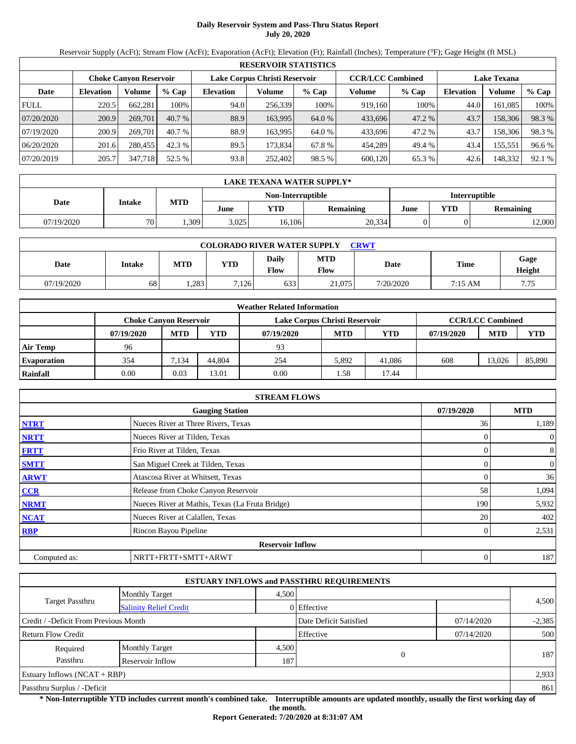# **Daily Reservoir System and Pass-Thru Status Report July 20, 2020**

Reservoir Supply (AcFt); Stream Flow (AcFt); Evaporation (AcFt); Elevation (Ft); Rainfall (Inches); Temperature (°F); Gage Height (ft MSL)

|             | <b>RESERVOIR STATISTICS</b> |                               |         |                               |         |         |                         |        |                    |         |        |  |  |
|-------------|-----------------------------|-------------------------------|---------|-------------------------------|---------|---------|-------------------------|--------|--------------------|---------|--------|--|--|
|             |                             | <b>Choke Canvon Reservoir</b> |         | Lake Corpus Christi Reservoir |         |         | <b>CCR/LCC Combined</b> |        | <b>Lake Texana</b> |         |        |  |  |
| Date        | <b>Elevation</b>            | Volume                        | $%$ Cap | <b>Elevation</b>              | Volume  | $%$ Cap | Volume                  | % Cap  | Elevation          | Volume  | % Cap  |  |  |
| <b>FULL</b> | 220.5                       | 662,281                       | 100%    | 94.0                          | 256,339 | 100%    | 919.160                 | 100%   | 44.0               | 161,085 | 100%   |  |  |
| 07/20/2020  | 200.9                       | 269,701                       | 40.7%   | 88.9                          | 163.995 | 64.0 %  | 433,696                 | 47.2 % | 43.7               | 158,306 | 98.3 % |  |  |
| 07/19/2020  | 200.9                       | 269,701                       | 40.7%   | 88.9                          | 163.995 | 64.0 %  | 433.696                 | 47.2 % | 43.7               | 158,306 | 98.3 % |  |  |
| 06/20/2020  | 201.6                       | 280,455                       | 42.3%   | 89.5                          | 173.834 | 67.8 %  | 454.289                 | 49.4 % | 43.4               | 155,551 | 96.6 % |  |  |
| 07/20/2019  | 205.7                       | 347,718                       | 52.5 %  | 93.8                          | 252,402 | 98.5 %  | 600,120                 | 65.3 % | 42.6               | 148,332 | 92.1 % |  |  |

|            | LAKE TEXANA WATER SUPPLY* |            |       |                   |                      |      |            |           |  |  |  |
|------------|---------------------------|------------|-------|-------------------|----------------------|------|------------|-----------|--|--|--|
|            |                           |            |       | Non-Interruptible | <b>Interruptible</b> |      |            |           |  |  |  |
| Date       | <b>Intake</b>             | <b>MTD</b> | June  | YTD               | Remaining            | June | <b>YTD</b> | Remaining |  |  |  |
| 07/19/2020 | 70                        | ,309       | 3.025 | 16.106            | 20,334               |      |            | 12,000    |  |  |  |

| <b>COLORADO RIVER WATER SUPPLY</b><br><b>CRWT</b> |        |            |            |                      |                    |           |         |                |  |  |  |
|---------------------------------------------------|--------|------------|------------|----------------------|--------------------|-----------|---------|----------------|--|--|--|
| Date                                              | Intake | <b>MTD</b> | <b>VTD</b> | Daily<br><b>Flow</b> | <b>MTD</b><br>Flow | Date      | Time    | Gage<br>Height |  |  |  |
| 07/19/2020                                        | 68     | 1,283      | 7,126      | 633                  | 21,075             | 7/20/2020 | 7:15 AM | 7.75           |  |  |  |

|                    | <b>Weather Related Information</b> |            |        |                               |            |        |            |                         |            |  |  |  |
|--------------------|------------------------------------|------------|--------|-------------------------------|------------|--------|------------|-------------------------|------------|--|--|--|
|                    | <b>Choke Canvon Reservoir</b>      |            |        | Lake Corpus Christi Reservoir |            |        |            | <b>CCR/LCC Combined</b> |            |  |  |  |
|                    | 07/19/2020                         | <b>MTD</b> | YTD    | 07/19/2020                    | <b>MTD</b> | YTD    | 07/19/2020 | <b>MTD</b>              | <b>YTD</b> |  |  |  |
| <b>Air Temp</b>    | 96                                 |            |        | 93                            |            |        |            |                         |            |  |  |  |
| <b>Evaporation</b> | 354                                | 7.134      | 44,804 | 254                           | 5.892      | 41.086 | 608        | 13.026                  | 85,890     |  |  |  |
| Rainfall           | 0.00                               | 0.03       | 13.01  | 0.00                          | .58        | 17.44  |            |                         |            |  |  |  |

|              | <b>STREAM FLOWS</b>                             |            |                |
|--------------|-------------------------------------------------|------------|----------------|
|              | <b>Gauging Station</b>                          | 07/19/2020 | <b>MTD</b>     |
| <b>NTRT</b>  | Nueces River at Three Rivers, Texas             | 36         | 1,189          |
| <b>NRTT</b>  | Nueces River at Tilden, Texas                   |            | $\overline{0}$ |
| <b>FRTT</b>  | Frio River at Tilden, Texas                     |            | 8              |
| <b>SMTT</b>  | San Miguel Creek at Tilden, Texas               |            | $\mathbf{0}$   |
| <b>ARWT</b>  | Atascosa River at Whitsett, Texas               |            | 36             |
| CCR          | Release from Choke Canyon Reservoir             | 58         | 1,094          |
| <b>NRMT</b>  | Nueces River at Mathis, Texas (La Fruta Bridge) | 190        | 5,932          |
| <b>NCAT</b>  | Nueces River at Calallen, Texas                 | 20         | 402            |
| <b>RBP</b>   | Rincon Bayou Pipeline                           |            | 2,531          |
|              | <b>Reservoir Inflow</b>                         |            |                |
| Computed as: | NRTT+FRTT+SMTT+ARWT                             | 0          | 187            |

|                                       |                               |       | <b>ESTUARY INFLOWS and PASSTHRU REQUIREMENTS</b> |            |          |
|---------------------------------------|-------------------------------|-------|--------------------------------------------------|------------|----------|
|                                       | <b>Monthly Target</b>         | 4,500 |                                                  |            |          |
| <b>Target Passthru</b>                | <b>Salinity Relief Credit</b> |       | 0 Effective                                      |            | 4,500    |
| Credit / -Deficit From Previous Month |                               |       | Date Deficit Satisfied                           | 07/14/2020 | $-2,385$ |
| <b>Return Flow Credit</b>             |                               |       | Effective                                        | 07/14/2020 | 500      |
| Required                              | <b>Monthly Target</b>         | 4,500 |                                                  |            |          |
| Passthru                              | <b>Reservoir Inflow</b>       | 187   | $\overline{0}$                                   |            | 187      |
| Estuary Inflows $(NCAT + RBP)$        |                               |       |                                                  |            | 2,933    |
| Passthru Surplus / -Deficit           |                               |       |                                                  |            | 861      |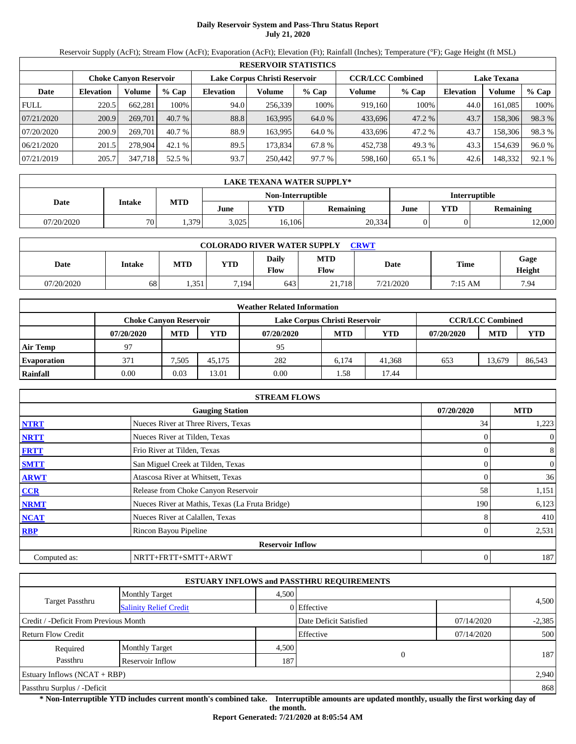# **Daily Reservoir System and Pass-Thru Status Report July 21, 2020**

Reservoir Supply (AcFt); Stream Flow (AcFt); Evaporation (AcFt); Elevation (Ft); Rainfall (Inches); Temperature (°F); Gage Height (ft MSL)

|             | <b>RESERVOIR STATISTICS</b> |                        |         |                               |         |         |                         |         |                    |         |        |  |
|-------------|-----------------------------|------------------------|---------|-------------------------------|---------|---------|-------------------------|---------|--------------------|---------|--------|--|
|             |                             | Choke Canvon Reservoir |         | Lake Corpus Christi Reservoir |         |         | <b>CCR/LCC Combined</b> |         | <b>Lake Texana</b> |         |        |  |
| Date        | <b>Elevation</b>            | Volume                 | $%$ Cap | <b>Elevation</b>              | Volume  | $%$ Cap | Volume                  | $%$ Cap | <b>Elevation</b>   | Volume  | % Cap  |  |
| <b>FULL</b> | 220.5                       | 662.281                | 100%    | 94.0                          | 256,339 | 100%    | 919,160                 | 100%    | 44.0               | 161,085 | 100%   |  |
| 07/21/2020  | 200.9                       | 269,701                | 40.7%   | 88.8                          | 163.995 | 64.0 %  | 433,696                 | 47.2 %  | 43.7               | 158,306 | 98.3%  |  |
| 07/20/2020  | 200.9                       | 269,701                | 40.7%   | 88.9                          | 163.995 | 64.0 %  | 433,696                 | 47.2 %  | 43.7               | 158,306 | 98.3 % |  |
| 06/21/2020  | 201.5                       | 278,904                | 42.1%   | 89.5                          | 173,834 | 67.8%   | 452,738                 | 49.3 %  | 43.3               | 154,639 | 96.0 % |  |
| 07/21/2019  | 205.7                       | 347,718                | 52.5 %  | 93.7                          | 250,442 | 97.7 %  | 598,160                 | 65.1%   | 42.6               | 148,332 | 92.1 % |  |

|            | LAKE TEXANA WATER SUPPLY* |                   |                      |        |                  |      |     |                  |  |  |
|------------|---------------------------|-------------------|----------------------|--------|------------------|------|-----|------------------|--|--|
|            |                           | Non-Interruptible | <b>Interruptible</b> |        |                  |      |     |                  |  |  |
| Date       | <b>Intake</b>             | <b>MTD</b>        | June                 | YTD    | <b>Remaining</b> | June | YTD | <b>Remaining</b> |  |  |
| 07/20/2020 | 70                        | .379              | 3,025                | 16,106 | 20,334           |      |     | 12,000           |  |  |

| <b>COLORADO RIVER WATER SUPPLY</b><br><b>CRWT</b> |        |            |       |                      |                    |           |         |                |  |  |  |
|---------------------------------------------------|--------|------------|-------|----------------------|--------------------|-----------|---------|----------------|--|--|--|
| Date                                              | Intake | <b>MTD</b> | YTD   | <b>Daily</b><br>Flow | <b>MTD</b><br>Flow | Date      | Time    | Gage<br>Height |  |  |  |
| 07/20/2020                                        | 68     | .351       | 7.194 | 643                  | 21.718             | 7/21/2020 | 7:15 AM | 7.94           |  |  |  |

|                    | <b>Weather Related Information</b> |            |        |                               |            |        |            |                         |            |  |  |  |
|--------------------|------------------------------------|------------|--------|-------------------------------|------------|--------|------------|-------------------------|------------|--|--|--|
|                    | <b>Choke Canvon Reservoir</b>      |            |        | Lake Corpus Christi Reservoir |            |        |            | <b>CCR/LCC Combined</b> |            |  |  |  |
|                    | 07/20/2020                         | <b>MTD</b> | YTD    | 07/20/2020                    | <b>MTD</b> | YTD    | 07/20/2020 | <b>MTD</b>              | <b>YTD</b> |  |  |  |
| Air Temp           | 97                                 |            |        | 95                            |            |        |            |                         |            |  |  |  |
| <b>Evaporation</b> | 371                                | 7.505      | 45.175 | 282                           | 6.174      | 41.368 | 653        | 13.679                  | 86,543     |  |  |  |
| Rainfall           | 0.00                               | 0.03       | 13.01  | 0.00                          | .58        | 17.44  |            |                         |            |  |  |  |

|              | <b>STREAM FLOWS</b>                             |            |                |
|--------------|-------------------------------------------------|------------|----------------|
|              | <b>Gauging Station</b>                          | 07/20/2020 | <b>MTD</b>     |
| <b>NTRT</b>  | Nueces River at Three Rivers, Texas             | 34         | 1,223          |
| <b>NRTT</b>  | Nueces River at Tilden, Texas                   |            | $\overline{0}$ |
| <b>FRTT</b>  | Frio River at Tilden, Texas                     |            | 8              |
| <b>SMTT</b>  | San Miguel Creek at Tilden, Texas               |            | $\mathbf{0}$   |
| <b>ARWT</b>  | Atascosa River at Whitsett, Texas               |            | 36             |
| <b>CCR</b>   | Release from Choke Canyon Reservoir             | 58         | 1,151          |
| <b>NRMT</b>  | Nueces River at Mathis, Texas (La Fruta Bridge) | 190        | 6,123          |
| <b>NCAT</b>  | Nueces River at Calallen, Texas                 |            | 410            |
| <b>RBP</b>   | Rincon Bayou Pipeline                           |            | 2,531          |
|              | <b>Reservoir Inflow</b>                         |            |                |
| Computed as: | NRTT+FRTT+SMTT+ARWT                             | 0          | 187            |

|                                       |                               |       | <b>ESTUARY INFLOWS and PASSTHRU REQUIREMENTS</b> |            |          |
|---------------------------------------|-------------------------------|-------|--------------------------------------------------|------------|----------|
|                                       | <b>Monthly Target</b>         | 4,500 |                                                  |            |          |
| <b>Target Passthru</b>                | <b>Salinity Relief Credit</b> |       | 0 Effective                                      |            | 4,500    |
| Credit / -Deficit From Previous Month |                               |       | Date Deficit Satisfied                           | 07/14/2020 | $-2,385$ |
| <b>Return Flow Credit</b>             |                               |       | Effective                                        | 07/14/2020 | 500      |
| Required                              | <b>Monthly Target</b>         | 4,500 |                                                  |            |          |
| Passthru                              | <b>Reservoir Inflow</b>       | 187   | $\overline{0}$                                   |            | 187      |
| Estuary Inflows $(NCAT + RBP)$        |                               |       |                                                  |            | 2,940    |
| Passthru Surplus / -Deficit           |                               |       |                                                  |            | 868      |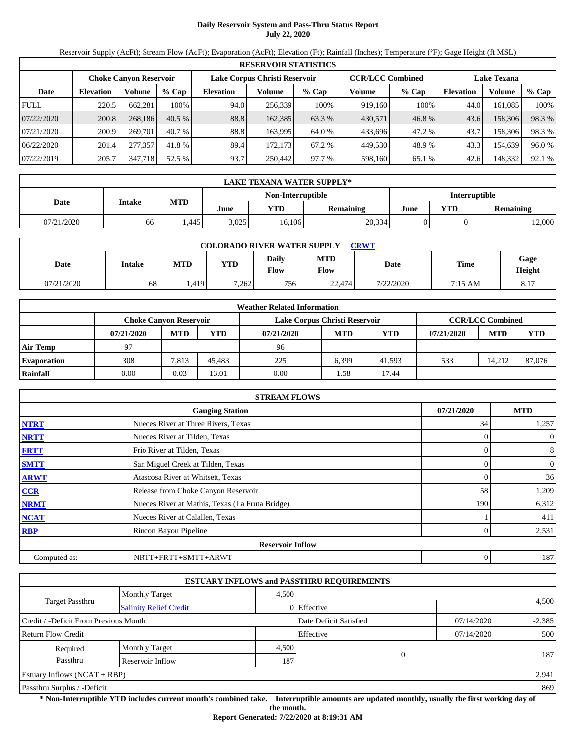## **Daily Reservoir System and Pass-Thru Status Report July 22, 2020**

Reservoir Supply (AcFt); Stream Flow (AcFt); Evaporation (AcFt); Elevation (Ft); Rainfall (Inches); Temperature (°F); Gage Height (ft MSL)

|             | <b>RESERVOIR STATISTICS</b> |                               |         |                  |                               |         |                         |         |                  |                    |        |  |
|-------------|-----------------------------|-------------------------------|---------|------------------|-------------------------------|---------|-------------------------|---------|------------------|--------------------|--------|--|
|             |                             | <b>Choke Canvon Reservoir</b> |         |                  | Lake Corpus Christi Reservoir |         | <b>CCR/LCC Combined</b> |         |                  | <b>Lake Texana</b> |        |  |
| Date        | <b>Elevation</b>            | Volume                        | $%$ Cap | <b>Elevation</b> | Volume                        | $%$ Cap | Volume                  | $%$ Cap | <b>Elevation</b> | Volume             | % Cap  |  |
| <b>FULL</b> | 220.5                       | 662,281                       | 100%    | 94.0             | 256.339                       | 100%    | 919.160                 | 100%    | 44.0             | 161.085            | 100%   |  |
| 07/22/2020  | 200.8                       | 268.186                       | 40.5%   | 88.8             | 162,385                       | 63.3 %  | 430.571                 | 46.8%   | 43.6             | 158,306            | 98.3%  |  |
| 07/21/2020  | 200.9                       | 269,701                       | 40.7%   | 88.8             | 163.995                       | 64.0 %  | 433.696                 | 47.2 %  | 43.7             | 158,306            | 98.3 % |  |
| 06/22/2020  | 201.4                       | 277,357                       | 41.8 %  | 89.4             | 172.1731                      | 67.2 %  | 449.530                 | 48.9%   | 43.3             | 154.639            | 96.0 % |  |
| 07/22/2019  | 205.7                       | 347,718                       | 52.5 %  | 93.7             | 250,442                       | 97.7 %  | 598,160                 | 65.1 %  | 42.6             | 148,332            | 92.1 % |  |

|            | LAKE TEXANA WATER SUPPLY* |            |       |        |           |      |            |           |  |  |
|------------|---------------------------|------------|-------|--------|-----------|------|------------|-----------|--|--|
|            | <b>Interruptible</b>      |            |       |        |           |      |            |           |  |  |
| Date       | <b>Intake</b>             | <b>MTD</b> | June  | YTD    | Remaining | June | <b>YTD</b> | Remaining |  |  |
| 07/21/2020 | 66                        | .445       | 3.025 | 16.106 | 20,334    |      |            | 12,000    |  |  |

| <b>COLORADO RIVER WATER SUPPLY</b><br>CRWT |        |            |       |                             |                    |           |         |                         |  |  |  |
|--------------------------------------------|--------|------------|-------|-----------------------------|--------------------|-----------|---------|-------------------------|--|--|--|
| Date                                       | Intake | <b>MTD</b> | VTD   | <b>Daily</b><br><b>Flow</b> | <b>MTD</b><br>Flow | Date      | Time    | Gage<br>Height          |  |  |  |
| 07/21/2020                                 | 68     | .419       | 7,262 | 756 <sub>1</sub>            | 22,474             | 7/22/2020 | 7:15 AM | Q <sub>17</sub><br>Ō. I |  |  |  |

|                    | <b>Weather Related Information</b> |            |        |                               |            |            |            |                         |            |  |  |  |
|--------------------|------------------------------------|------------|--------|-------------------------------|------------|------------|------------|-------------------------|------------|--|--|--|
|                    | <b>Choke Canvon Reservoir</b>      |            |        | Lake Corpus Christi Reservoir |            |            |            | <b>CCR/LCC Combined</b> |            |  |  |  |
|                    | 07/21/2020                         | <b>MTD</b> | YTD    | 07/21/2020                    | <b>MTD</b> | <b>YTD</b> | 07/21/2020 | <b>MTD</b>              | <b>YTD</b> |  |  |  |
| <b>Air Temp</b>    | 97                                 |            |        | 96                            |            |            |            |                         |            |  |  |  |
| <b>Evaporation</b> | 308                                | 7.813      | 45.483 | 225                           | 6.399      | 41.593     | 533        | 14.212                  | 87,076     |  |  |  |
| Rainfall           | 0.00                               | 0.03       | 13.01  | 0.00                          | .58        | 17.44      |            |                         |            |  |  |  |

|              | <b>STREAM FLOWS</b>                             |            |                |
|--------------|-------------------------------------------------|------------|----------------|
|              | <b>Gauging Station</b>                          | 07/21/2020 | <b>MTD</b>     |
| <b>NTRT</b>  | Nueces River at Three Rivers, Texas             | 34         | 1,257          |
| <b>NRTT</b>  | Nueces River at Tilden, Texas                   |            | $\overline{0}$ |
| <b>FRTT</b>  | Frio River at Tilden, Texas                     |            | 8              |
| <b>SMTT</b>  | San Miguel Creek at Tilden, Texas               |            | $\mathbf{0}$   |
| <b>ARWT</b>  | Atascosa River at Whitsett, Texas               |            | 36             |
| CCR          | Release from Choke Canyon Reservoir             | 58         | 1,209          |
| <b>NRMT</b>  | Nueces River at Mathis, Texas (La Fruta Bridge) | 190        | 6,312          |
| <b>NCAT</b>  | Nueces River at Calallen, Texas                 |            | 411            |
| <b>RBP</b>   | Rincon Bayou Pipeline                           |            | 2,531          |
|              | <b>Reservoir Inflow</b>                         |            |                |
| Computed as: | NRTT+FRTT+SMTT+ARWT                             | 0          | 187            |

|                                                  |                       |       | <b>ESTUARY INFLOWS and PASSTHRU REQUIREMENTS</b> |            |          |
|--------------------------------------------------|-----------------------|-------|--------------------------------------------------|------------|----------|
|                                                  | <b>Monthly Target</b> | 4,500 |                                                  |            |          |
| Target Passthru<br><b>Salinity Relief Credit</b> |                       |       | 0 Effective                                      |            | 4,500    |
| Credit / -Deficit From Previous Month            |                       |       | Date Deficit Satisfied                           | 07/14/2020 | $-2,385$ |
| Return Flow Credit                               |                       |       | Effective                                        | 07/14/2020 | 500      |
| Required                                         | <b>Monthly Target</b> | 4,500 |                                                  |            |          |
| Passthru                                         | Reservoir Inflow      | 187   |                                                  |            | 187      |
| Estuary Inflows $(NCAT + RBP)$                   |                       |       |                                                  |            | 2,941    |
| Passthru Surplus / -Deficit                      |                       |       |                                                  |            |          |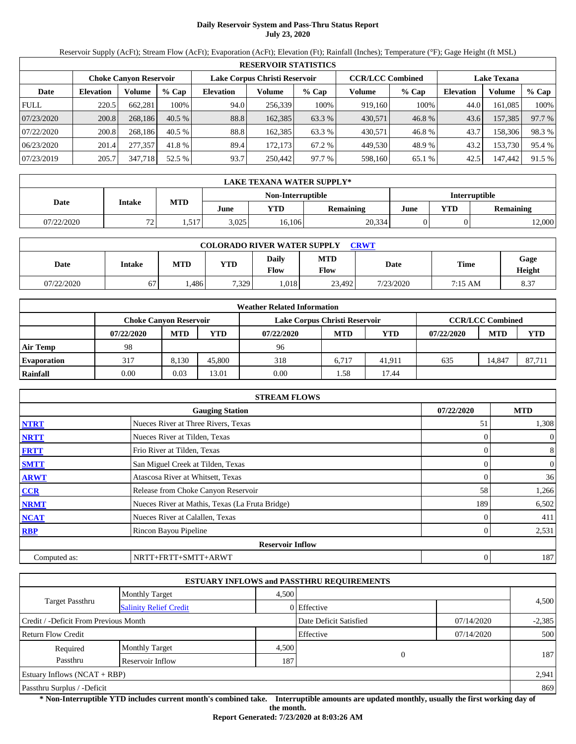## **Daily Reservoir System and Pass-Thru Status Report July 23, 2020**

Reservoir Supply (AcFt); Stream Flow (AcFt); Evaporation (AcFt); Elevation (Ft); Rainfall (Inches); Temperature (°F); Gage Height (ft MSL)

|                                                                                                                 | <b>RESERVOIR STATISTICS</b> |         |         |                  |          |         |         |         |                  |         |        |  |
|-----------------------------------------------------------------------------------------------------------------|-----------------------------|---------|---------|------------------|----------|---------|---------|---------|------------------|---------|--------|--|
| <b>CCR/LCC Combined</b><br>Lake Corpus Christi Reservoir<br><b>Choke Canvon Reservoir</b><br><b>Lake Texana</b> |                             |         |         |                  |          |         |         |         |                  |         |        |  |
| Date                                                                                                            | <b>Elevation</b>            | Volume  | $%$ Cap | <b>Elevation</b> | Volume   | $%$ Cap | Volume  | $%$ Cap | <b>Elevation</b> | Volume  | % Cap  |  |
| <b>FULL</b>                                                                                                     | 220.5                       | 662,281 | 100%    | 94.0             | 256.339  | 100%    | 919.160 | 100%    | 44.0             | 161.085 | 100%   |  |
| 07/23/2020                                                                                                      | 200.8                       | 268.186 | 40.5%   | 88.8             | 162,385  | 63.3 %  | 430.571 | 46.8%   | 43.6             | 157.385 | 97.7 % |  |
| 07/22/2020                                                                                                      | 200.8                       | 268.186 | 40.5%   | 88.8             | 162.385  | 63.3 %  | 430.571 | 46.8%   | 43.7             | 158,306 | 98.3 % |  |
| 06/23/2020                                                                                                      | 201.4                       | 277,357 | 41.8 %  | 89.4             | 172.1731 | 67.2 %  | 449.530 | 48.9%   | 43.2             | 153,730 | 95.4 % |  |
| 07/23/2019                                                                                                      | 205.7                       | 347,718 | 52.5 %  | 93.7             | 250,442  | 97.7 %  | 598,160 | 65.1 %  | 42.5             | 147,442 | 91.5 % |  |

|            | LAKE TEXANA WATER SUPPLY* |            |       |                   |                      |      |            |           |  |  |
|------------|---------------------------|------------|-------|-------------------|----------------------|------|------------|-----------|--|--|
|            | <b>Intake</b>             |            |       | Non-Interruptible | <b>Interruptible</b> |      |            |           |  |  |
| Date       |                           | <b>MTD</b> | June  | YTD               | Remaining            | June | <b>YTD</b> | Remaining |  |  |
| 07/22/2020 | 72                        | 517<br>.   | 3.025 | 16.106            | 20,334               |      |            | 12,000    |  |  |

| <b>COLORADO RIVER WATER SUPPLY</b><br><b>CRWT</b> |        |      |            |                      |                           |           |         |                |  |  |  |
|---------------------------------------------------|--------|------|------------|----------------------|---------------------------|-----------|---------|----------------|--|--|--|
| Date                                              | Intake | MTD  | <b>YTD</b> | <b>Daily</b><br>Flow | <b>MTD</b><br><b>Flow</b> | Date      | Time    | Gage<br>Height |  |  |  |
| 07/22/2020                                        | 67     | .486 | 7.329      | .018                 | 23.492                    | 7/23/2020 | 7:15 AM | 8.37           |  |  |  |

|                    | <b>Weather Related Information</b> |                               |        |                               |            |            |            |                         |            |  |  |  |
|--------------------|------------------------------------|-------------------------------|--------|-------------------------------|------------|------------|------------|-------------------------|------------|--|--|--|
|                    |                                    | <b>Choke Canvon Reservoir</b> |        | Lake Corpus Christi Reservoir |            |            |            | <b>CCR/LCC Combined</b> |            |  |  |  |
|                    | 07/22/2020                         | <b>MTD</b>                    | YTD    | 07/22/2020                    | <b>MTD</b> | <b>YTD</b> | 07/22/2020 | <b>MTD</b>              | <b>YTD</b> |  |  |  |
| <b>Air Temp</b>    | 98                                 |                               |        | 96                            |            |            |            |                         |            |  |  |  |
| <b>Evaporation</b> | 317                                | 8.130                         | 45,800 | 318                           | 6.717      | 41.911     | 635        | 14.847                  | 87,711     |  |  |  |
| <b>Rainfall</b>    | 0.00                               | 0.03                          | 13.01  | 0.00                          | .58        | 17.44      |            |                         |            |  |  |  |

|              | <b>STREAM FLOWS</b>                             |  |            |                |  |  |  |  |  |
|--------------|-------------------------------------------------|--|------------|----------------|--|--|--|--|--|
|              | <b>Gauging Station</b>                          |  | 07/22/2020 | <b>MTD</b>     |  |  |  |  |  |
| <b>NTRT</b>  | Nueces River at Three Rivers, Texas             |  | 51         | 1,308          |  |  |  |  |  |
| <b>NRTT</b>  | Nueces River at Tilden, Texas                   |  |            | $\overline{0}$ |  |  |  |  |  |
| <b>FRTT</b>  | Frio River at Tilden, Texas                     |  |            | 8              |  |  |  |  |  |
| <b>SMTT</b>  | San Miguel Creek at Tilden, Texas               |  |            | $\mathbf{0}$   |  |  |  |  |  |
| <b>ARWT</b>  | Atascosa River at Whitsett, Texas               |  |            | 36             |  |  |  |  |  |
| <b>CCR</b>   | Release from Choke Canyon Reservoir             |  | 58         | 1,266          |  |  |  |  |  |
| <b>NRMT</b>  | Nueces River at Mathis, Texas (La Fruta Bridge) |  | 189        | 6,502          |  |  |  |  |  |
| <b>NCAT</b>  | Nueces River at Calallen, Texas                 |  |            | 411            |  |  |  |  |  |
| <b>RBP</b>   | Rincon Bayou Pipeline                           |  |            | 2,531          |  |  |  |  |  |
|              | <b>Reservoir Inflow</b>                         |  |            |                |  |  |  |  |  |
| Computed as: | NRTT+FRTT+SMTT+ARWT                             |  |            | 187            |  |  |  |  |  |

|                                                  |                       |       | <b>ESTUARY INFLOWS and PASSTHRU REQUIREMENTS</b> |            |          |  |
|--------------------------------------------------|-----------------------|-------|--------------------------------------------------|------------|----------|--|
|                                                  | <b>Monthly Target</b> | 4,500 |                                                  |            |          |  |
| Target Passthru<br><b>Salinity Relief Credit</b> |                       |       | 0 Effective                                      |            | 4,500    |  |
| Credit / -Deficit From Previous Month            |                       |       | Date Deficit Satisfied                           | 07/14/2020 | $-2,385$ |  |
| Return Flow Credit                               |                       |       | Effective                                        | 07/14/2020 | 500      |  |
| Required                                         | <b>Monthly Target</b> | 4,500 |                                                  |            |          |  |
| Passthru                                         | Reservoir Inflow      | 187   |                                                  |            | 187      |  |
| Estuary Inflows $(NCAT + RBP)$                   |                       |       |                                                  |            | 2,941    |  |
| Passthru Surplus / -Deficit                      |                       |       |                                                  |            | 869      |  |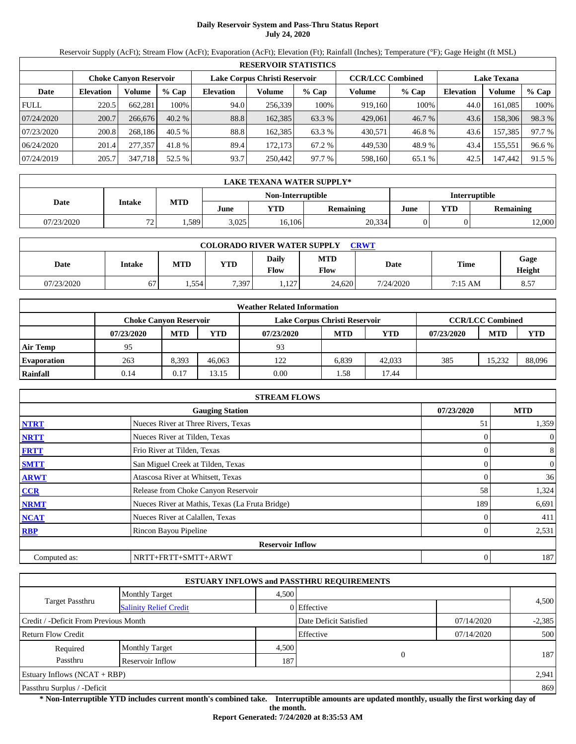## **Daily Reservoir System and Pass-Thru Status Report July 24, 2020**

Reservoir Supply (AcFt); Stream Flow (AcFt); Evaporation (AcFt); Elevation (Ft); Rainfall (Inches); Temperature (°F); Gage Height (ft MSL)

|                                                                                                                 | <b>RESERVOIR STATISTICS</b> |         |         |                  |          |         |         |         |                  |         |        |  |
|-----------------------------------------------------------------------------------------------------------------|-----------------------------|---------|---------|------------------|----------|---------|---------|---------|------------------|---------|--------|--|
| Lake Corpus Christi Reservoir<br><b>CCR/LCC Combined</b><br><b>Choke Canvon Reservoir</b><br><b>Lake Texana</b> |                             |         |         |                  |          |         |         |         |                  |         |        |  |
| Date                                                                                                            | <b>Elevation</b>            | Volume  | $%$ Cap | <b>Elevation</b> | Volume   | $%$ Cap | Volume  | $%$ Cap | <b>Elevation</b> | Volume  | % Cap  |  |
| <b>FULL</b>                                                                                                     | 220.5                       | 662,281 | 100%    | 94.0             | 256.339  | 100%    | 919.160 | 100%    | 44.0             | 161.085 | 100%   |  |
| 07/24/2020                                                                                                      | 200.7                       | 266,676 | 40.2%   | 88.8             | 162,385  | 63.3 %  | 429,061 | 46.7 %  | 43.6             | 158,306 | 98.3%  |  |
| 07/23/2020                                                                                                      | 200.8                       | 268.186 | 40.5%   | 88.8             | 162.385  | 63.3 %  | 430.571 | 46.8%   | 43.6             | 157,385 | 97.7 % |  |
| 06/24/2020                                                                                                      | 201.4                       | 277,357 | 41.8 %  | 89.4             | 172.1731 | 67.2 %  | 449.530 | 48.9%   | 43.4             | 155,551 | 96.6 % |  |
| 07/24/2019                                                                                                      | 205.7                       | 347,718 | 52.5 %  | 93.7             | 250,442  | 97.7 %  | 598,160 | 65.1 %  | 42.5             | 147,442 | 91.5 % |  |

|            | LAKE TEXANA WATER SUPPLY* |            |       |                   |                      |      |            |           |  |  |
|------------|---------------------------|------------|-------|-------------------|----------------------|------|------------|-----------|--|--|
|            |                           |            |       | Non-Interruptible | <b>Interruptible</b> |      |            |           |  |  |
| Date       | <b>Intake</b>             | <b>MTD</b> | June  | YTD               | Remaining            | June | <b>YTD</b> | Remaining |  |  |
| 07/23/2020 | 72                        | .589       | 3,025 | 16.106            | 20,334               |      |            | 12,000    |  |  |

| <b>COLORADO RIVER WATER SUPPLY</b><br><b>CRWT</b> |        |       |       |                             |                           |           |         |                |  |  |  |
|---------------------------------------------------|--------|-------|-------|-----------------------------|---------------------------|-----------|---------|----------------|--|--|--|
| Date                                              | Intake | MTD   | YTD   | <b>Daily</b><br><b>Flow</b> | <b>MTD</b><br><b>Flow</b> | Date      | Time    | Gage<br>Height |  |  |  |
| 07/23/2020                                        | 67     | 1.554 | 7,397 | .127                        | 24.620                    | 7/24/2020 | 7:15 AM | 8.57           |  |  |  |

|                    | <b>Weather Related Information</b> |                               |        |                               |            |        |            |                         |            |  |  |  |
|--------------------|------------------------------------|-------------------------------|--------|-------------------------------|------------|--------|------------|-------------------------|------------|--|--|--|
|                    |                                    | <b>Choke Canvon Reservoir</b> |        | Lake Corpus Christi Reservoir |            |        |            | <b>CCR/LCC Combined</b> |            |  |  |  |
|                    | 07/23/2020                         | <b>MTD</b>                    | YTD    | 07/23/2020                    | <b>MTD</b> | YTD    | 07/23/2020 | <b>MTD</b>              | <b>YTD</b> |  |  |  |
| <b>Air Temp</b>    | 95                                 |                               |        | 93                            |            |        |            |                         |            |  |  |  |
| <b>Evaporation</b> | 263                                | 8.393                         | 46,063 | 122                           | 6.839      | 42,033 | 385        | 15.232                  | 88,096     |  |  |  |
| Rainfall           | 0.14                               | 0.17                          | 13.15  | 0.00                          | .58        | 17.44  |            |                         |            |  |  |  |

|              | <b>STREAM FLOWS</b>                             |            |                  |
|--------------|-------------------------------------------------|------------|------------------|
|              | <b>Gauging Station</b>                          | 07/23/2020 | <b>MTD</b>       |
| <b>NTRT</b>  | Nueces River at Three Rivers, Texas             | 51         | 1,359            |
| <b>NRTT</b>  | Nueces River at Tilden, Texas                   |            | $\overline{0}$   |
| <b>FRTT</b>  | Frio River at Tilden, Texas                     |            | 8                |
| <b>SMTT</b>  | San Miguel Creek at Tilden, Texas               |            | $\boldsymbol{0}$ |
| <b>ARWT</b>  | Atascosa River at Whitsett, Texas               |            | 36               |
| <b>CCR</b>   | Release from Choke Canyon Reservoir             | 58         | 1,324            |
| <b>NRMT</b>  | Nueces River at Mathis, Texas (La Fruta Bridge) | 189        | 6,691            |
| <b>NCAT</b>  | Nueces River at Calallen, Texas                 |            | 411              |
| <b>RBP</b>   | Rincon Bayou Pipeline                           |            | 2,531            |
|              | <b>Reservoir Inflow</b>                         |            |                  |
| Computed as: | NRTT+FRTT+SMTT+ARWT                             |            | 187              |

|                                                  |                       |       | <b>ESTUARY INFLOWS and PASSTHRU REQUIREMENTS</b> |            |          |  |
|--------------------------------------------------|-----------------------|-------|--------------------------------------------------|------------|----------|--|
|                                                  | <b>Monthly Target</b> | 4,500 |                                                  |            |          |  |
| Target Passthru<br><b>Salinity Relief Credit</b> |                       |       | 0 Effective                                      |            | 4,500    |  |
| Credit / -Deficit From Previous Month            |                       |       | Date Deficit Satisfied                           | 07/14/2020 | $-2,385$ |  |
| Return Flow Credit                               |                       |       | Effective                                        | 07/14/2020 | 500      |  |
| Required                                         | <b>Monthly Target</b> | 4,500 |                                                  |            |          |  |
| Passthru                                         | Reservoir Inflow      | 187   |                                                  |            | 187      |  |
| Estuary Inflows $(NCAT + RBP)$                   |                       |       |                                                  |            | 2,941    |  |
| Passthru Surplus / -Deficit                      |                       |       |                                                  |            | 869      |  |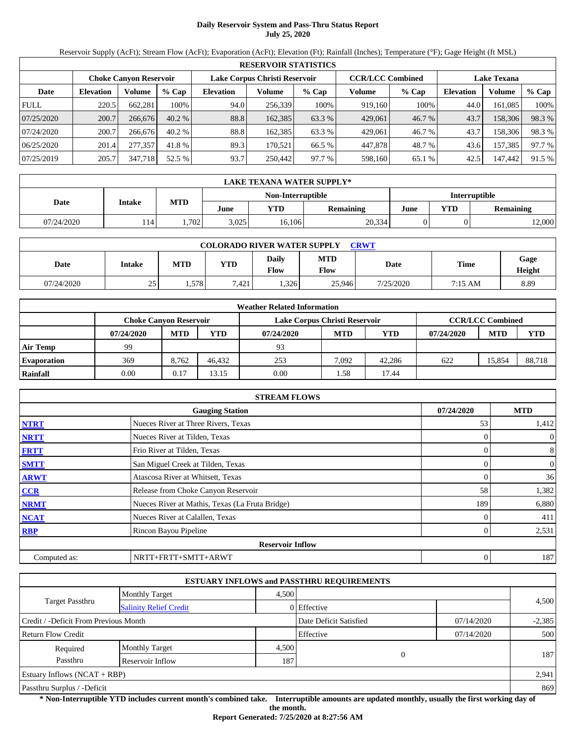### **Daily Reservoir System and Pass-Thru Status Report July 25, 2020**

Reservoir Supply (AcFt); Stream Flow (AcFt); Evaporation (AcFt); Elevation (Ft); Rainfall (Inches); Temperature (°F); Gage Height (ft MSL)

|             | <b>RESERVOIR STATISTICS</b>                                                               |         |          |                  |         |         |                    |         |                  |         |        |  |  |
|-------------|-------------------------------------------------------------------------------------------|---------|----------|------------------|---------|---------|--------------------|---------|------------------|---------|--------|--|--|
|             | Lake Corpus Christi Reservoir<br><b>CCR/LCC Combined</b><br><b>Choke Canvon Reservoir</b> |         |          |                  |         |         | <b>Lake Texana</b> |         |                  |         |        |  |  |
| Date        | <b>Elevation</b>                                                                          | Volume  | $%$ Cap  | <b>Elevation</b> | Volume  | $%$ Cap | Volume             | $%$ Cap | <b>Elevation</b> | Volume  | % Cap  |  |  |
| <b>FULL</b> | 220.5                                                                                     | 662,281 | 100%     | 94.0             | 256.339 | 100%    | 919.160            | 100%    | 44.0             | 161.085 | 100%   |  |  |
| 07/25/2020  | 200.7                                                                                     | 266,676 | 40.2%    | 88.8             | 162,385 | 63.3 %  | 429,061            | 46.7 %  | 43.7             | 158,306 | 98.3%  |  |  |
| 07/24/2020  | 200.7                                                                                     | 266,676 | $40.2\%$ | 88.8             | 162.385 | 63.3 %  | 429,061            | 46.7 %  | 43.7             | 158,306 | 98.3 % |  |  |
| 06/25/2020  | 201.4                                                                                     | 277,357 | 41.8 %   | 89.3             | 170.521 | 66.5 %  | 447,878            | 48.7 %  | 43.6             | 157,385 | 97.7 % |  |  |
| 07/25/2019  | 205.7                                                                                     | 347,718 | 52.5 %   | 93.7             | 250,442 | 97.7 %  | 598,160            | 65.1 %  | 42.5             | 147,442 | 91.5 % |  |  |

|                                           | LAKE TEXANA WATER SUPPLY* |            |       |        |           |      |                         |        |  |  |  |
|-------------------------------------------|---------------------------|------------|-------|--------|-----------|------|-------------------------|--------|--|--|--|
| <b>Interruptible</b><br>Non-Interruptible |                           |            |       |        |           |      |                         |        |  |  |  |
| Date                                      | <b>Intake</b>             | <b>MTD</b> | June  | YTD    | Remaining | June | <b>YTD</b><br>Remaining |        |  |  |  |
| 07/24/2020                                | 114                       | .702       | 3.025 | 16.106 | 20,334    |      |                         | 12,000 |  |  |  |

|            | <b>COLORADO RIVER WATER SUPPLY</b><br>CRWT |       |            |                             |                           |           |         |                |  |  |  |  |
|------------|--------------------------------------------|-------|------------|-----------------------------|---------------------------|-----------|---------|----------------|--|--|--|--|
| Date       | Intake                                     | MTD   | <b>YTD</b> | <b>Daily</b><br><b>Flow</b> | <b>MTD</b><br><b>Flow</b> | Date      | Time    | Gage<br>Height |  |  |  |  |
| 07/24/2020 | 25<br>ر ے                                  | . 578 | 7,421      | .326                        | 25.946                    | 7/25/2020 | 7:15 AM | 8.89           |  |  |  |  |

|                    |            |                               |        | <b>Weather Related Information</b> |            |        |            |                         |            |
|--------------------|------------|-------------------------------|--------|------------------------------------|------------|--------|------------|-------------------------|------------|
|                    |            | <b>Choke Canvon Reservoir</b> |        | Lake Corpus Christi Reservoir      |            |        |            | <b>CCR/LCC Combined</b> |            |
|                    | 07/24/2020 | <b>MTD</b>                    | YTD    | 07/24/2020                         | <b>MTD</b> | YTD    | 07/24/2020 | <b>MTD</b>              | <b>YTD</b> |
| <b>Air Temp</b>    | 99         |                               |        | 93                                 |            |        |            |                         |            |
| <b>Evaporation</b> | 369        | 8.762                         | 46.432 | 253                                | 7.092      | 42.286 | 622        | 15.854                  | 88,718     |
| <b>Rainfall</b>    | 0.00       | 0.17                          | 13.15  | 0.00                               | .58        | 17.44  |            |                         |            |

|              | <b>STREAM FLOWS</b>                             |            |                |
|--------------|-------------------------------------------------|------------|----------------|
|              | <b>Gauging Station</b>                          | 07/24/2020 | <b>MTD</b>     |
| <b>NTRT</b>  | Nueces River at Three Rivers, Texas             | 53         | 1,412          |
| <b>NRTT</b>  | Nueces River at Tilden, Texas                   |            | $\overline{0}$ |
| <b>FRTT</b>  | Frio River at Tilden, Texas                     |            | 8              |
| <b>SMTT</b>  | San Miguel Creek at Tilden, Texas               |            | $\mathbf{0}$   |
| <b>ARWT</b>  | Atascosa River at Whitsett, Texas               |            | 36             |
| <b>CCR</b>   | Release from Choke Canyon Reservoir             | 58         | 1,382          |
| <b>NRMT</b>  | Nueces River at Mathis, Texas (La Fruta Bridge) | 189        | 6,880          |
| <b>NCAT</b>  | Nueces River at Calallen, Texas                 |            | 411            |
| <b>RBP</b>   | Rincon Bayou Pipeline                           |            | 2,531          |
|              | <b>Reservoir Inflow</b>                         |            |                |
| Computed as: | NRTT+FRTT+SMTT+ARWT                             |            | 187            |

|                                                  |                       |       | <b>ESTUARY INFLOWS and PASSTHRU REQUIREMENTS</b> |            |          |
|--------------------------------------------------|-----------------------|-------|--------------------------------------------------|------------|----------|
|                                                  | <b>Monthly Target</b> | 4,500 |                                                  |            |          |
| Target Passthru<br><b>Salinity Relief Credit</b> |                       |       | 0 Effective                                      |            | 4,500    |
| Credit / -Deficit From Previous Month            |                       |       | Date Deficit Satisfied                           | 07/14/2020 | $-2,385$ |
| Return Flow Credit                               | Effective             |       |                                                  | 07/14/2020 | 500      |
| Required                                         | <b>Monthly Target</b> | 4,500 |                                                  |            |          |
| Passthru<br>187<br>Reservoir Inflow              |                       |       |                                                  |            | 187      |
| Estuary Inflows $(NCAT + RBP)$                   |                       |       |                                                  |            | 2,941    |
| Passthru Surplus / -Deficit                      |                       |       |                                                  |            |          |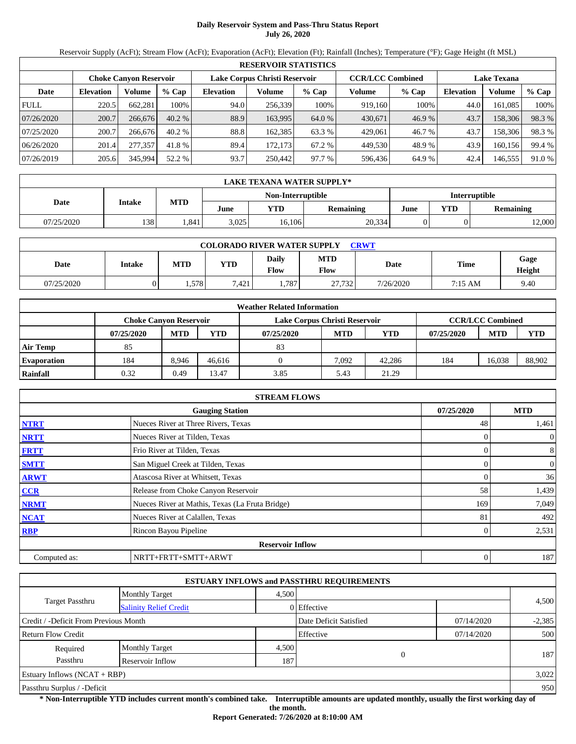## **Daily Reservoir System and Pass-Thru Status Report July 26, 2020**

Reservoir Supply (AcFt); Stream Flow (AcFt); Evaporation (AcFt); Elevation (Ft); Rainfall (Inches); Temperature (°F); Gage Height (ft MSL)

|             | <b>RESERVOIR STATISTICS</b>                                                               |         |          |                  |         |         |                    |         |                  |         |        |  |  |
|-------------|-------------------------------------------------------------------------------------------|---------|----------|------------------|---------|---------|--------------------|---------|------------------|---------|--------|--|--|
|             | <b>CCR/LCC Combined</b><br>Lake Corpus Christi Reservoir<br><b>Choke Canvon Reservoir</b> |         |          |                  |         |         | <b>Lake Texana</b> |         |                  |         |        |  |  |
| Date        | <b>Elevation</b>                                                                          | Volume  | $%$ Cap  | <b>Elevation</b> | Volume  | $%$ Cap | Volume             | $%$ Cap | <b>Elevation</b> | Volume  | % Cap  |  |  |
| <b>FULL</b> | 220.5                                                                                     | 662,281 | 100%     | 94.0             | 256,339 | 100%    | 919,160            | 100%    | 44.0             | 161.085 | 100%   |  |  |
| 07/26/2020  | 200.7                                                                                     | 266,676 | 40.2%    | 88.9             | 163,995 | 64.0 %  | 430,671            | 46.9 %  | 43.7             | 158,306 | 98.3%  |  |  |
| 07/25/2020  | 200.7                                                                                     | 266,676 | $40.2\%$ | 88.8             | 162.385 | 63.3 %  | 429,061            | 46.7 %  | 43.7             | 158,306 | 98.3%  |  |  |
| 06/26/2020  | 201.4                                                                                     | 277,357 | 41.8 %   | 89.4             | 172.173 | 67.2 %  | 449,530            | 48.9%   | 43.9             | 160.156 | 99.4 % |  |  |
| 07/26/2019  | 205.6                                                                                     | 345,994 | 52.2 %   | 93.7             | 250,442 | 97.7 %  | 596,436            | 64.9%   | 42.4             | 146,555 | 91.0 % |  |  |

|            | LAKE TEXANA WATER SUPPLY*                 |            |       |        |           |      |            |           |  |  |  |
|------------|-------------------------------------------|------------|-------|--------|-----------|------|------------|-----------|--|--|--|
|            | <b>Interruptible</b><br>Non-Interruptible |            |       |        |           |      |            |           |  |  |  |
| Date       | <b>Intake</b>                             | <b>MTD</b> | June  | YTD    | Remaining | June | <b>YTD</b> | Remaining |  |  |  |
| 07/25/2020 | 138                                       | .841       | 3.025 | 16.106 | 20,334    |      |            | 12,000    |  |  |  |

| <b>COLORADO RIVER WATER SUPPLY</b><br>CRWT |        |      |            |                      |                    |           |         |                |  |  |  |
|--------------------------------------------|--------|------|------------|----------------------|--------------------|-----------|---------|----------------|--|--|--|
| Date                                       | Intake | MTD  | <b>YTD</b> | Daily<br><b>Flow</b> | <b>MTD</b><br>Flow | Date      | Time    | Gage<br>Height |  |  |  |
| 07/25/2020                                 |        | .578 | 7,421      | .787                 | 27,732             | 7/26/2020 | 7:15 AM | 9.40           |  |  |  |

|                    |            |                               |        | <b>Weather Related Information</b> |            |        |            |                         |            |
|--------------------|------------|-------------------------------|--------|------------------------------------|------------|--------|------------|-------------------------|------------|
|                    |            | <b>Choke Canvon Reservoir</b> |        | Lake Corpus Christi Reservoir      |            |        |            | <b>CCR/LCC Combined</b> |            |
|                    | 07/25/2020 | <b>MTD</b>                    | YTD    | 07/25/2020                         | <b>MTD</b> | YTD    | 07/25/2020 | <b>MTD</b>              | <b>YTD</b> |
| <b>Air Temp</b>    | 85         |                               |        | 83                                 |            |        |            |                         |            |
| <b>Evaporation</b> | 184        | 8.946                         | 46.616 |                                    | 7.092      | 42.286 | 184        | 16.038                  | 88,902     |
| Rainfall           | 0.32       | 0.49                          | 13.47  | 3.85                               | 5.43       | 21.29  |            |                         |            |

|              | <b>STREAM FLOWS</b>                             |            |                |  |  |  |  |  |
|--------------|-------------------------------------------------|------------|----------------|--|--|--|--|--|
|              | <b>Gauging Station</b>                          | 07/25/2020 | <b>MTD</b>     |  |  |  |  |  |
| <b>NTRT</b>  | Nueces River at Three Rivers, Texas             | 48         | 1,461          |  |  |  |  |  |
| <b>NRTT</b>  | Nueces River at Tilden, Texas                   |            | $\overline{0}$ |  |  |  |  |  |
| <b>FRTT</b>  | Frio River at Tilden, Texas                     |            | 8              |  |  |  |  |  |
| <b>SMTT</b>  | San Miguel Creek at Tilden, Texas               |            | $\mathbf{0}$   |  |  |  |  |  |
| <b>ARWT</b>  | Atascosa River at Whitsett, Texas               |            | 36             |  |  |  |  |  |
| CCR          | Release from Choke Canyon Reservoir             | 58         | 1,439          |  |  |  |  |  |
| <b>NRMT</b>  | Nueces River at Mathis, Texas (La Fruta Bridge) | 169        | 7,049          |  |  |  |  |  |
| <b>NCAT</b>  | Nueces River at Calallen, Texas                 | 81         | 492            |  |  |  |  |  |
| <b>RBP</b>   | Rincon Bayou Pipeline                           |            | 2,531          |  |  |  |  |  |
|              | <b>Reservoir Inflow</b>                         |            |                |  |  |  |  |  |
| Computed as: | NRTT+FRTT+SMTT+ARWT                             | 0          | 187            |  |  |  |  |  |

|                                       |                               |       | <b>ESTUARY INFLOWS and PASSTHRU REQUIREMENTS</b> |            |          |
|---------------------------------------|-------------------------------|-------|--------------------------------------------------|------------|----------|
|                                       | <b>Monthly Target</b>         | 4,500 |                                                  |            |          |
| <b>Target Passthru</b>                | <b>Salinity Relief Credit</b> |       | 0 Effective                                      |            | 4,500    |
| Credit / -Deficit From Previous Month |                               |       | Date Deficit Satisfied                           | 07/14/2020 | $-2,385$ |
| Return Flow Credit                    |                               |       | Effective                                        | 07/14/2020 | 500      |
| Required                              | <b>Monthly Target</b>         | 4,500 |                                                  |            |          |
| Passthru<br>Reservoir Inflow<br>187   |                               |       | $\overline{0}$                                   |            | 187      |
| Estuary Inflows $(NCAT + RBP)$        |                               |       |                                                  |            | 3,022    |
| Passthru Surplus / -Deficit           |                               |       |                                                  | 950        |          |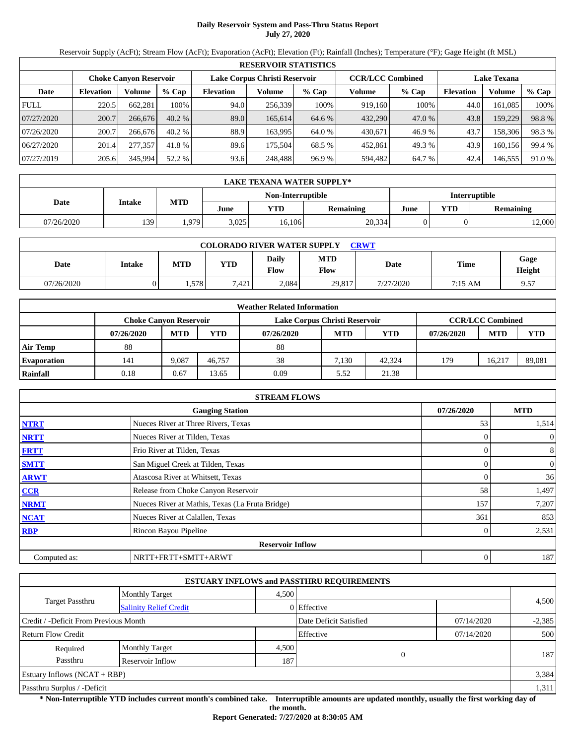## **Daily Reservoir System and Pass-Thru Status Report July 27, 2020**

Reservoir Supply (AcFt); Stream Flow (AcFt); Evaporation (AcFt); Elevation (Ft); Rainfall (Inches); Temperature (°F); Gage Height (ft MSL)

|                                                                                           | <b>RESERVOIR STATISTICS</b> |         |          |                  |         |         |                    |         |                  |         |        |  |
|-------------------------------------------------------------------------------------------|-----------------------------|---------|----------|------------------|---------|---------|--------------------|---------|------------------|---------|--------|--|
| <b>CCR/LCC Combined</b><br>Lake Corpus Christi Reservoir<br><b>Choke Canvon Reservoir</b> |                             |         |          |                  |         |         | <b>Lake Texana</b> |         |                  |         |        |  |
| Date                                                                                      | <b>Elevation</b>            | Volume  | $%$ Cap  | <b>Elevation</b> | Volume  | $%$ Cap | Volume             | $%$ Cap | <b>Elevation</b> | Volume  | % Cap  |  |
| <b>FULL</b>                                                                               | 220.5                       | 662,281 | 100%     | 94.0             | 256,339 | 100%    | 919,160            | 100%    | 44.0             | 161,085 | 100%   |  |
| 07/27/2020                                                                                | 200.7                       | 266,676 | 40.2%    | 89.0             | 165,614 | 64.6 %  | 432,290            | 47.0 %  | 43.8             | 159,229 | 98.8%  |  |
| 07/26/2020                                                                                | 200.7                       | 266,676 | $40.2\%$ | 88.9             | 163.995 | 64.0 %  | 430,671            | 46.9%   | 43.7             | 158,306 | 98.3%  |  |
| 06/27/2020                                                                                | 201.4                       | 277,357 | 41.8 %   | 89.6             | 175.504 | 68.5 %  | 452,861            | 49.3 %  | 43.9             | 160.156 | 99.4 % |  |
| 07/27/2019                                                                                | 205.6                       | 345,994 | 52.2 %   | 93.6             | 248,488 | 96.9%   | 594,482            | 64.7 %  | 42.4             | 146,555 | 91.0 % |  |

|                                           | <b>LAKE TEXANA WATER SUPPLY*</b> |            |       |        |                  |      |            |                  |  |  |  |
|-------------------------------------------|----------------------------------|------------|-------|--------|------------------|------|------------|------------------|--|--|--|
| <b>Interruptible</b><br>Non-Interruptible |                                  |            |       |        |                  |      |            |                  |  |  |  |
| Date                                      | <b>Intake</b>                    | <b>MTD</b> | June  | YTD    | <b>Remaining</b> | June | <b>YTD</b> | <b>Remaining</b> |  |  |  |
| 07/26/2020                                | 139                              | .979       | 3,025 | 16,106 | 20,334           |      |            | 12,000           |  |  |  |

| <b>COLORADO RIVER WATER SUPPLY</b><br>CRWT |        |      |            |                      |                    |           |         |                |  |  |  |
|--------------------------------------------|--------|------|------------|----------------------|--------------------|-----------|---------|----------------|--|--|--|
| Date                                       | Intake | MTD  | <b>VTD</b> | Daily<br><b>Flow</b> | <b>MTD</b><br>Flow | Date      | Time    | Gage<br>Height |  |  |  |
| 07/26/2020                                 |        | .578 | 7,421      | 2,084                | 29,817             | 7/27/2020 | 7:15 AM | 9.57           |  |  |  |

|                    |                               |            |        | <b>Weather Related Information</b> |            |        |            |                         |            |
|--------------------|-------------------------------|------------|--------|------------------------------------|------------|--------|------------|-------------------------|------------|
|                    | <b>Choke Canvon Reservoir</b> |            |        | Lake Corpus Christi Reservoir      |            |        |            | <b>CCR/LCC Combined</b> |            |
|                    | 07/26/2020                    | <b>MTD</b> | YTD    | 07/26/2020                         | <b>MTD</b> | YTD    | 07/26/2020 | <b>MTD</b>              | <b>YTD</b> |
| <b>Air Temp</b>    | 88                            |            |        | 88                                 |            |        |            |                         |            |
| <b>Evaporation</b> | 141                           | 9.087      | 46,757 | 38                                 | 7.130      | 42.324 | 179        | $16,21$ <sup>-</sup>    | 89,081     |
| <b>Rainfall</b>    | 0.18                          | 0.67       | 13.65  | 0.09                               | 5.52       | 21.38  |            |                         |            |

|              | <b>STREAM FLOWS</b>                             |            |                |
|--------------|-------------------------------------------------|------------|----------------|
|              | <b>Gauging Station</b>                          | 07/26/2020 | <b>MTD</b>     |
| <b>NTRT</b>  | Nueces River at Three Rivers, Texas             | 53         | 1,514          |
| <b>NRTT</b>  | Nueces River at Tilden, Texas                   |            | $\overline{0}$ |
| <b>FRTT</b>  | Frio River at Tilden, Texas                     |            | 8              |
| <b>SMTT</b>  | San Miguel Creek at Tilden, Texas               |            | $\mathbf{0}$   |
| <b>ARWT</b>  | Atascosa River at Whitsett, Texas               |            | 36             |
| <b>CCR</b>   | Release from Choke Canyon Reservoir             | 58         | 1,497          |
| <b>NRMT</b>  | Nueces River at Mathis, Texas (La Fruta Bridge) | 157        | 7,207          |
| <b>NCAT</b>  | Nueces River at Calallen, Texas                 | 361        | 853            |
| <b>RBP</b>   | Rincon Bayou Pipeline                           |            | 2,531          |
|              | <b>Reservoir Inflow</b>                         |            |                |
| Computed as: | NRTT+FRTT+SMTT+ARWT                             | 0          | 187            |

|                                       |                               |       | <b>ESTUARY INFLOWS and PASSTHRU REQUIREMENTS</b> |            |          |
|---------------------------------------|-------------------------------|-------|--------------------------------------------------|------------|----------|
|                                       | <b>Monthly Target</b>         | 4,500 |                                                  |            |          |
| Target Passthru                       | <b>Salinity Relief Credit</b> |       | 0 Effective                                      |            | 4,500    |
| Credit / -Deficit From Previous Month |                               |       | Date Deficit Satisfied                           | 07/14/2020 | $-2,385$ |
| Return Flow Credit                    |                               |       | Effective                                        | 07/14/2020 | 500      |
| Required                              | <b>Monthly Target</b>         | 4,500 |                                                  |            |          |
| Passthru<br>187<br>Reservoir Inflow   |                               |       |                                                  |            | 187      |
| Estuary Inflows (NCAT + RBP)          |                               |       |                                                  |            | 3,384    |
| Passthru Surplus / -Deficit           |                               |       |                                                  |            |          |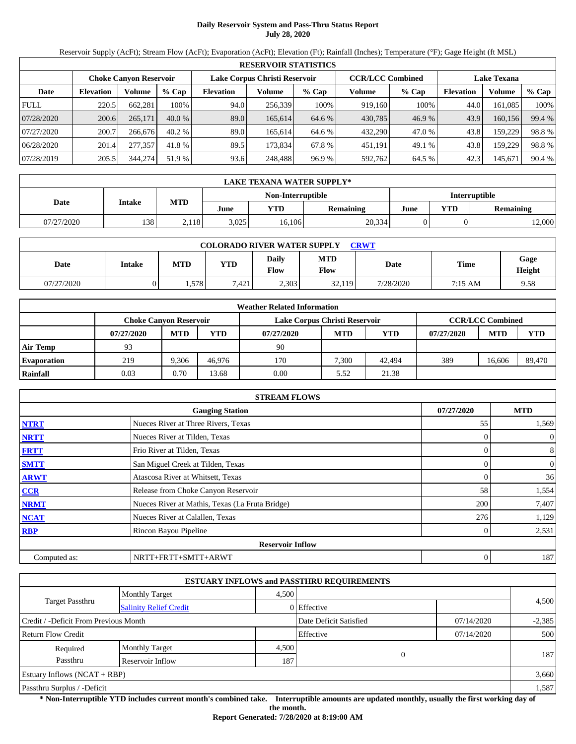## **Daily Reservoir System and Pass-Thru Status Report July 28, 2020**

Reservoir Supply (AcFt); Stream Flow (AcFt); Evaporation (AcFt); Elevation (Ft); Rainfall (Inches); Temperature (°F); Gage Height (ft MSL)

|             | <b>RESERVOIR STATISTICS</b>                                                                                     |         |          |                  |         |         |         |         |                  |          |        |  |
|-------------|-----------------------------------------------------------------------------------------------------------------|---------|----------|------------------|---------|---------|---------|---------|------------------|----------|--------|--|
|             | <b>CCR/LCC Combined</b><br>Lake Corpus Christi Reservoir<br><b>Lake Texana</b><br><b>Choke Canvon Reservoir</b> |         |          |                  |         |         |         |         |                  |          |        |  |
| Date        | <b>Elevation</b>                                                                                                | Volume  | $%$ Cap  | <b>Elevation</b> | Volume  | $%$ Cap | Volume  | $%$ Cap | <b>Elevation</b> | Volume   | % Cap  |  |
| <b>FULL</b> | 220.5                                                                                                           | 662,281 | 100%     | 94.0             | 256,339 | 100%    | 919,160 | 100%    | 44.0             | 161.085  | 100%   |  |
| 07/28/2020  | 200.6                                                                                                           | 265,171 | $40.0\%$ | 89.0             | 165,614 | 64.6 %  | 430,785 | 46.9 %  | 43.9             | 160, 156 | 99.4 % |  |
| 07/27/2020  | 200.7                                                                                                           | 266,676 | $40.2\%$ | 89.0             | 165.614 | 64.6 %  | 432,290 | 47.0 %  | 43.8             | 159.229  | 98.8%  |  |
| 06/28/2020  | 201.4                                                                                                           | 277,357 | 41.8 %   | 89.5             | 173.834 | 67.8 %  | 451,191 | 49.1 %  | 43.8             | 159,229  | 98.8%  |  |
| 07/28/2019  | 205.5                                                                                                           | 344,274 | 51.9 %   | 93.6             | 248,488 | 96.9%   | 592,762 | 64.5 %  | 42.3             | 145,671  | 90.4 % |  |

|                                           | <b>LAKE TEXANA WATER SUPPLY*</b> |            |       |        |                  |      |            |           |  |  |
|-------------------------------------------|----------------------------------|------------|-------|--------|------------------|------|------------|-----------|--|--|
| <b>Interruptible</b><br>Non-Interruptible |                                  |            |       |        |                  |      |            |           |  |  |
| Date                                      | <b>Intake</b>                    | <b>MTD</b> | June  | YTD    | <b>Remaining</b> | June | <b>YTD</b> | Remaining |  |  |
| 07/27/2020                                | 138                              | 2,118      | 3,025 | 16,106 | 20,334           |      |            | 12,000    |  |  |

| <b>COLORADO RIVER WATER SUPPLY</b><br>CRWT |        |      |            |                      |                    |           |         |                |  |  |  |
|--------------------------------------------|--------|------|------------|----------------------|--------------------|-----------|---------|----------------|--|--|--|
| Date                                       | Intake | MTD  | <b>VTD</b> | Daily<br><b>Flow</b> | <b>MTD</b><br>Flow | Date      | Time    | Gage<br>Height |  |  |  |
| 07/27/2020                                 |        | .578 | 7,421      | 2,303                | 32,119             | 7/28/2020 | 7:15 AM | 9.58           |  |  |  |

|                    |            |                               |        | <b>Weather Related Information</b> |            |        |            |                         |            |
|--------------------|------------|-------------------------------|--------|------------------------------------|------------|--------|------------|-------------------------|------------|
|                    |            | <b>Choke Canvon Reservoir</b> |        | Lake Corpus Christi Reservoir      |            |        |            | <b>CCR/LCC Combined</b> |            |
|                    | 07/27/2020 | <b>MTD</b>                    | YTD    | 07/27/2020                         | <b>MTD</b> | YTD    | 07/27/2020 | <b>MTD</b>              | <b>YTD</b> |
| <b>Air Temp</b>    | 93         |                               |        | 90                                 |            |        |            |                         |            |
| <b>Evaporation</b> | 219        | 9.306                         | 46.976 | 170                                | 7.300      | 42,494 | 389        | 16.606                  | 89,470     |
| <b>Rainfall</b>    | 0.03       | 0.70                          | 13.68  | 0.00                               | 5.52       | 21.38  |            |                         |            |

|              | <b>STREAM FLOWS</b>                             |            |                  |
|--------------|-------------------------------------------------|------------|------------------|
|              | <b>Gauging Station</b>                          | 07/27/2020 | <b>MTD</b>       |
| <b>NTRT</b>  | Nueces River at Three Rivers, Texas             | 55         | 1,569            |
| <b>NRTT</b>  | Nueces River at Tilden, Texas                   |            | $\overline{0}$   |
| <b>FRTT</b>  | Frio River at Tilden, Texas                     |            | 8                |
| <b>SMTT</b>  | San Miguel Creek at Tilden, Texas               |            | $\boldsymbol{0}$ |
| <b>ARWT</b>  | Atascosa River at Whitsett, Texas               |            | 36               |
| <b>CCR</b>   | Release from Choke Canyon Reservoir             | 58         | 1,554            |
| <b>NRMT</b>  | Nueces River at Mathis, Texas (La Fruta Bridge) | 200        | 7,407            |
| <b>NCAT</b>  | Nueces River at Calallen, Texas                 | 276        | 1,129            |
| <b>RBP</b>   | Rincon Bayou Pipeline                           |            | 2,531            |
|              | <b>Reservoir Inflow</b>                         |            |                  |
| Computed as: | NRTT+FRTT+SMTT+ARWT                             |            | 187              |

|                                       |                               |       | <b>ESTUARY INFLOWS and PASSTHRU REQUIREMENTS</b> |            |          |
|---------------------------------------|-------------------------------|-------|--------------------------------------------------|------------|----------|
|                                       | <b>Monthly Target</b>         | 4,500 |                                                  |            |          |
| Target Passthru                       | <b>Salinity Relief Credit</b> |       | 0 Effective                                      |            | 4,500    |
| Credit / -Deficit From Previous Month |                               |       | Date Deficit Satisfied                           | 07/14/2020 | $-2,385$ |
| Return Flow Credit                    |                               |       | Effective                                        | 07/14/2020 | 500      |
| Required                              | <b>Monthly Target</b>         | 4,500 |                                                  |            |          |
| Passthru<br>187<br>Reservoir Inflow   |                               |       |                                                  |            | 187      |
| Estuary Inflows $(NCAT + RBP)$        |                               |       |                                                  |            | 3,660    |
| Passthru Surplus / -Deficit           |                               |       |                                                  |            |          |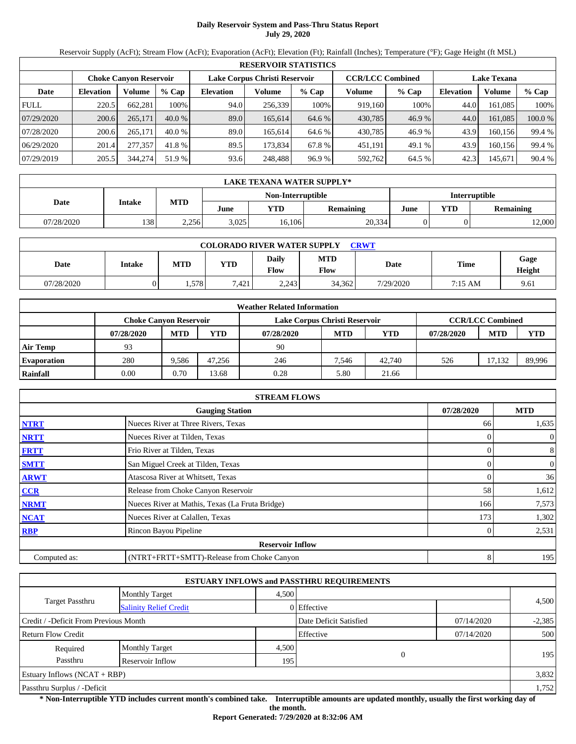# **Daily Reservoir System and Pass-Thru Status Report July 29, 2020**

Reservoir Supply (AcFt); Stream Flow (AcFt); Evaporation (AcFt); Elevation (Ft); Rainfall (Inches); Temperature (°F); Gage Height (ft MSL)

|             | <b>RESERVOIR STATISTICS</b> |                        |          |                  |                               |         |                         |         |                    |         |         |  |
|-------------|-----------------------------|------------------------|----------|------------------|-------------------------------|---------|-------------------------|---------|--------------------|---------|---------|--|
|             |                             | Choke Canvon Reservoir |          |                  | Lake Corpus Christi Reservoir |         | <b>CCR/LCC Combined</b> |         | <b>Lake Texana</b> |         |         |  |
| Date        | <b>Elevation</b>            | Volume                 | $%$ Cap  | <b>Elevation</b> | Volume                        | $%$ Cap | Volume                  | $%$ Cap | <b>Elevation</b>   | Volume  | $%$ Cap |  |
| <b>FULL</b> | 220.5                       | 662,281                | 100%     | 94.0             | 256,339                       | 100%    | 919.160                 | 100%    | 44.0               | 161.085 | 100%    |  |
| 07/29/2020  | 200.6                       | 265,171                | $40.0\%$ | 89.0             | 165.614                       | 64.6 %  | 430,785                 | 46.9 %  | 44.0               | 161,085 | 100.0 % |  |
| 07/28/2020  | 200.6                       | 265,171                | $40.0\%$ | 89.0             | 165.614                       | 64.6 %  | 430,785                 | 46.9%   | 43.9               | 160.156 | 99.4 %  |  |
| 06/29/2020  | 201.4                       | 277,357                | 41.8 %   | 89.5             | 173.834                       | 67.8 %  | 451,191                 | 49.1 %  | 43.9               | 160,156 | 99.4 %  |  |
| 07/29/2019  | 205.5                       | 344,274                | 51.9 %   | 93.6             | 248,488                       | 96.9%   | 592,762                 | 64.5 %  | 42.3               | 145,671 | 90.4%   |  |

|            | <b>LAKE TEXANA WATER SUPPLY*</b> |            |       |                   |                  |                      |     |           |  |  |  |
|------------|----------------------------------|------------|-------|-------------------|------------------|----------------------|-----|-----------|--|--|--|
|            |                                  |            |       | Non-Interruptible |                  | <b>Interruptible</b> |     |           |  |  |  |
| Date       | <b>Intake</b>                    | <b>MTD</b> | June  | YTD               | <b>Remaining</b> | June                 | YTD | Remaining |  |  |  |
| 07/28/2020 | 1381                             | 2,256      | 3,025 | 16,106            | 20,334           |                      |     | 12,000    |  |  |  |

| <b>COLORADO RIVER WATER SUPPLY</b><br><b>CRWT</b> |        |            |            |                      |                    |           |             |                |  |  |  |
|---------------------------------------------------|--------|------------|------------|----------------------|--------------------|-----------|-------------|----------------|--|--|--|
| Date                                              | Intake | <b>MTD</b> | <b>YTD</b> | <b>Daily</b><br>Flow | <b>MTD</b><br>Flow | Date      | <b>Time</b> | Gage<br>Height |  |  |  |
| 07/28/2020                                        |        | 1.578      | 7.421      | 2.243                | 34.362             | 7/29/2020 | 7:15 AM     | 9.61           |  |  |  |

|                    |                               |            |        | <b>Weather Related Information</b> |            |            |            |                         |            |
|--------------------|-------------------------------|------------|--------|------------------------------------|------------|------------|------------|-------------------------|------------|
|                    | <b>Choke Canvon Reservoir</b> |            |        | Lake Corpus Christi Reservoir      |            |            |            | <b>CCR/LCC Combined</b> |            |
|                    | 07/28/2020                    | <b>MTD</b> | YTD    | 07/28/2020                         | <b>MTD</b> | <b>YTD</b> | 07/28/2020 | <b>MTD</b>              | <b>YTD</b> |
| Air Temp           | 93                            |            |        | 90                                 |            |            |            |                         |            |
| <b>Evaporation</b> | 280                           | 9.586      | 47.256 | 246                                | 7.546      | 42,740     | 526        | 17.132                  | 89,996     |
| Rainfall           | 0.00                          | 0.70       | 13.68  | 0.28                               | 5.80       | 21.66      |            |                         |            |

|              | <b>STREAM FLOWS</b>                             |            |                  |
|--------------|-------------------------------------------------|------------|------------------|
|              | <b>Gauging Station</b>                          | 07/28/2020 | <b>MTD</b>       |
| <b>NTRT</b>  | Nueces River at Three Rivers, Texas             | 66         | 1,635            |
| <b>NRTT</b>  | Nueces River at Tilden, Texas                   |            | $\boldsymbol{0}$ |
| <b>FRTT</b>  | Frio River at Tilden, Texas                     | 0          | 8                |
| <b>SMTT</b>  | San Miguel Creek at Tilden, Texas               | 0          | $\boldsymbol{0}$ |
| <b>ARWT</b>  | Atascosa River at Whitsett, Texas               |            | 36               |
| <b>CCR</b>   | Release from Choke Canyon Reservoir             | 58         | 1,612            |
| <b>NRMT</b>  | Nueces River at Mathis, Texas (La Fruta Bridge) | 166        | 7,573            |
| <b>NCAT</b>  | Nueces River at Calallen, Texas                 | 173        | 1,302            |
| <b>RBP</b>   | Rincon Bayou Pipeline                           |            | 2,531            |
|              | <b>Reservoir Inflow</b>                         |            |                  |
| Computed as: | (NTRT+FRTT+SMTT)-Release from Choke Canyon      | 8          | 195              |

|                                       |                               |                        | <b>ESTUARY INFLOWS and PASSTHRU REQUIREMENTS</b> |            |       |  |
|---------------------------------------|-------------------------------|------------------------|--------------------------------------------------|------------|-------|--|
|                                       | <b>Monthly Target</b>         | 4.500                  |                                                  |            |       |  |
| <b>Target Passthru</b>                | <b>Salinity Relief Credit</b> |                        | 0 Effective                                      |            | 4,500 |  |
| Credit / -Deficit From Previous Month |                               | Date Deficit Satisfied | 07/14/2020                                       | $-2,385$   |       |  |
| <b>Return Flow Credit</b>             |                               |                        | Effective                                        | 07/14/2020 | 500   |  |
| Required                              | <b>Monthly Target</b>         | 4,500                  |                                                  |            |       |  |
| Passthru                              | Reservoir Inflow              | 195                    | $\theta$                                         |            | 195   |  |
| <b>Estuary Inflows (NCAT + RBP)</b>   |                               |                        |                                                  |            | 3,832 |  |
| Passthru Surplus / -Deficit           |                               |                        |                                                  |            |       |  |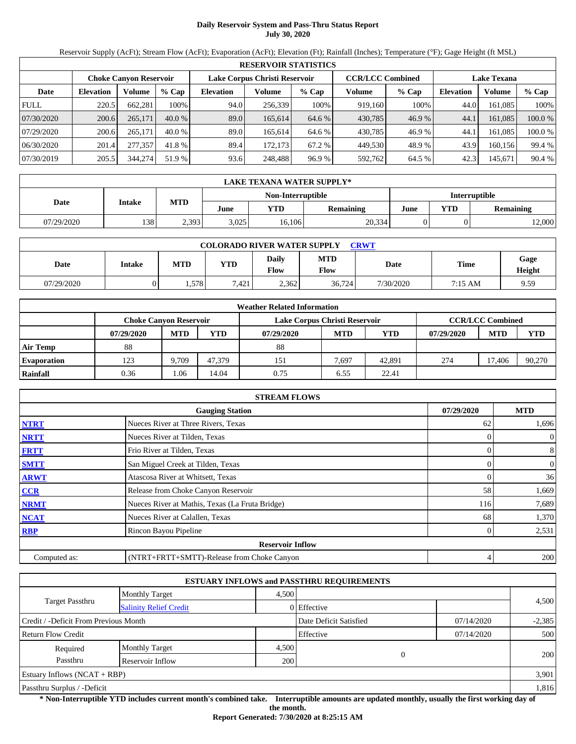# **Daily Reservoir System and Pass-Thru Status Report July 30, 2020**

Reservoir Supply (AcFt); Stream Flow (AcFt); Evaporation (AcFt); Elevation (Ft); Rainfall (Inches); Temperature (°F); Gage Height (ft MSL)

|             | <b>RESERVOIR STATISTICS</b> |                        |          |                  |                               |         |                         |         |                    |         |         |  |
|-------------|-----------------------------|------------------------|----------|------------------|-------------------------------|---------|-------------------------|---------|--------------------|---------|---------|--|
|             |                             | Choke Canvon Reservoir |          |                  | Lake Corpus Christi Reservoir |         | <b>CCR/LCC Combined</b> |         | <b>Lake Texana</b> |         |         |  |
| Date        | <b>Elevation</b>            | Volume                 | $%$ Cap  | <b>Elevation</b> | Volume                        | $%$ Cap | Volume                  | $%$ Cap | <b>Elevation</b>   | Volume  | $%$ Cap |  |
| <b>FULL</b> | 220.5                       | 662,281                | 100%     | 94.0             | 256,339                       | 100%    | 919.160                 | 100%    | 44.0               | 161.085 | 100%    |  |
| 07/30/2020  | 200.6                       | 265,171                | $40.0\%$ | 89.0             | 165.614                       | 64.6 %  | 430,785                 | 46.9 %  | 44.1               | 161,085 | 100.0 % |  |
| 07/29/2020  | 200.6                       | 265,171                | $40.0\%$ | 89.0             | 165.614                       | 64.6 %  | 430,785                 | 46.9%   | 44.                | 161.085 | 100.0 % |  |
| 06/30/2020  | 201.4                       | 277,357                | 41.8 %   | 89.4             | 172.173                       | 67.2 %  | 449,530                 | 48.9%   | 43.9               | 160,156 | 99.4 %  |  |
| 07/30/2019  | 205.5                       | 344,274                | 51.9 %   | 93.6             | 248,488                       | 96.9%   | 592,762                 | 64.5 %  | 42.3               | 145,671 | 90.4%   |  |

|            | <b>LAKE TEXANA WATER SUPPLY*</b> |            |       |                   |                      |      |     |           |  |  |  |
|------------|----------------------------------|------------|-------|-------------------|----------------------|------|-----|-----------|--|--|--|
|            |                                  |            |       | Non-Interruptible | <b>Interruptible</b> |      |     |           |  |  |  |
| Date       | Intake                           | <b>MTD</b> | June  | <b>YTD</b>        | <b>Remaining</b>     | June | YTD | Remaining |  |  |  |
| 07/29/2020 | 138                              | 2,393      | 3,025 | 16,106            | 20,334               |      |     | 12,000    |  |  |  |

| <b>COLORADO RIVER WATER SUPPLY</b><br><b>CRWT</b> |        |            |            |                      |                    |           |             |                |  |  |  |
|---------------------------------------------------|--------|------------|------------|----------------------|--------------------|-----------|-------------|----------------|--|--|--|
| Date                                              | Intake | <b>MTD</b> | <b>YTD</b> | <b>Daily</b><br>Flow | <b>MTD</b><br>Flow | Date      | <b>Time</b> | Gage<br>Height |  |  |  |
| 07/29/2020                                        |        | . 578      | $-421$     | 2.362                | 36,724             | 7/30/2020 | 7:15 AM     | 9.59           |  |  |  |

|                    | <b>Weather Related Information</b> |            |        |                               |            |            |            |                         |            |  |  |
|--------------------|------------------------------------|------------|--------|-------------------------------|------------|------------|------------|-------------------------|------------|--|--|
|                    | <b>Choke Canvon Reservoir</b>      |            |        | Lake Corpus Christi Reservoir |            |            |            | <b>CCR/LCC Combined</b> |            |  |  |
|                    | 07/29/2020                         | <b>MTD</b> | YTD    | 07/29/2020                    | <b>MTD</b> | <b>YTD</b> | 07/29/2020 | <b>MTD</b>              | <b>YTD</b> |  |  |
| Air Temp           | 88                                 |            |        | 88                            |            |            |            |                         |            |  |  |
| <b>Evaporation</b> | 123                                | 9.709      | 47.379 | 151                           | 7.697      | 42.891     | 274        | 17.406                  | 90,270     |  |  |
| Rainfall           | 0.36                               | .06        | 14.04  | 0.75                          | 6.55       | 22.41      |            |                         |            |  |  |

|              | <b>STREAM FLOWS</b>                             |            |                  |
|--------------|-------------------------------------------------|------------|------------------|
|              | <b>Gauging Station</b>                          | 07/29/2020 | <b>MTD</b>       |
| <b>NTRT</b>  | Nueces River at Three Rivers, Texas             | 62         | 1,696            |
| <b>NRTT</b>  | Nueces River at Tilden, Texas                   |            | $\boldsymbol{0}$ |
| <b>FRTT</b>  | Frio River at Tilden, Texas                     | 0          | 8                |
| <b>SMTT</b>  | San Miguel Creek at Tilden, Texas               | 0          | $\boldsymbol{0}$ |
| <b>ARWT</b>  | Atascosa River at Whitsett, Texas               |            | 36               |
| <b>CCR</b>   | Release from Choke Canyon Reservoir             | 58         | 1,669            |
| <b>NRMT</b>  | Nueces River at Mathis, Texas (La Fruta Bridge) | 116        | 7,689            |
| <b>NCAT</b>  | Nueces River at Calallen, Texas                 | 68         | 1,370            |
| <b>RBP</b>   | Rincon Bayou Pipeline                           |            | 2,531            |
|              | <b>Reservoir Inflow</b>                         |            |                  |
| Computed as: | (NTRT+FRTT+SMTT)-Release from Choke Canyon      | 4          | 200              |

|                                                         |                       |                        | <b>ESTUARY INFLOWS and PASSTHRU REQUIREMENTS</b> |            |       |  |
|---------------------------------------------------------|-----------------------|------------------------|--------------------------------------------------|------------|-------|--|
|                                                         | <b>Monthly Target</b> | 4.500                  |                                                  |            |       |  |
| <b>Target Passthru</b><br><b>Salinity Relief Credit</b> |                       |                        | 0 Effective                                      |            | 4,500 |  |
| Credit / -Deficit From Previous Month                   |                       | Date Deficit Satisfied | 07/14/2020                                       | $-2,385$   |       |  |
| <b>Return Flow Credit</b>                               |                       |                        | Effective                                        | 07/14/2020 | 500   |  |
| Required                                                | <b>Monthly Target</b> | 4,500                  |                                                  |            |       |  |
| Passthru                                                | Reservoir Inflow      | 200                    | $\theta$                                         |            | 200   |  |
| <b>Estuary Inflows (NCAT + RBP)</b>                     |                       |                        |                                                  |            | 3,901 |  |
| Passthru Surplus / -Deficit                             |                       |                        |                                                  |            |       |  |